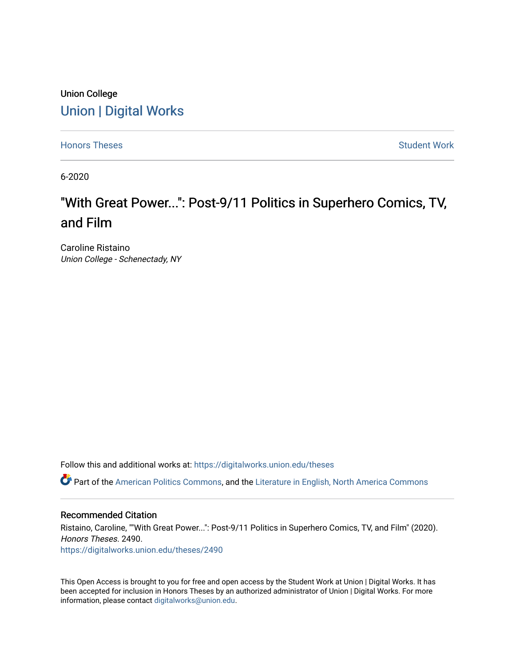### Union College [Union | Digital Works](https://digitalworks.union.edu/)

[Honors Theses](https://digitalworks.union.edu/theses) **Student Work** [Student Work](https://digitalworks.union.edu/studentwork) **Student Work** Student Work

6-2020

# "With Great Power...": Post-9/11 Politics in Superhero Comics, TV, and Film

Caroline Ristaino Union College - Schenectady, NY

Follow this and additional works at: [https://digitalworks.union.edu/theses](https://digitalworks.union.edu/theses?utm_source=digitalworks.union.edu%2Ftheses%2F2490&utm_medium=PDF&utm_campaign=PDFCoverPages) 

Part of the [American Politics Commons,](http://network.bepress.com/hgg/discipline/387?utm_source=digitalworks.union.edu%2Ftheses%2F2490&utm_medium=PDF&utm_campaign=PDFCoverPages) and the [Literature in English, North America Commons](http://network.bepress.com/hgg/discipline/458?utm_source=digitalworks.union.edu%2Ftheses%2F2490&utm_medium=PDF&utm_campaign=PDFCoverPages)

#### Recommended Citation

Ristaino, Caroline, ""With Great Power...": Post-9/11 Politics in Superhero Comics, TV, and Film" (2020). Honors Theses. 2490. [https://digitalworks.union.edu/theses/2490](https://digitalworks.union.edu/theses/2490?utm_source=digitalworks.union.edu%2Ftheses%2F2490&utm_medium=PDF&utm_campaign=PDFCoverPages)

This Open Access is brought to you for free and open access by the Student Work at Union | Digital Works. It has been accepted for inclusion in Honors Theses by an authorized administrator of Union | Digital Works. For more information, please contact [digitalworks@union.edu.](mailto:digitalworks@union.edu)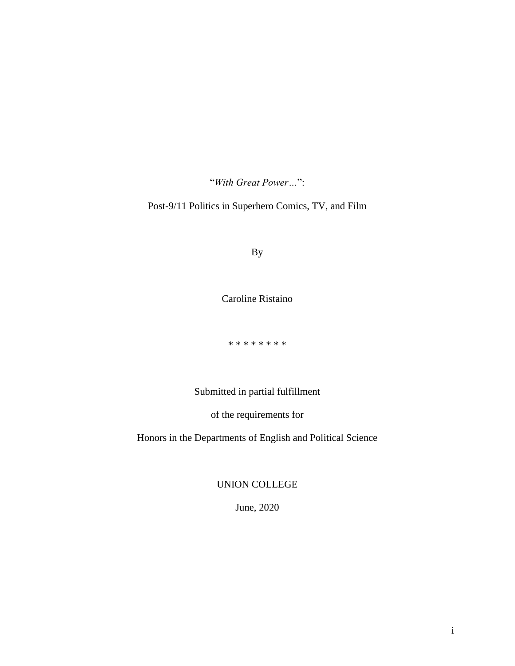"*With Great Power…*":

Post-9/11 Politics in Superhero Comics, TV, and Film

By

Caroline Ristaino

\* \* \* \* \* \* \* \*

Submitted in partial fulfillment

of the requirements for

Honors in the Departments of English and Political Science

UNION COLLEGE

June, 2020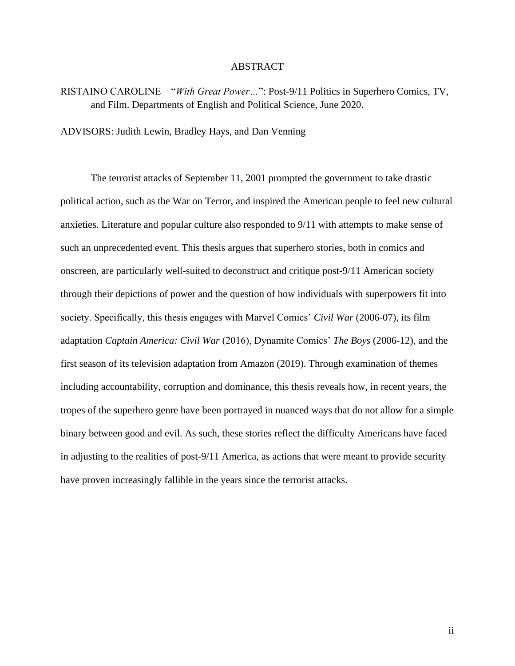#### ABSTRACT

RISTAINO CAROLINE "*With Great Power…*": Post-9/11 Politics in Superhero Comics, TV, and Film. Departments of English and Political Science, June 2020.

ADVISORS: Judith Lewin, Bradley Hays, and Dan Venning

The terrorist attacks of September 11, 2001 prompted the government to take drastic political action, such as the War on Terror, and inspired the American people to feel new cultural anxieties. Literature and popular culture also responded to 9/11 with attempts to make sense of such an unprecedented event. This thesis argues that superhero stories, both in comics and onscreen, are particularly well-suited to deconstruct and critique post-9/11 American society through their depictions of power and the question of how individuals with superpowers fit into society. Specifically, this thesis engages with Marvel Comics' *Civil War* (2006-07), its film adaptation *Captain America: Civil War* (2016), Dynamite Comics' *The Boys* (2006-12), and the first season of its television adaptation from Amazon (2019). Through examination of themes including accountability, corruption and dominance, this thesis reveals how, in recent years, the tropes of the superhero genre have been portrayed in nuanced ways that do not allow for a simple binary between good and evil. As such, these stories reflect the difficulty Americans have faced in adjusting to the realities of post-9/11 America, as actions that were meant to provide security have proven increasingly fallible in the years since the terrorist attacks.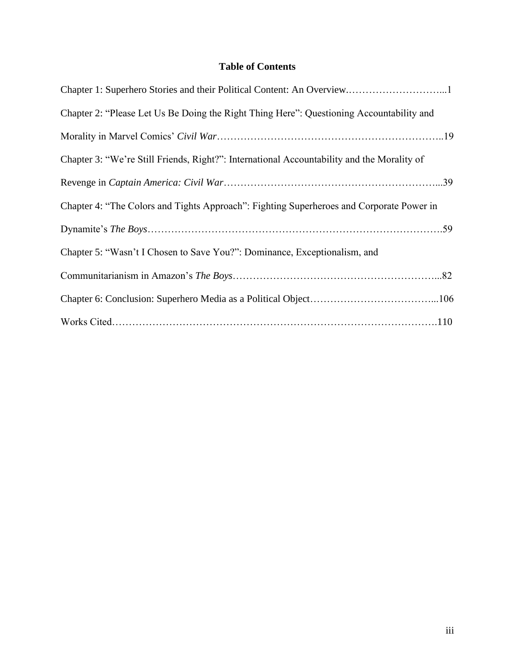### **Table of Contents**

| Chapter 2: "Please Let Us Be Doing the Right Thing Here": Questioning Accountability and   |
|--------------------------------------------------------------------------------------------|
|                                                                                            |
| Chapter 3: "We're Still Friends, Right?": International Accountability and the Morality of |
|                                                                                            |
| Chapter 4: "The Colors and Tights Approach": Fighting Superheroes and Corporate Power in   |
|                                                                                            |
| Chapter 5: "Wasn't I Chosen to Save You?": Dominance, Exceptionalism, and                  |
|                                                                                            |
|                                                                                            |
|                                                                                            |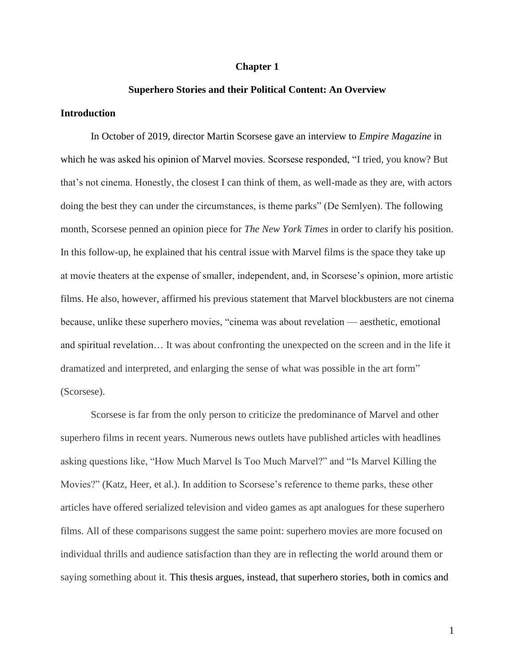#### **Chapter 1**

#### **Superhero Stories and their Political Content: An Overview**

#### **Introduction**

In October of 2019, director Martin Scorsese gave an interview to *Empire Magazine* in which he was asked his opinion of Marvel movies. Scorsese responded, "I tried, you know? But that's not cinema. Honestly, the closest I can think of them, as well-made as they are, with actors doing the best they can under the circumstances, is theme parks" (De Semlyen). The following month, Scorsese penned an opinion piece for *The New York Times* in order to clarify his position. In this follow-up, he explained that his central issue with Marvel films is the space they take up at movie theaters at the expense of smaller, independent, and, in Scorsese's opinion, more artistic films. He also, however, affirmed his previous statement that Marvel blockbusters are not cinema because, unlike these superhero movies, "cinema was about revelation — aesthetic, emotional and spiritual revelation… It was about confronting the unexpected on the screen and in the life it dramatized and interpreted, and enlarging the sense of what was possible in the art form" (Scorsese).

Scorsese is far from the only person to criticize the predominance of Marvel and other superhero films in recent years. Numerous news outlets have published articles with headlines asking questions like, "How Much Marvel Is Too Much Marvel?" and "Is Marvel Killing the Movies?" (Katz, Heer, et al.). In addition to Scorsese's reference to theme parks, these other articles have offered serialized television and video games as apt analogues for these superhero films. All of these comparisons suggest the same point: superhero movies are more focused on individual thrills and audience satisfaction than they are in reflecting the world around them or saying something about it. This thesis argues, instead, that superhero stories, both in comics and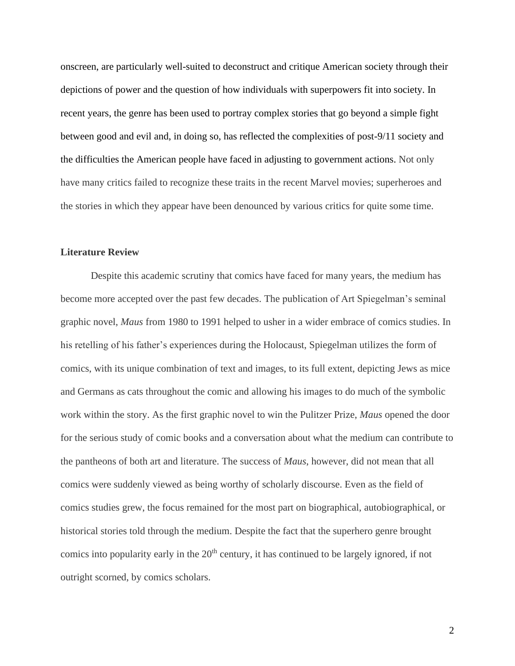onscreen, are particularly well-suited to deconstruct and critique American society through their depictions of power and the question of how individuals with superpowers fit into society. In recent years, the genre has been used to portray complex stories that go beyond a simple fight between good and evil and, in doing so, has reflected the complexities of post-9/11 society and the difficulties the American people have faced in adjusting to government actions. Not only have many critics failed to recognize these traits in the recent Marvel movies; superheroes and the stories in which they appear have been denounced by various critics for quite some time.

#### **Literature Review**

Despite this academic scrutiny that comics have faced for many years, the medium has become more accepted over the past few decades. The publication of Art Spiegelman's seminal graphic novel, *Maus* from 1980 to 1991 helped to usher in a wider embrace of comics studies. In his retelling of his father's experiences during the Holocaust, Spiegelman utilizes the form of comics, with its unique combination of text and images, to its full extent, depicting Jews as mice and Germans as cats throughout the comic and allowing his images to do much of the symbolic work within the story. As the first graphic novel to win the Pulitzer Prize, *Maus* opened the door for the serious study of comic books and a conversation about what the medium can contribute to the pantheons of both art and literature. The success of *Maus*, however, did not mean that all comics were suddenly viewed as being worthy of scholarly discourse. Even as the field of comics studies grew, the focus remained for the most part on biographical, autobiographical, or historical stories told through the medium. Despite the fact that the superhero genre brought comics into popularity early in the  $20<sup>th</sup>$  century, it has continued to be largely ignored, if not outright scorned, by comics scholars.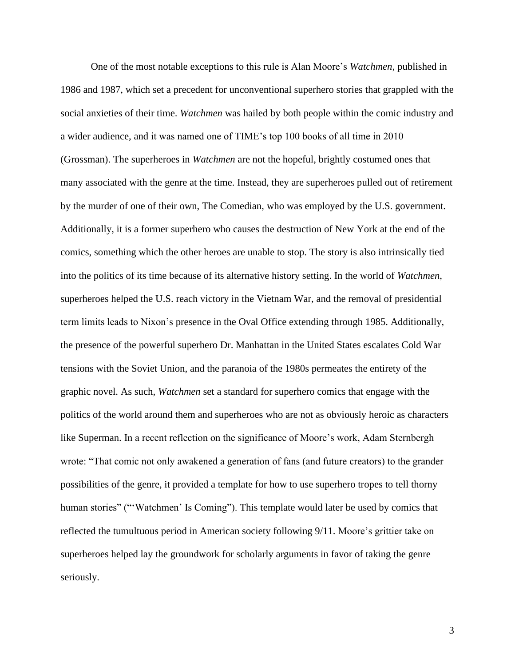One of the most notable exceptions to this rule is Alan Moore's *Watchmen*, published in 1986 and 1987, which set a precedent for unconventional superhero stories that grappled with the social anxieties of their time. *Watchmen* was hailed by both people within the comic industry and a wider audience, and it was named one of TIME's top 100 books of all time in 2010 (Grossman). The superheroes in *Watchmen* are not the hopeful, brightly costumed ones that many associated with the genre at the time. Instead, they are superheroes pulled out of retirement by the murder of one of their own, The Comedian, who was employed by the U.S. government. Additionally, it is a former superhero who causes the destruction of New York at the end of the comics, something which the other heroes are unable to stop. The story is also intrinsically tied into the politics of its time because of its alternative history setting. In the world of *Watchmen*, superheroes helped the U.S. reach victory in the Vietnam War, and the removal of presidential term limits leads to Nixon's presence in the Oval Office extending through 1985. Additionally, the presence of the powerful superhero Dr. Manhattan in the United States escalates Cold War tensions with the Soviet Union, and the paranoia of the 1980s permeates the entirety of the graphic novel. As such, *Watchmen* set a standard for superhero comics that engage with the politics of the world around them and superheroes who are not as obviously heroic as characters like Superman. In a recent reflection on the significance of Moore's work, Adam Sternbergh wrote: "That comic not only awakened a generation of fans (and future creators) to the grander possibilities of the genre, it provided a template for how to use superhero tropes to tell thorny human stories" ("'Watchmen' Is Coming"). This template would later be used by comics that reflected the tumultuous period in American society following 9/11. Moore's grittier take on superheroes helped lay the groundwork for scholarly arguments in favor of taking the genre seriously.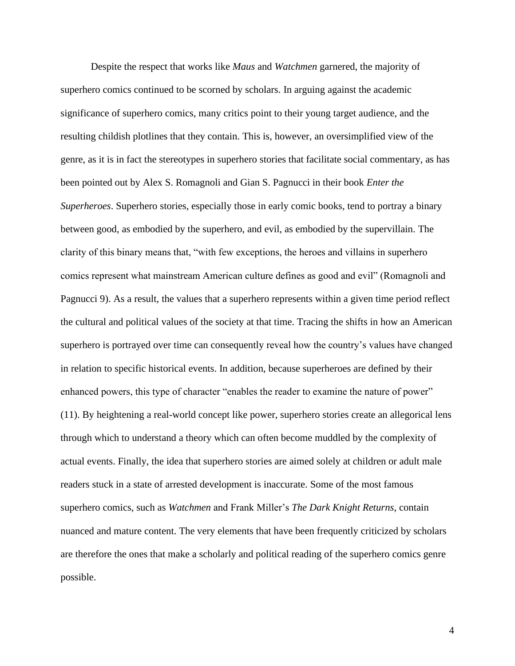Despite the respect that works like *Maus* and *Watchmen* garnered, the majority of superhero comics continued to be scorned by scholars. In arguing against the academic significance of superhero comics, many critics point to their young target audience, and the resulting childish plotlines that they contain. This is, however, an oversimplified view of the genre, as it is in fact the stereotypes in superhero stories that facilitate social commentary, as has been pointed out by Alex S. Romagnoli and Gian S. Pagnucci in their book *Enter the Superheroes*. Superhero stories, especially those in early comic books, tend to portray a binary between good, as embodied by the superhero, and evil, as embodied by the supervillain. The clarity of this binary means that, "with few exceptions, the heroes and villains in superhero comics represent what mainstream American culture defines as good and evil" (Romagnoli and Pagnucci 9). As a result, the values that a superhero represents within a given time period reflect the cultural and political values of the society at that time. Tracing the shifts in how an American superhero is portrayed over time can consequently reveal how the country's values have changed in relation to specific historical events. In addition, because superheroes are defined by their enhanced powers, this type of character "enables the reader to examine the nature of power" (11). By heightening a real-world concept like power, superhero stories create an allegorical lens through which to understand a theory which can often become muddled by the complexity of actual events. Finally, the idea that superhero stories are aimed solely at children or adult male readers stuck in a state of arrested development is inaccurate. Some of the most famous superhero comics, such as *Watchmen* and Frank Miller's *The Dark Knight Returns*, contain nuanced and mature content. The very elements that have been frequently criticized by scholars are therefore the ones that make a scholarly and political reading of the superhero comics genre possible.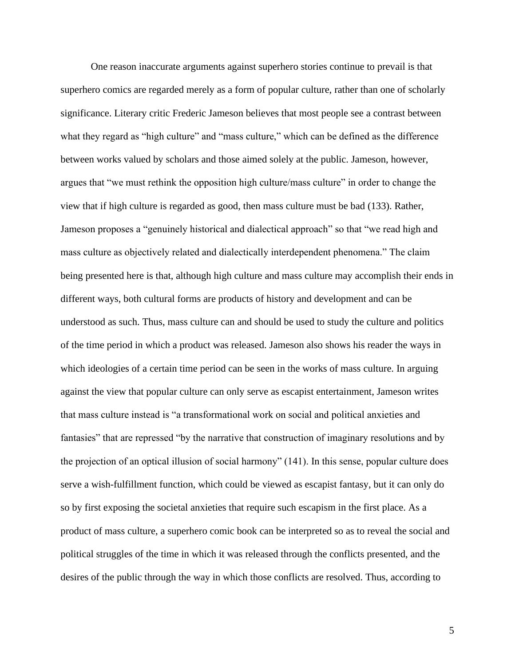One reason inaccurate arguments against superhero stories continue to prevail is that superhero comics are regarded merely as a form of popular culture, rather than one of scholarly significance. Literary critic Frederic Jameson believes that most people see a contrast between what they regard as "high culture" and "mass culture," which can be defined as the difference between works valued by scholars and those aimed solely at the public. Jameson, however, argues that "we must rethink the opposition high culture/mass culture" in order to change the view that if high culture is regarded as good, then mass culture must be bad (133). Rather, Jameson proposes a "genuinely historical and dialectical approach" so that "we read high and mass culture as objectively related and dialectically interdependent phenomena." The claim being presented here is that, although high culture and mass culture may accomplish their ends in different ways, both cultural forms are products of history and development and can be understood as such. Thus, mass culture can and should be used to study the culture and politics of the time period in which a product was released. Jameson also shows his reader the ways in which ideologies of a certain time period can be seen in the works of mass culture. In arguing against the view that popular culture can only serve as escapist entertainment, Jameson writes that mass culture instead is "a transformational work on social and political anxieties and fantasies" that are repressed "by the narrative that construction of imaginary resolutions and by the projection of an optical illusion of social harmony" (141). In this sense, popular culture does serve a wish-fulfillment function, which could be viewed as escapist fantasy, but it can only do so by first exposing the societal anxieties that require such escapism in the first place. As a product of mass culture, a superhero comic book can be interpreted so as to reveal the social and political struggles of the time in which it was released through the conflicts presented, and the desires of the public through the way in which those conflicts are resolved. Thus, according to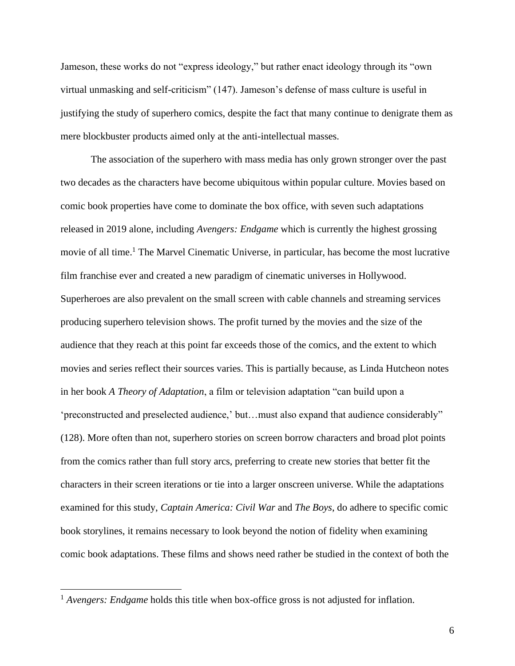Jameson, these works do not "express ideology," but rather enact ideology through its "own virtual unmasking and self-criticism" (147). Jameson's defense of mass culture is useful in justifying the study of superhero comics, despite the fact that many continue to denigrate them as mere blockbuster products aimed only at the anti-intellectual masses.

The association of the superhero with mass media has only grown stronger over the past two decades as the characters have become ubiquitous within popular culture. Movies based on comic book properties have come to dominate the box office, with seven such adaptations released in 2019 alone, including *Avengers: Endgame* which is currently the highest grossing movie of all time.<sup>1</sup> The Marvel Cinematic Universe, in particular, has become the most lucrative film franchise ever and created a new paradigm of cinematic universes in Hollywood. Superheroes are also prevalent on the small screen with cable channels and streaming services producing superhero television shows. The profit turned by the movies and the size of the audience that they reach at this point far exceeds those of the comics, and the extent to which movies and series reflect their sources varies. This is partially because, as Linda Hutcheon notes in her book *A Theory of Adaptation*, a film or television adaptation "can build upon a 'preconstructed and preselected audience,' but…must also expand that audience considerably" (128). More often than not, superhero stories on screen borrow characters and broad plot points from the comics rather than full story arcs, preferring to create new stories that better fit the characters in their screen iterations or tie into a larger onscreen universe. While the adaptations examined for this study, *Captain America: Civil War* and *The Boys*, do adhere to specific comic book storylines, it remains necessary to look beyond the notion of fidelity when examining comic book adaptations. These films and shows need rather be studied in the context of both the

<sup>&</sup>lt;sup>1</sup> *Avengers: Endgame* holds this title when box-office gross is not adjusted for inflation.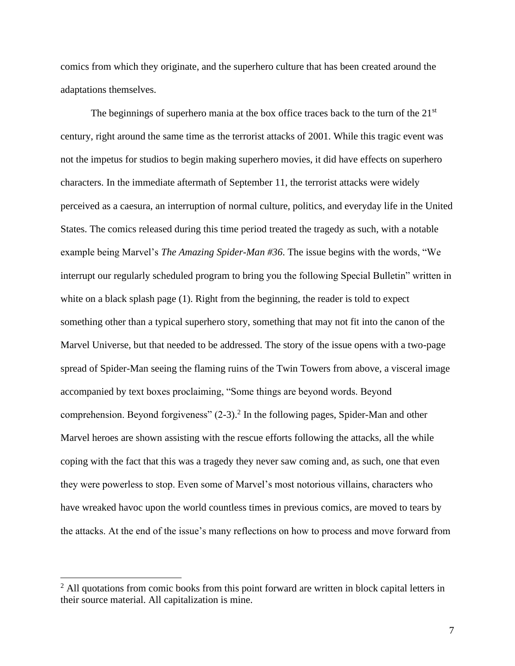comics from which they originate, and the superhero culture that has been created around the adaptations themselves.

The beginnings of superhero mania at the box office traces back to the turn of the  $21<sup>st</sup>$ century, right around the same time as the terrorist attacks of 2001. While this tragic event was not the impetus for studios to begin making superhero movies, it did have effects on superhero characters. In the immediate aftermath of September 11, the terrorist attacks were widely perceived as a caesura, an interruption of normal culture, politics, and everyday life in the United States. The comics released during this time period treated the tragedy as such, with a notable example being Marvel's *The Amazing Spider-Man #36*. The issue begins with the words, "We interrupt our regularly scheduled program to bring you the following Special Bulletin" written in white on a black splash page (1). Right from the beginning, the reader is told to expect something other than a typical superhero story, something that may not fit into the canon of the Marvel Universe, but that needed to be addressed. The story of the issue opens with a two-page spread of Spider-Man seeing the flaming ruins of the Twin Towers from above, a visceral image accompanied by text boxes proclaiming, "Some things are beyond words. Beyond comprehension. Beyond forgiveness"  $(2-3)$ .<sup>2</sup> In the following pages, Spider-Man and other Marvel heroes are shown assisting with the rescue efforts following the attacks, all the while coping with the fact that this was a tragedy they never saw coming and, as such, one that even they were powerless to stop. Even some of Marvel's most notorious villains, characters who have wreaked havoc upon the world countless times in previous comics, are moved to tears by the attacks. At the end of the issue's many reflections on how to process and move forward from

 $2$  All quotations from comic books from this point forward are written in block capital letters in their source material. All capitalization is mine.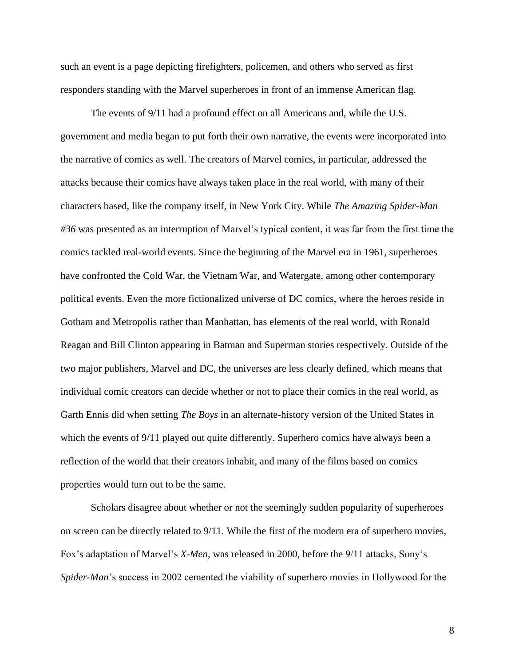such an event is a page depicting firefighters, policemen, and others who served as first responders standing with the Marvel superheroes in front of an immense American flag.

The events of 9/11 had a profound effect on all Americans and, while the U.S. government and media began to put forth their own narrative, the events were incorporated into the narrative of comics as well. The creators of Marvel comics, in particular, addressed the attacks because their comics have always taken place in the real world, with many of their characters based, like the company itself, in New York City. While *The Amazing Spider-Man #36* was presented as an interruption of Marvel's typical content, it was far from the first time the comics tackled real-world events. Since the beginning of the Marvel era in 1961, superheroes have confronted the Cold War, the Vietnam War, and Watergate, among other contemporary political events. Even the more fictionalized universe of DC comics, where the heroes reside in Gotham and Metropolis rather than Manhattan, has elements of the real world, with Ronald Reagan and Bill Clinton appearing in Batman and Superman stories respectively. Outside of the two major publishers, Marvel and DC, the universes are less clearly defined, which means that individual comic creators can decide whether or not to place their comics in the real world, as Garth Ennis did when setting *The Boys* in an alternate-history version of the United States in which the events of 9/11 played out quite differently. Superhero comics have always been a reflection of the world that their creators inhabit, and many of the films based on comics properties would turn out to be the same.

Scholars disagree about whether or not the seemingly sudden popularity of superheroes on screen can be directly related to 9/11. While the first of the modern era of superhero movies, Fox's adaptation of Marvel's *X-Men*, was released in 2000, before the 9/11 attacks, Sony's *Spider-Man*'s success in 2002 cemented the viability of superhero movies in Hollywood for the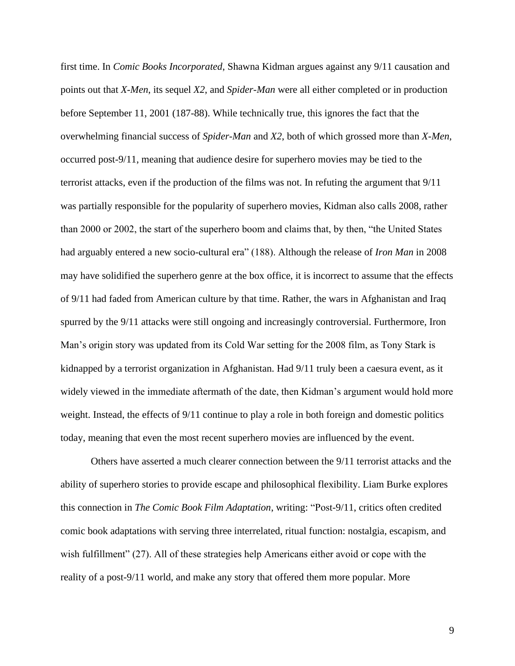first time. In *Comic Books Incorporated*, Shawna Kidman argues against any 9/11 causation and points out that *X-Men*, its sequel *X2*, and *Spider-Man* were all either completed or in production before September 11, 2001 (187-88). While technically true, this ignores the fact that the overwhelming financial success of *Spider-Man* and *X2*, both of which grossed more than *X-Men*, occurred post-9/11, meaning that audience desire for superhero movies may be tied to the terrorist attacks, even if the production of the films was not. In refuting the argument that 9/11 was partially responsible for the popularity of superhero movies, Kidman also calls 2008, rather than 2000 or 2002, the start of the superhero boom and claims that, by then, "the United States had arguably entered a new socio-cultural era" (188). Although the release of *Iron Man* in 2008 may have solidified the superhero genre at the box office, it is incorrect to assume that the effects of 9/11 had faded from American culture by that time. Rather, the wars in Afghanistan and Iraq spurred by the 9/11 attacks were still ongoing and increasingly controversial. Furthermore, Iron Man's origin story was updated from its Cold War setting for the 2008 film, as Tony Stark is kidnapped by a terrorist organization in Afghanistan. Had 9/11 truly been a caesura event, as it widely viewed in the immediate aftermath of the date, then Kidman's argument would hold more weight. Instead, the effects of 9/11 continue to play a role in both foreign and domestic politics today, meaning that even the most recent superhero movies are influenced by the event.

Others have asserted a much clearer connection between the 9/11 terrorist attacks and the ability of superhero stories to provide escape and philosophical flexibility. Liam Burke explores this connection in *The Comic Book Film Adaptation*, writing: "Post-9/11, critics often credited comic book adaptations with serving three interrelated, ritual function: nostalgia, escapism, and wish fulfillment" (27). All of these strategies help Americans either avoid or cope with the reality of a post-9/11 world, and make any story that offered them more popular. More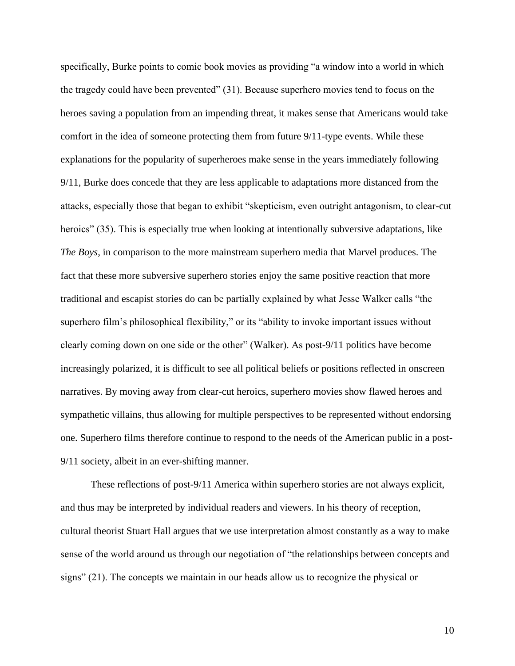specifically, Burke points to comic book movies as providing "a window into a world in which the tragedy could have been prevented" (31). Because superhero movies tend to focus on the heroes saving a population from an impending threat, it makes sense that Americans would take comfort in the idea of someone protecting them from future 9/11-type events. While these explanations for the popularity of superheroes make sense in the years immediately following 9/11, Burke does concede that they are less applicable to adaptations more distanced from the attacks, especially those that began to exhibit "skepticism, even outright antagonism, to clear-cut heroics" (35). This is especially true when looking at intentionally subversive adaptations, like *The Boys*, in comparison to the more mainstream superhero media that Marvel produces. The fact that these more subversive superhero stories enjoy the same positive reaction that more traditional and escapist stories do can be partially explained by what Jesse Walker calls "the superhero film's philosophical flexibility," or its "ability to invoke important issues without clearly coming down on one side or the other" (Walker). As post-9/11 politics have become increasingly polarized, it is difficult to see all political beliefs or positions reflected in onscreen narratives. By moving away from clear-cut heroics, superhero movies show flawed heroes and sympathetic villains, thus allowing for multiple perspectives to be represented without endorsing one. Superhero films therefore continue to respond to the needs of the American public in a post-9/11 society, albeit in an ever-shifting manner.

These reflections of post-9/11 America within superhero stories are not always explicit, and thus may be interpreted by individual readers and viewers. In his theory of reception, cultural theorist Stuart Hall argues that we use interpretation almost constantly as a way to make sense of the world around us through our negotiation of "the relationships between concepts and signs" (21). The concepts we maintain in our heads allow us to recognize the physical or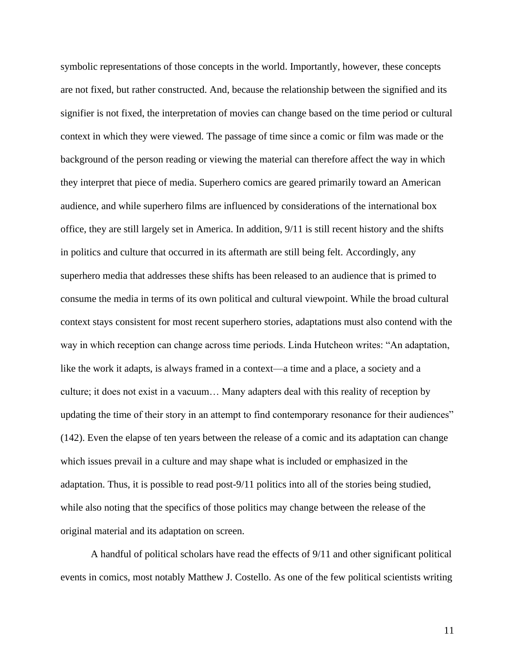symbolic representations of those concepts in the world. Importantly, however, these concepts are not fixed, but rather constructed. And, because the relationship between the signified and its signifier is not fixed, the interpretation of movies can change based on the time period or cultural context in which they were viewed. The passage of time since a comic or film was made or the background of the person reading or viewing the material can therefore affect the way in which they interpret that piece of media. Superhero comics are geared primarily toward an American audience, and while superhero films are influenced by considerations of the international box office, they are still largely set in America. In addition, 9/11 is still recent history and the shifts in politics and culture that occurred in its aftermath are still being felt. Accordingly, any superhero media that addresses these shifts has been released to an audience that is primed to consume the media in terms of its own political and cultural viewpoint. While the broad cultural context stays consistent for most recent superhero stories, adaptations must also contend with the way in which reception can change across time periods. Linda Hutcheon writes: "An adaptation, like the work it adapts, is always framed in a context—a time and a place, a society and a culture; it does not exist in a vacuum… Many adapters deal with this reality of reception by updating the time of their story in an attempt to find contemporary resonance for their audiences" (142). Even the elapse of ten years between the release of a comic and its adaptation can change which issues prevail in a culture and may shape what is included or emphasized in the adaptation. Thus, it is possible to read post-9/11 politics into all of the stories being studied, while also noting that the specifics of those politics may change between the release of the original material and its adaptation on screen.

A handful of political scholars have read the effects of 9/11 and other significant political events in comics, most notably Matthew J. Costello. As one of the few political scientists writing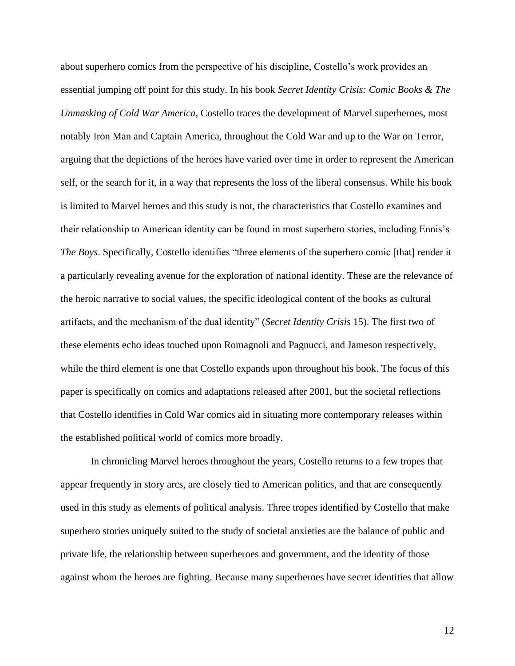about superhero comics from the perspective of his discipline, Costello's work provides an essential jumping off point for this study. In his book *Secret Identity Crisis: Comic Books & The Unmasking of Cold War America*, Costello traces the development of Marvel superheroes, most notably Iron Man and Captain America, throughout the Cold War and up to the War on Terror, arguing that the depictions of the heroes have varied over time in order to represent the American self, or the search for it, in a way that represents the loss of the liberal consensus. While his book is limited to Marvel heroes and this study is not, the characteristics that Costello examines and their relationship to American identity can be found in most superhero stories, including Ennis's *The Boys*. Specifically, Costello identifies "three elements of the superhero comic [that] render it a particularly revealing avenue for the exploration of national identity. These are the relevance of the heroic narrative to social values, the specific ideological content of the books as cultural artifacts, and the mechanism of the dual identity" (*Secret Identity Crisis* 15). The first two of these elements echo ideas touched upon Romagnoli and Pagnucci, and Jameson respectively, while the third element is one that Costello expands upon throughout his book. The focus of this paper is specifically on comics and adaptations released after 2001, but the societal reflections that Costello identifies in Cold War comics aid in situating more contemporary releases within the established political world of comics more broadly.

In chronicling Marvel heroes throughout the years, Costello returns to a few tropes that appear frequently in story arcs, are closely tied to American politics, and that are consequently used in this study as elements of political analysis. Three tropes identified by Costello that make superhero stories uniquely suited to the study of societal anxieties are the balance of public and private life, the relationship between superheroes and government, and the identity of those against whom the heroes are fighting. Because many superheroes have secret identities that allow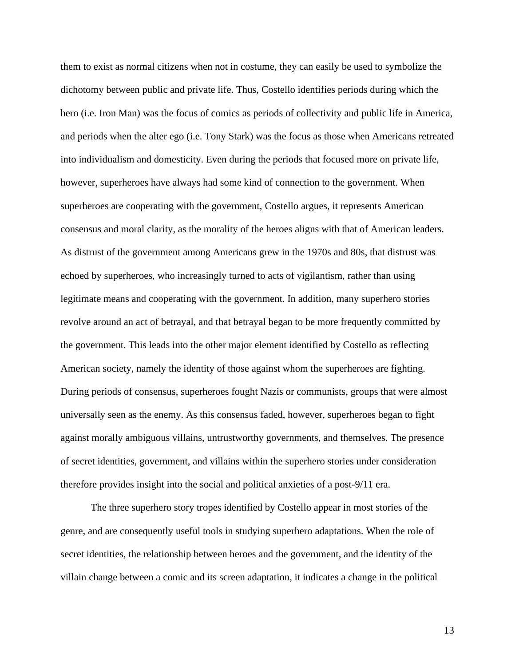them to exist as normal citizens when not in costume, they can easily be used to symbolize the dichotomy between public and private life. Thus, Costello identifies periods during which the hero (i.e. Iron Man) was the focus of comics as periods of collectivity and public life in America, and periods when the alter ego (i.e. Tony Stark) was the focus as those when Americans retreated into individualism and domesticity. Even during the periods that focused more on private life, however, superheroes have always had some kind of connection to the government. When superheroes are cooperating with the government, Costello argues, it represents American consensus and moral clarity, as the morality of the heroes aligns with that of American leaders. As distrust of the government among Americans grew in the 1970s and 80s, that distrust was echoed by superheroes, who increasingly turned to acts of vigilantism, rather than using legitimate means and cooperating with the government. In addition, many superhero stories revolve around an act of betrayal, and that betrayal began to be more frequently committed by the government. This leads into the other major element identified by Costello as reflecting American society, namely the identity of those against whom the superheroes are fighting. During periods of consensus, superheroes fought Nazis or communists, groups that were almost universally seen as the enemy. As this consensus faded, however, superheroes began to fight against morally ambiguous villains, untrustworthy governments, and themselves. The presence of secret identities, government, and villains within the superhero stories under consideration therefore provides insight into the social and political anxieties of a post-9/11 era.

The three superhero story tropes identified by Costello appear in most stories of the genre, and are consequently useful tools in studying superhero adaptations. When the role of secret identities, the relationship between heroes and the government, and the identity of the villain change between a comic and its screen adaptation, it indicates a change in the political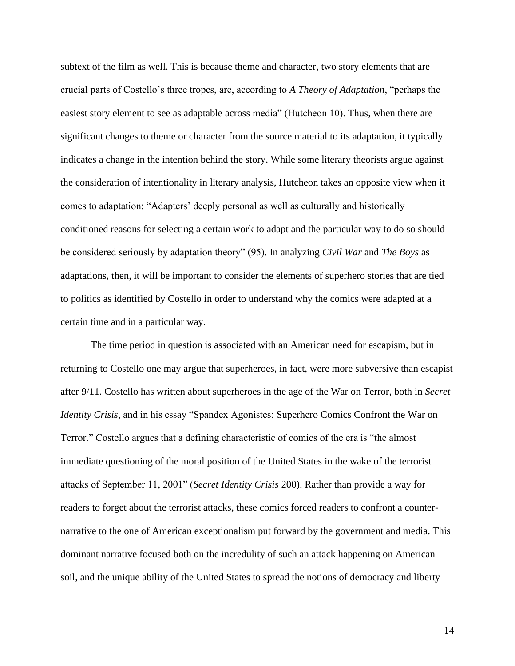subtext of the film as well. This is because theme and character, two story elements that are crucial parts of Costello's three tropes, are, according to *A Theory of Adaptation*, "perhaps the easiest story element to see as adaptable across media" (Hutcheon 10). Thus, when there are significant changes to theme or character from the source material to its adaptation, it typically indicates a change in the intention behind the story. While some literary theorists argue against the consideration of intentionality in literary analysis, Hutcheon takes an opposite view when it comes to adaptation: "Adapters' deeply personal as well as culturally and historically conditioned reasons for selecting a certain work to adapt and the particular way to do so should be considered seriously by adaptation theory" (95). In analyzing *Civil War* and *The Boys* as adaptations, then, it will be important to consider the elements of superhero stories that are tied to politics as identified by Costello in order to understand why the comics were adapted at a certain time and in a particular way.

The time period in question is associated with an American need for escapism, but in returning to Costello one may argue that superheroes, in fact, were more subversive than escapist after 9/11. Costello has written about superheroes in the age of the War on Terror, both in *Secret Identity Crisis*, and in his essay "Spandex Agonistes: Superhero Comics Confront the War on Terror." Costello argues that a defining characteristic of comics of the era is "the almost immediate questioning of the moral position of the United States in the wake of the terrorist attacks of September 11, 2001" (*Secret Identity Crisis* 200). Rather than provide a way for readers to forget about the terrorist attacks, these comics forced readers to confront a counternarrative to the one of American exceptionalism put forward by the government and media. This dominant narrative focused both on the incredulity of such an attack happening on American soil, and the unique ability of the United States to spread the notions of democracy and liberty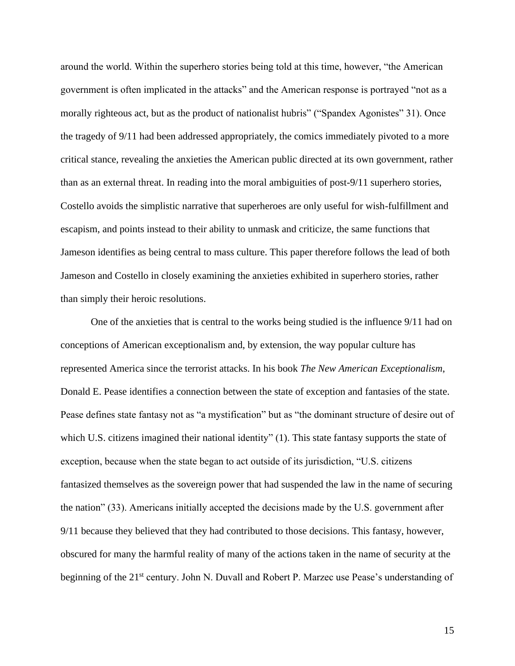around the world. Within the superhero stories being told at this time, however, "the American government is often implicated in the attacks" and the American response is portrayed "not as a morally righteous act, but as the product of nationalist hubris" ("Spandex Agonistes" 31). Once the tragedy of 9/11 had been addressed appropriately, the comics immediately pivoted to a more critical stance, revealing the anxieties the American public directed at its own government, rather than as an external threat. In reading into the moral ambiguities of post-9/11 superhero stories, Costello avoids the simplistic narrative that superheroes are only useful for wish-fulfillment and escapism, and points instead to their ability to unmask and criticize, the same functions that Jameson identifies as being central to mass culture. This paper therefore follows the lead of both Jameson and Costello in closely examining the anxieties exhibited in superhero stories, rather than simply their heroic resolutions.

One of the anxieties that is central to the works being studied is the influence 9/11 had on conceptions of American exceptionalism and, by extension, the way popular culture has represented America since the terrorist attacks. In his book *The New American Exceptionalism*, Donald E. Pease identifies a connection between the state of exception and fantasies of the state. Pease defines state fantasy not as "a mystification" but as "the dominant structure of desire out of which U.S. citizens imagined their national identity" (1). This state fantasy supports the state of exception, because when the state began to act outside of its jurisdiction, "U.S. citizens fantasized themselves as the sovereign power that had suspended the law in the name of securing the nation" (33). Americans initially accepted the decisions made by the U.S. government after 9/11 because they believed that they had contributed to those decisions. This fantasy, however, obscured for many the harmful reality of many of the actions taken in the name of security at the beginning of the 21<sup>st</sup> century. John N. Duvall and Robert P. Marzec use Pease's understanding of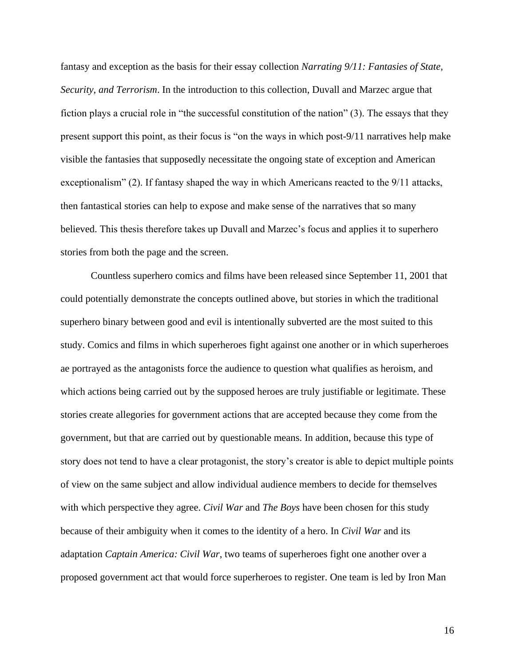fantasy and exception as the basis for their essay collection *Narrating 9/11: Fantasies of State, Security, and Terrorism*. In the introduction to this collection, Duvall and Marzec argue that fiction plays a crucial role in "the successful constitution of the nation" (3). The essays that they present support this point, as their focus is "on the ways in which post-9/11 narratives help make visible the fantasies that supposedly necessitate the ongoing state of exception and American exceptionalism" (2). If fantasy shaped the way in which Americans reacted to the 9/11 attacks, then fantastical stories can help to expose and make sense of the narratives that so many believed. This thesis therefore takes up Duvall and Marzec's focus and applies it to superhero stories from both the page and the screen.

Countless superhero comics and films have been released since September 11, 2001 that could potentially demonstrate the concepts outlined above, but stories in which the traditional superhero binary between good and evil is intentionally subverted are the most suited to this study. Comics and films in which superheroes fight against one another or in which superheroes ae portrayed as the antagonists force the audience to question what qualifies as heroism, and which actions being carried out by the supposed heroes are truly justifiable or legitimate. These stories create allegories for government actions that are accepted because they come from the government, but that are carried out by questionable means. In addition, because this type of story does not tend to have a clear protagonist, the story's creator is able to depict multiple points of view on the same subject and allow individual audience members to decide for themselves with which perspective they agree. *Civil War* and *The Boys* have been chosen for this study because of their ambiguity when it comes to the identity of a hero. In *Civil War* and its adaptation *Captain America: Civil War*, two teams of superheroes fight one another over a proposed government act that would force superheroes to register. One team is led by Iron Man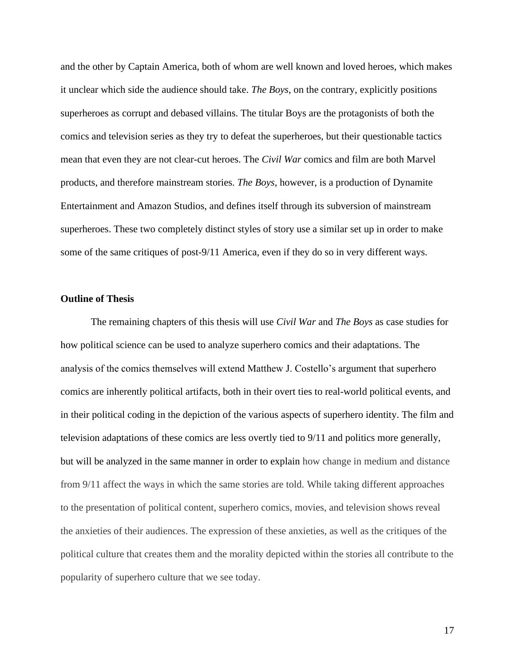and the other by Captain America, both of whom are well known and loved heroes, which makes it unclear which side the audience should take. *The Boys*, on the contrary, explicitly positions superheroes as corrupt and debased villains. The titular Boys are the protagonists of both the comics and television series as they try to defeat the superheroes, but their questionable tactics mean that even they are not clear-cut heroes. The *Civil War* comics and film are both Marvel products, and therefore mainstream stories. *The Boys*, however, is a production of Dynamite Entertainment and Amazon Studios, and defines itself through its subversion of mainstream superheroes. These two completely distinct styles of story use a similar set up in order to make some of the same critiques of post-9/11 America, even if they do so in very different ways.

#### **Outline of Thesis**

The remaining chapters of this thesis will use *Civil War* and *The Boys* as case studies for how political science can be used to analyze superhero comics and their adaptations. The analysis of the comics themselves will extend Matthew J. Costello's argument that superhero comics are inherently political artifacts, both in their overt ties to real-world political events, and in their political coding in the depiction of the various aspects of superhero identity. The film and television adaptations of these comics are less overtly tied to 9/11 and politics more generally, but will be analyzed in the same manner in order to explain how change in medium and distance from 9/11 affect the ways in which the same stories are told. While taking different approaches to the presentation of political content, superhero comics, movies, and television shows reveal the anxieties of their audiences. The expression of these anxieties, as well as the critiques of the political culture that creates them and the morality depicted within the stories all contribute to the popularity of superhero culture that we see today.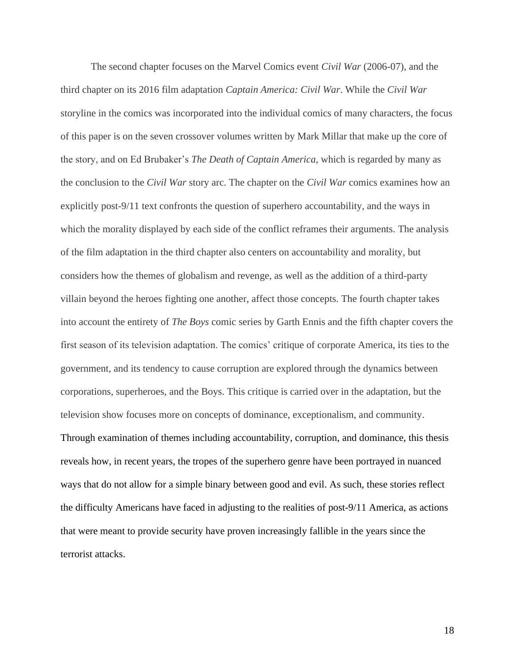The second chapter focuses on the Marvel Comics event *Civil War* (2006-07), and the third chapter on its 2016 film adaptation *Captain America: Civil War*. While the *Civil War*  storyline in the comics was incorporated into the individual comics of many characters, the focus of this paper is on the seven crossover volumes written by Mark Millar that make up the core of the story, and on Ed Brubaker's *The Death of Captain America*, which is regarded by many as the conclusion to the *Civil War* story arc. The chapter on the *Civil War* comics examines how an explicitly post-9/11 text confronts the question of superhero accountability, and the ways in which the morality displayed by each side of the conflict reframes their arguments. The analysis of the film adaptation in the third chapter also centers on accountability and morality, but considers how the themes of globalism and revenge, as well as the addition of a third-party villain beyond the heroes fighting one another, affect those concepts. The fourth chapter takes into account the entirety of *The Boys* comic series by Garth Ennis and the fifth chapter covers the first season of its television adaptation. The comics' critique of corporate America, its ties to the government, and its tendency to cause corruption are explored through the dynamics between corporations, superheroes, and the Boys. This critique is carried over in the adaptation, but the television show focuses more on concepts of dominance, exceptionalism, and community. Through examination of themes including accountability, corruption, and dominance, this thesis reveals how, in recent years, the tropes of the superhero genre have been portrayed in nuanced ways that do not allow for a simple binary between good and evil. As such, these stories reflect the difficulty Americans have faced in adjusting to the realities of post-9/11 America, as actions that were meant to provide security have proven increasingly fallible in the years since the terrorist attacks.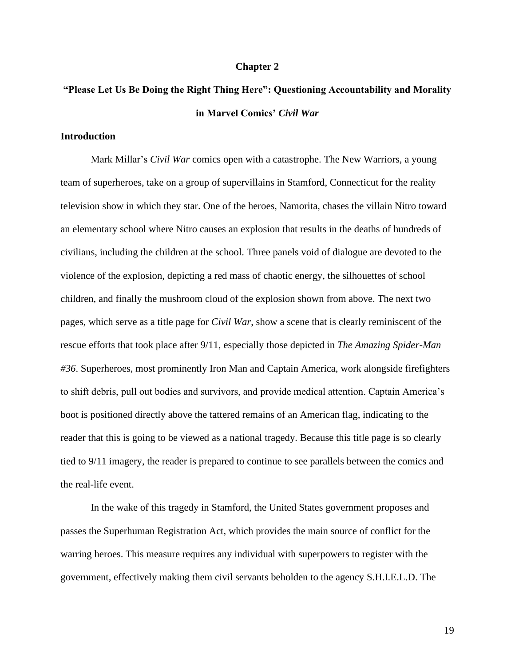#### **Chapter 2**

## **"Please Let Us Be Doing the Right Thing Here": Questioning Accountability and Morality in Marvel Comics'** *Civil War*

#### **Introduction**

Mark Millar's *Civil War* comics open with a catastrophe. The New Warriors, a young team of superheroes, take on a group of supervillains in Stamford, Connecticut for the reality television show in which they star. One of the heroes, Namorita, chases the villain Nitro toward an elementary school where Nitro causes an explosion that results in the deaths of hundreds of civilians, including the children at the school. Three panels void of dialogue are devoted to the violence of the explosion, depicting a red mass of chaotic energy, the silhouettes of school children, and finally the mushroom cloud of the explosion shown from above. The next two pages, which serve as a title page for *Civil War*, show a scene that is clearly reminiscent of the rescue efforts that took place after 9/11, especially those depicted in *The Amazing Spider-Man #36*. Superheroes, most prominently Iron Man and Captain America, work alongside firefighters to shift debris, pull out bodies and survivors, and provide medical attention. Captain America's boot is positioned directly above the tattered remains of an American flag, indicating to the reader that this is going to be viewed as a national tragedy. Because this title page is so clearly tied to 9/11 imagery, the reader is prepared to continue to see parallels between the comics and the real-life event.

In the wake of this tragedy in Stamford, the United States government proposes and passes the Superhuman Registration Act, which provides the main source of conflict for the warring heroes. This measure requires any individual with superpowers to register with the government, effectively making them civil servants beholden to the agency S.H.I.E.L.D. The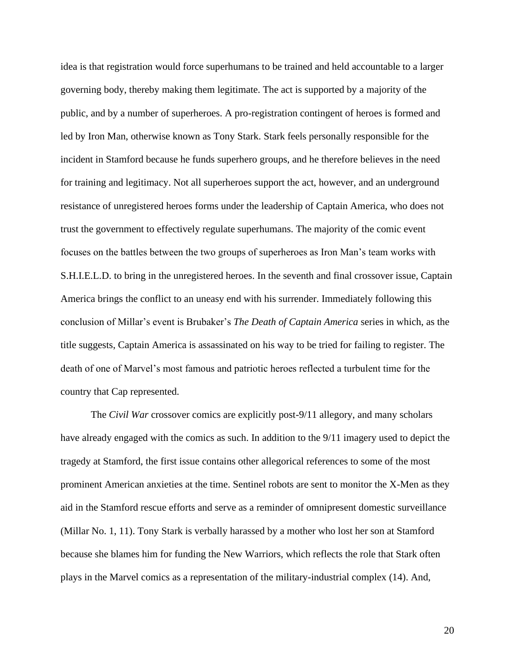idea is that registration would force superhumans to be trained and held accountable to a larger governing body, thereby making them legitimate. The act is supported by a majority of the public, and by a number of superheroes. A pro-registration contingent of heroes is formed and led by Iron Man, otherwise known as Tony Stark. Stark feels personally responsible for the incident in Stamford because he funds superhero groups, and he therefore believes in the need for training and legitimacy. Not all superheroes support the act, however, and an underground resistance of unregistered heroes forms under the leadership of Captain America, who does not trust the government to effectively regulate superhumans. The majority of the comic event focuses on the battles between the two groups of superheroes as Iron Man's team works with S.H.I.E.L.D. to bring in the unregistered heroes. In the seventh and final crossover issue, Captain America brings the conflict to an uneasy end with his surrender. Immediately following this conclusion of Millar's event is Brubaker's *The Death of Captain America* series in which, as the title suggests, Captain America is assassinated on his way to be tried for failing to register. The death of one of Marvel's most famous and patriotic heroes reflected a turbulent time for the country that Cap represented.

The *Civil War* crossover comics are explicitly post-9/11 allegory, and many scholars have already engaged with the comics as such. In addition to the 9/11 imagery used to depict the tragedy at Stamford, the first issue contains other allegorical references to some of the most prominent American anxieties at the time. Sentinel robots are sent to monitor the X-Men as they aid in the Stamford rescue efforts and serve as a reminder of omnipresent domestic surveillance (Millar No. 1, 11). Tony Stark is verbally harassed by a mother who lost her son at Stamford because she blames him for funding the New Warriors, which reflects the role that Stark often plays in the Marvel comics as a representation of the military-industrial complex (14). And,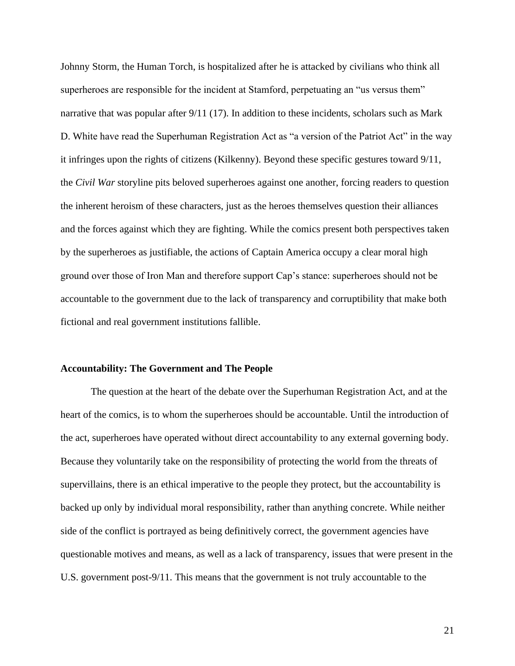Johnny Storm, the Human Torch, is hospitalized after he is attacked by civilians who think all superheroes are responsible for the incident at Stamford, perpetuating an "us versus them" narrative that was popular after 9/11 (17). In addition to these incidents, scholars such as Mark D. White have read the Superhuman Registration Act as "a version of the Patriot Act" in the way it infringes upon the rights of citizens (Kilkenny). Beyond these specific gestures toward 9/11, the *Civil War* storyline pits beloved superheroes against one another, forcing readers to question the inherent heroism of these characters, just as the heroes themselves question their alliances and the forces against which they are fighting. While the comics present both perspectives taken by the superheroes as justifiable, the actions of Captain America occupy a clear moral high ground over those of Iron Man and therefore support Cap's stance: superheroes should not be accountable to the government due to the lack of transparency and corruptibility that make both fictional and real government institutions fallible.

#### **Accountability: The Government and The People**

The question at the heart of the debate over the Superhuman Registration Act, and at the heart of the comics, is to whom the superheroes should be accountable. Until the introduction of the act, superheroes have operated without direct accountability to any external governing body. Because they voluntarily take on the responsibility of protecting the world from the threats of supervillains, there is an ethical imperative to the people they protect, but the accountability is backed up only by individual moral responsibility, rather than anything concrete. While neither side of the conflict is portrayed as being definitively correct, the government agencies have questionable motives and means, as well as a lack of transparency, issues that were present in the U.S. government post-9/11. This means that the government is not truly accountable to the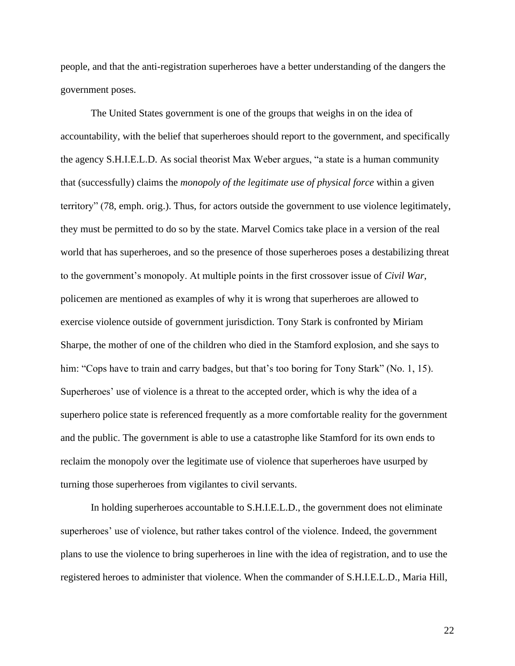people, and that the anti-registration superheroes have a better understanding of the dangers the government poses.

The United States government is one of the groups that weighs in on the idea of accountability, with the belief that superheroes should report to the government, and specifically the agency S.H.I.E.L.D. As social theorist Max Weber argues, "a state is a human community that (successfully) claims the *monopoly of the legitimate use of physical force* within a given territory" (78, emph. orig.). Thus, for actors outside the government to use violence legitimately, they must be permitted to do so by the state. Marvel Comics take place in a version of the real world that has superheroes, and so the presence of those superheroes poses a destabilizing threat to the government's monopoly. At multiple points in the first crossover issue of *Civil War*, policemen are mentioned as examples of why it is wrong that superheroes are allowed to exercise violence outside of government jurisdiction. Tony Stark is confronted by Miriam Sharpe, the mother of one of the children who died in the Stamford explosion, and she says to him: "Cops have to train and carry badges, but that's too boring for Tony Stark" (No. 1, 15). Superheroes' use of violence is a threat to the accepted order, which is why the idea of a superhero police state is referenced frequently as a more comfortable reality for the government and the public. The government is able to use a catastrophe like Stamford for its own ends to reclaim the monopoly over the legitimate use of violence that superheroes have usurped by turning those superheroes from vigilantes to civil servants.

In holding superheroes accountable to S.H.I.E.L.D., the government does not eliminate superheroes' use of violence, but rather takes control of the violence. Indeed, the government plans to use the violence to bring superheroes in line with the idea of registration, and to use the registered heroes to administer that violence. When the commander of S.H.I.E.L.D., Maria Hill,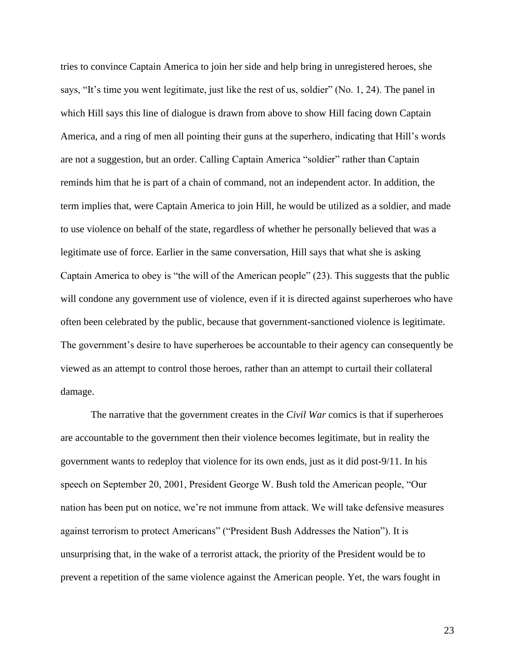tries to convince Captain America to join her side and help bring in unregistered heroes, she says, "It's time you went legitimate, just like the rest of us, soldier" (No. 1, 24). The panel in which Hill says this line of dialogue is drawn from above to show Hill facing down Captain America, and a ring of men all pointing their guns at the superhero, indicating that Hill's words are not a suggestion, but an order. Calling Captain America "soldier" rather than Captain reminds him that he is part of a chain of command, not an independent actor. In addition, the term implies that, were Captain America to join Hill, he would be utilized as a soldier, and made to use violence on behalf of the state, regardless of whether he personally believed that was a legitimate use of force. Earlier in the same conversation, Hill says that what she is asking Captain America to obey is "the will of the American people" (23). This suggests that the public will condone any government use of violence, even if it is directed against superheroes who have often been celebrated by the public, because that government-sanctioned violence is legitimate. The government's desire to have superheroes be accountable to their agency can consequently be viewed as an attempt to control those heroes, rather than an attempt to curtail their collateral damage.

The narrative that the government creates in the *Civil War* comics is that if superheroes are accountable to the government then their violence becomes legitimate, but in reality the government wants to redeploy that violence for its own ends, just as it did post-9/11. In his speech on September 20, 2001, President George W. Bush told the American people, "Our nation has been put on notice, we're not immune from attack. We will take defensive measures against terrorism to protect Americans" ("President Bush Addresses the Nation"). It is unsurprising that, in the wake of a terrorist attack, the priority of the President would be to prevent a repetition of the same violence against the American people. Yet, the wars fought in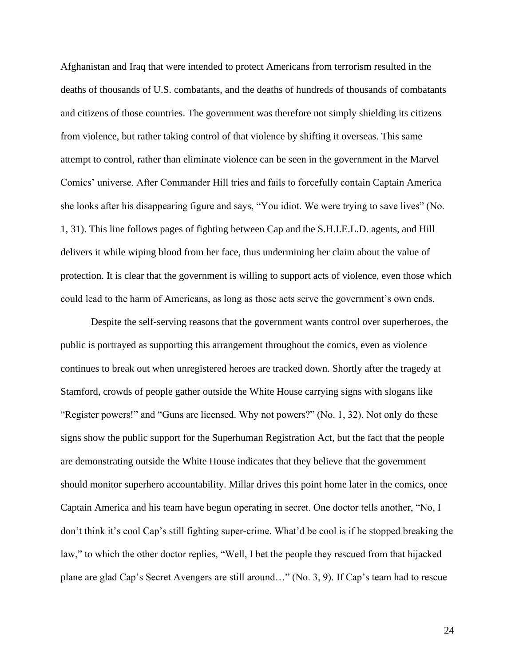Afghanistan and Iraq that were intended to protect Americans from terrorism resulted in the deaths of thousands of U.S. combatants, and the deaths of hundreds of thousands of combatants and citizens of those countries. The government was therefore not simply shielding its citizens from violence, but rather taking control of that violence by shifting it overseas. This same attempt to control, rather than eliminate violence can be seen in the government in the Marvel Comics' universe. After Commander Hill tries and fails to forcefully contain Captain America she looks after his disappearing figure and says, "You idiot. We were trying to save lives" (No. 1, 31). This line follows pages of fighting between Cap and the S.H.I.E.L.D. agents, and Hill delivers it while wiping blood from her face, thus undermining her claim about the value of protection. It is clear that the government is willing to support acts of violence, even those which could lead to the harm of Americans, as long as those acts serve the government's own ends.

Despite the self-serving reasons that the government wants control over superheroes, the public is portrayed as supporting this arrangement throughout the comics, even as violence continues to break out when unregistered heroes are tracked down. Shortly after the tragedy at Stamford, crowds of people gather outside the White House carrying signs with slogans like "Register powers!" and "Guns are licensed. Why not powers?" (No. 1, 32). Not only do these signs show the public support for the Superhuman Registration Act, but the fact that the people are demonstrating outside the White House indicates that they believe that the government should monitor superhero accountability. Millar drives this point home later in the comics, once Captain America and his team have begun operating in secret. One doctor tells another, "No, I don't think it's cool Cap's still fighting super-crime. What'd be cool is if he stopped breaking the law," to which the other doctor replies, "Well, I bet the people they rescued from that hijacked plane are glad Cap's Secret Avengers are still around…" (No. 3, 9). If Cap's team had to rescue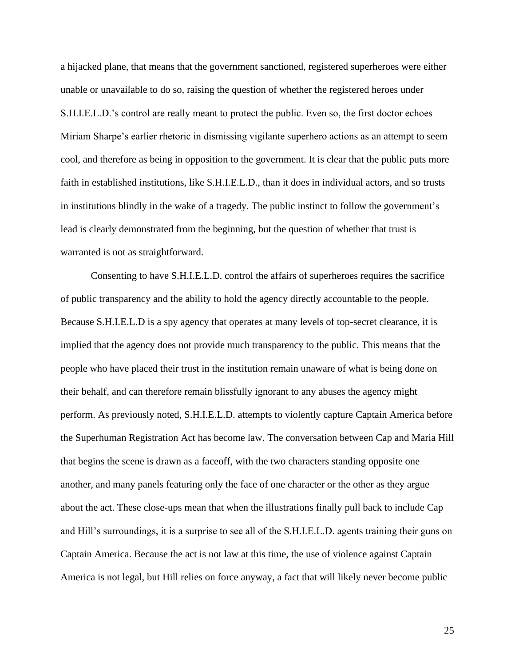a hijacked plane, that means that the government sanctioned, registered superheroes were either unable or unavailable to do so, raising the question of whether the registered heroes under S.H.I.E.L.D.'s control are really meant to protect the public. Even so, the first doctor echoes Miriam Sharpe's earlier rhetoric in dismissing vigilante superhero actions as an attempt to seem cool, and therefore as being in opposition to the government. It is clear that the public puts more faith in established institutions, like S.H.I.E.L.D., than it does in individual actors, and so trusts in institutions blindly in the wake of a tragedy. The public instinct to follow the government's lead is clearly demonstrated from the beginning, but the question of whether that trust is warranted is not as straightforward.

Consenting to have S.H.I.E.L.D. control the affairs of superheroes requires the sacrifice of public transparency and the ability to hold the agency directly accountable to the people. Because S.H.I.E.L.D is a spy agency that operates at many levels of top-secret clearance, it is implied that the agency does not provide much transparency to the public. This means that the people who have placed their trust in the institution remain unaware of what is being done on their behalf, and can therefore remain blissfully ignorant to any abuses the agency might perform. As previously noted, S.H.I.E.L.D. attempts to violently capture Captain America before the Superhuman Registration Act has become law. The conversation between Cap and Maria Hill that begins the scene is drawn as a faceoff, with the two characters standing opposite one another, and many panels featuring only the face of one character or the other as they argue about the act. These close-ups mean that when the illustrations finally pull back to include Cap and Hill's surroundings, it is a surprise to see all of the S.H.I.E.L.D. agents training their guns on Captain America. Because the act is not law at this time, the use of violence against Captain America is not legal, but Hill relies on force anyway, a fact that will likely never become public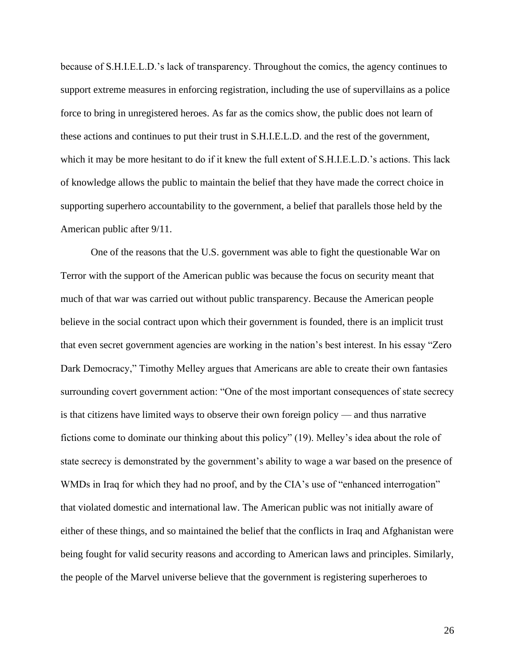because of S.H.I.E.L.D.'s lack of transparency. Throughout the comics, the agency continues to support extreme measures in enforcing registration, including the use of supervillains as a police force to bring in unregistered heroes. As far as the comics show, the public does not learn of these actions and continues to put their trust in S.H.I.E.L.D. and the rest of the government, which it may be more hesitant to do if it knew the full extent of S.H.I.E.L.D.'s actions. This lack of knowledge allows the public to maintain the belief that they have made the correct choice in supporting superhero accountability to the government, a belief that parallels those held by the American public after 9/11.

One of the reasons that the U.S. government was able to fight the questionable War on Terror with the support of the American public was because the focus on security meant that much of that war was carried out without public transparency. Because the American people believe in the social contract upon which their government is founded, there is an implicit trust that even secret government agencies are working in the nation's best interest. In his essay "Zero Dark Democracy," Timothy Melley argues that Americans are able to create their own fantasies surrounding covert government action: "One of the most important consequences of state secrecy is that citizens have limited ways to observe their own foreign policy — and thus narrative fictions come to dominate our thinking about this policy" (19). Melley's idea about the role of state secrecy is demonstrated by the government's ability to wage a war based on the presence of WMDs in Iraq for which they had no proof, and by the CIA's use of "enhanced interrogation" that violated domestic and international law. The American public was not initially aware of either of these things, and so maintained the belief that the conflicts in Iraq and Afghanistan were being fought for valid security reasons and according to American laws and principles. Similarly, the people of the Marvel universe believe that the government is registering superheroes to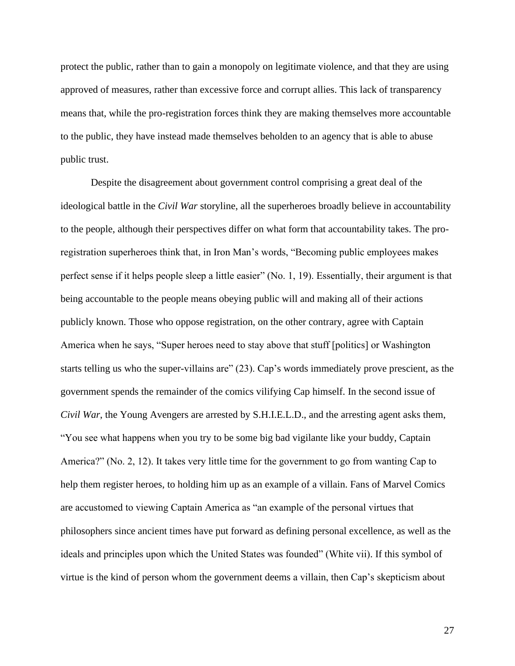protect the public, rather than to gain a monopoly on legitimate violence, and that they are using approved of measures, rather than excessive force and corrupt allies. This lack of transparency means that, while the pro-registration forces think they are making themselves more accountable to the public, they have instead made themselves beholden to an agency that is able to abuse public trust.

Despite the disagreement about government control comprising a great deal of the ideological battle in the *Civil War* storyline, all the superheroes broadly believe in accountability to the people, although their perspectives differ on what form that accountability takes. The proregistration superheroes think that, in Iron Man's words, "Becoming public employees makes perfect sense if it helps people sleep a little easier" (No. 1, 19). Essentially, their argument is that being accountable to the people means obeying public will and making all of their actions publicly known. Those who oppose registration, on the other contrary, agree with Captain America when he says, "Super heroes need to stay above that stuff [politics] or Washington starts telling us who the super-villains are" (23). Cap's words immediately prove prescient, as the government spends the remainder of the comics vilifying Cap himself. In the second issue of *Civil War*, the Young Avengers are arrested by S.H.I.E.L.D., and the arresting agent asks them, "You see what happens when you try to be some big bad vigilante like your buddy, Captain America?" (No. 2, 12). It takes very little time for the government to go from wanting Cap to help them register heroes, to holding him up as an example of a villain. Fans of Marvel Comics are accustomed to viewing Captain America as "an example of the personal virtues that philosophers since ancient times have put forward as defining personal excellence, as well as the ideals and principles upon which the United States was founded" (White vii). If this symbol of virtue is the kind of person whom the government deems a villain, then Cap's skepticism about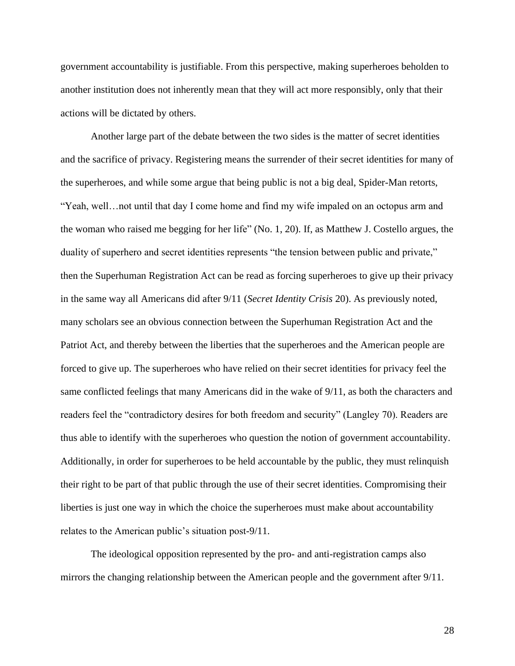government accountability is justifiable. From this perspective, making superheroes beholden to another institution does not inherently mean that they will act more responsibly, only that their actions will be dictated by others.

Another large part of the debate between the two sides is the matter of secret identities and the sacrifice of privacy. Registering means the surrender of their secret identities for many of the superheroes, and while some argue that being public is not a big deal, Spider-Man retorts, "Yeah, well…not until that day I come home and find my wife impaled on an octopus arm and the woman who raised me begging for her life" (No. 1, 20). If, as Matthew J. Costello argues, the duality of superhero and secret identities represents "the tension between public and private," then the Superhuman Registration Act can be read as forcing superheroes to give up their privacy in the same way all Americans did after 9/11 (*Secret Identity Crisis* 20). As previously noted, many scholars see an obvious connection between the Superhuman Registration Act and the Patriot Act, and thereby between the liberties that the superheroes and the American people are forced to give up. The superheroes who have relied on their secret identities for privacy feel the same conflicted feelings that many Americans did in the wake of 9/11, as both the characters and readers feel the "contradictory desires for both freedom and security" (Langley 70). Readers are thus able to identify with the superheroes who question the notion of government accountability. Additionally, in order for superheroes to be held accountable by the public, they must relinquish their right to be part of that public through the use of their secret identities. Compromising their liberties is just one way in which the choice the superheroes must make about accountability relates to the American public's situation post-9/11.

The ideological opposition represented by the pro- and anti-registration camps also mirrors the changing relationship between the American people and the government after 9/11.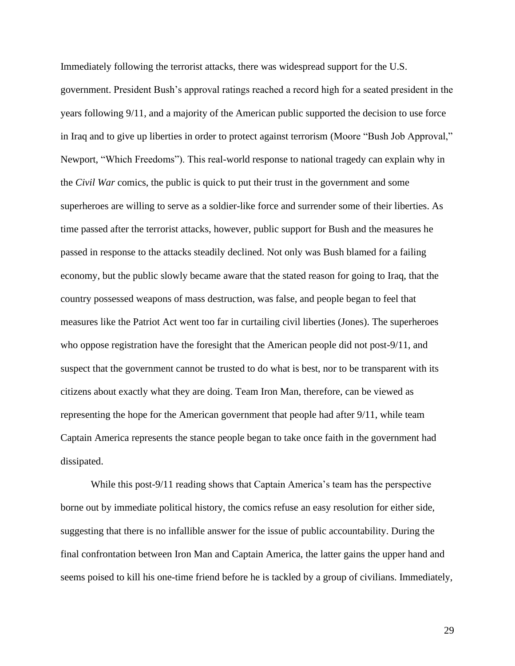Immediately following the terrorist attacks, there was widespread support for the U.S. government. President Bush's approval ratings reached a record high for a seated president in the years following 9/11, and a majority of the American public supported the decision to use force in Iraq and to give up liberties in order to protect against terrorism (Moore "Bush Job Approval," Newport, "Which Freedoms"). This real-world response to national tragedy can explain why in the *Civil War* comics, the public is quick to put their trust in the government and some superheroes are willing to serve as a soldier-like force and surrender some of their liberties. As time passed after the terrorist attacks, however, public support for Bush and the measures he passed in response to the attacks steadily declined. Not only was Bush blamed for a failing economy, but the public slowly became aware that the stated reason for going to Iraq, that the country possessed weapons of mass destruction, was false, and people began to feel that measures like the Patriot Act went too far in curtailing civil liberties (Jones). The superheroes who oppose registration have the foresight that the American people did not post-9/11, and suspect that the government cannot be trusted to do what is best, nor to be transparent with its citizens about exactly what they are doing. Team Iron Man, therefore, can be viewed as representing the hope for the American government that people had after 9/11, while team Captain America represents the stance people began to take once faith in the government had dissipated.

While this post-9/11 reading shows that Captain America's team has the perspective borne out by immediate political history, the comics refuse an easy resolution for either side, suggesting that there is no infallible answer for the issue of public accountability. During the final confrontation between Iron Man and Captain America, the latter gains the upper hand and seems poised to kill his one-time friend before he is tackled by a group of civilians. Immediately,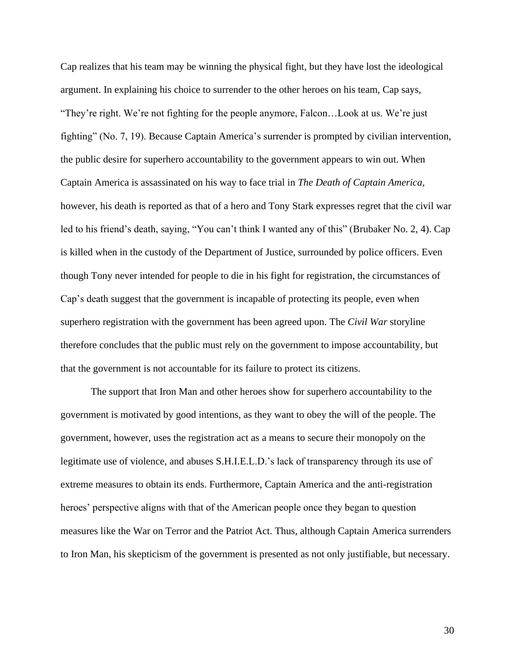Cap realizes that his team may be winning the physical fight, but they have lost the ideological argument. In explaining his choice to surrender to the other heroes on his team, Cap says, "They're right. We're not fighting for the people anymore, Falcon…Look at us. We're just fighting" (No. 7, 19). Because Captain America's surrender is prompted by civilian intervention, the public desire for superhero accountability to the government appears to win out. When Captain America is assassinated on his way to face trial in *The Death of Captain America*, however, his death is reported as that of a hero and Tony Stark expresses regret that the civil war led to his friend's death, saying, "You can't think I wanted any of this" (Brubaker No. 2, 4). Cap is killed when in the custody of the Department of Justice, surrounded by police officers. Even though Tony never intended for people to die in his fight for registration, the circumstances of Cap's death suggest that the government is incapable of protecting its people, even when superhero registration with the government has been agreed upon. The *Civil War* storyline therefore concludes that the public must rely on the government to impose accountability, but that the government is not accountable for its failure to protect its citizens.

The support that Iron Man and other heroes show for superhero accountability to the government is motivated by good intentions, as they want to obey the will of the people. The government, however, uses the registration act as a means to secure their monopoly on the legitimate use of violence, and abuses S.H.I.E.L.D.'s lack of transparency through its use of extreme measures to obtain its ends. Furthermore, Captain America and the anti-registration heroes' perspective aligns with that of the American people once they began to question measures like the War on Terror and the Patriot Act. Thus, although Captain America surrenders to Iron Man, his skepticism of the government is presented as not only justifiable, but necessary.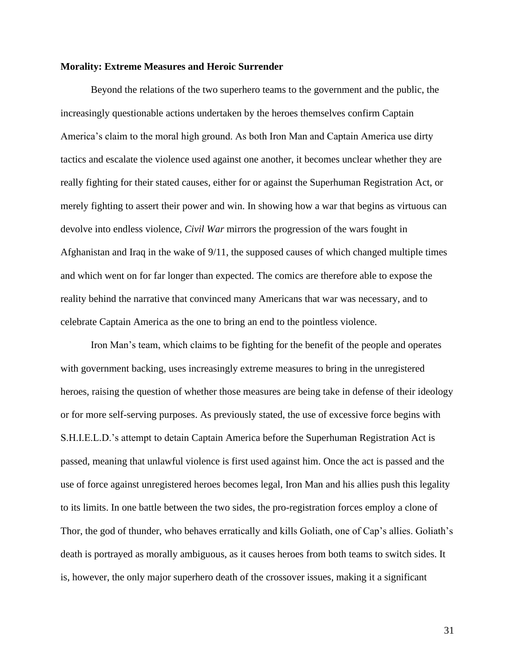#### **Morality: Extreme Measures and Heroic Surrender**

Beyond the relations of the two superhero teams to the government and the public, the increasingly questionable actions undertaken by the heroes themselves confirm Captain America's claim to the moral high ground. As both Iron Man and Captain America use dirty tactics and escalate the violence used against one another, it becomes unclear whether they are really fighting for their stated causes, either for or against the Superhuman Registration Act, or merely fighting to assert their power and win. In showing how a war that begins as virtuous can devolve into endless violence, *Civil War* mirrors the progression of the wars fought in Afghanistan and Iraq in the wake of 9/11, the supposed causes of which changed multiple times and which went on for far longer than expected. The comics are therefore able to expose the reality behind the narrative that convinced many Americans that war was necessary, and to celebrate Captain America as the one to bring an end to the pointless violence.

Iron Man's team, which claims to be fighting for the benefit of the people and operates with government backing, uses increasingly extreme measures to bring in the unregistered heroes, raising the question of whether those measures are being take in defense of their ideology or for more self-serving purposes. As previously stated, the use of excessive force begins with S.H.I.E.L.D.'s attempt to detain Captain America before the Superhuman Registration Act is passed, meaning that unlawful violence is first used against him. Once the act is passed and the use of force against unregistered heroes becomes legal, Iron Man and his allies push this legality to its limits. In one battle between the two sides, the pro-registration forces employ a clone of Thor, the god of thunder, who behaves erratically and kills Goliath, one of Cap's allies. Goliath's death is portrayed as morally ambiguous, as it causes heroes from both teams to switch sides. It is, however, the only major superhero death of the crossover issues, making it a significant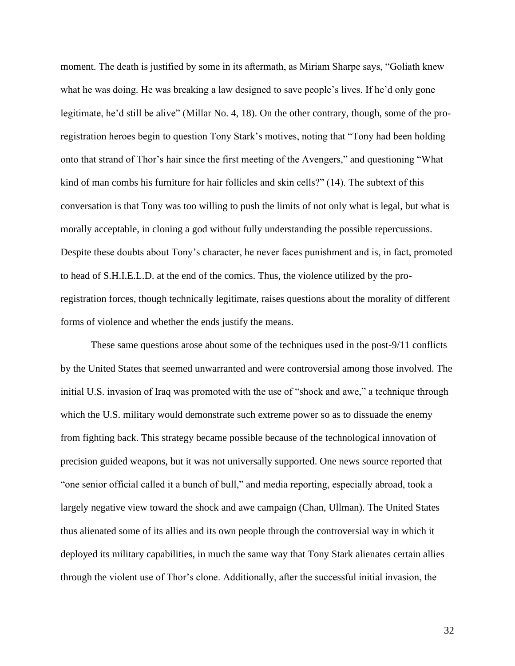moment. The death is justified by some in its aftermath, as Miriam Sharpe says, "Goliath knew what he was doing. He was breaking a law designed to save people's lives. If he'd only gone legitimate, he'd still be alive" (Millar No. 4, 18). On the other contrary, though, some of the proregistration heroes begin to question Tony Stark's motives, noting that "Tony had been holding onto that strand of Thor's hair since the first meeting of the Avengers," and questioning "What kind of man combs his furniture for hair follicles and skin cells?" (14). The subtext of this conversation is that Tony was too willing to push the limits of not only what is legal, but what is morally acceptable, in cloning a god without fully understanding the possible repercussions. Despite these doubts about Tony's character, he never faces punishment and is, in fact, promoted to head of S.H.I.E.L.D. at the end of the comics. Thus, the violence utilized by the proregistration forces, though technically legitimate, raises questions about the morality of different forms of violence and whether the ends justify the means.

These same questions arose about some of the techniques used in the post-9/11 conflicts by the United States that seemed unwarranted and were controversial among those involved. The initial U.S. invasion of Iraq was promoted with the use of "shock and awe," a technique through which the U.S. military would demonstrate such extreme power so as to dissuade the enemy from fighting back. This strategy became possible because of the technological innovation of precision guided weapons, but it was not universally supported. One news source reported that "one senior official called it a bunch of bull," and media reporting, especially abroad, took a largely negative view toward the shock and awe campaign (Chan, Ullman). The United States thus alienated some of its allies and its own people through the controversial way in which it deployed its military capabilities, in much the same way that Tony Stark alienates certain allies through the violent use of Thor's clone. Additionally, after the successful initial invasion, the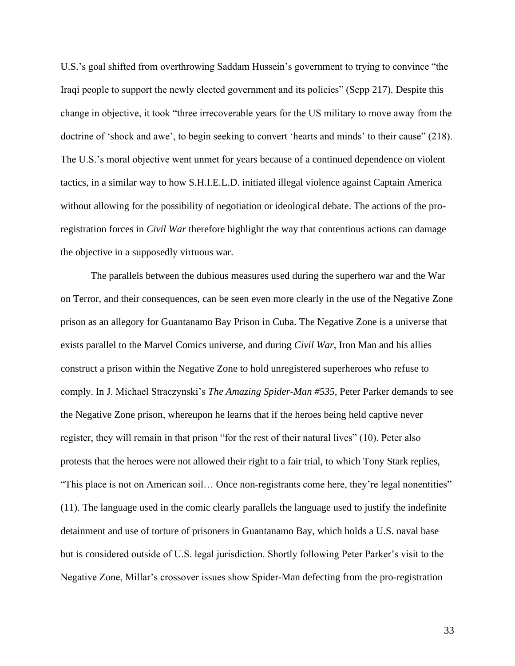U.S.'s goal shifted from overthrowing Saddam Hussein's government to trying to convince "the Iraqi people to support the newly elected government and its policies" (Sepp 217). Despite this change in objective, it took "three irrecoverable years for the US military to move away from the doctrine of 'shock and awe', to begin seeking to convert 'hearts and minds' to their cause" (218). The U.S.'s moral objective went unmet for years because of a continued dependence on violent tactics, in a similar way to how S.H.I.E.L.D. initiated illegal violence against Captain America without allowing for the possibility of negotiation or ideological debate. The actions of the proregistration forces in *Civil War* therefore highlight the way that contentious actions can damage the objective in a supposedly virtuous war.

The parallels between the dubious measures used during the superhero war and the War on Terror, and their consequences, can be seen even more clearly in the use of the Negative Zone prison as an allegory for Guantanamo Bay Prison in Cuba. The Negative Zone is a universe that exists parallel to the Marvel Comics universe, and during *Civil War*, Iron Man and his allies construct a prison within the Negative Zone to hold unregistered superheroes who refuse to comply. In J. Michael Straczynski's *The Amazing Spider-Man #535*, Peter Parker demands to see the Negative Zone prison, whereupon he learns that if the heroes being held captive never register, they will remain in that prison "for the rest of their natural lives" (10). Peter also protests that the heroes were not allowed their right to a fair trial, to which Tony Stark replies, "This place is not on American soil… Once non-registrants come here, they're legal nonentities" (11). The language used in the comic clearly parallels the language used to justify the indefinite detainment and use of torture of prisoners in Guantanamo Bay, which holds a U.S. naval base but is considered outside of U.S. legal jurisdiction. Shortly following Peter Parker's visit to the Negative Zone, Millar's crossover issues show Spider-Man defecting from the pro-registration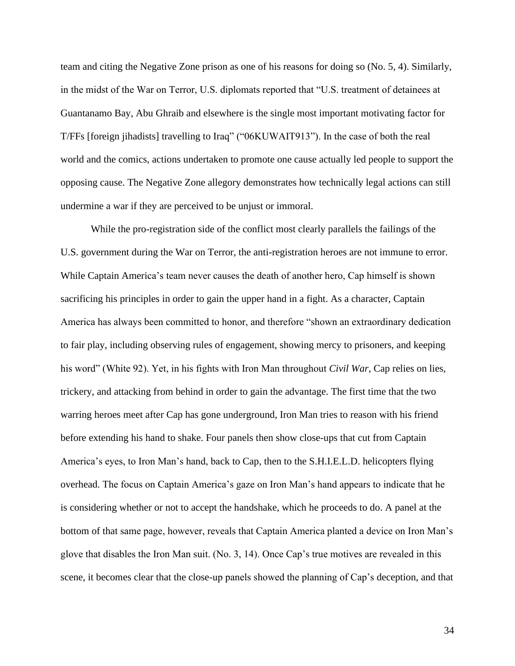team and citing the Negative Zone prison as one of his reasons for doing so (No. 5, 4). Similarly, in the midst of the War on Terror, U.S. diplomats reported that "U.S. treatment of detainees at Guantanamo Bay, Abu Ghraib and elsewhere is the single most important motivating factor for T/FFs [foreign jihadists] travelling to Iraq" ("06KUWAIT913"). In the case of both the real world and the comics, actions undertaken to promote one cause actually led people to support the opposing cause. The Negative Zone allegory demonstrates how technically legal actions can still undermine a war if they are perceived to be unjust or immoral.

While the pro-registration side of the conflict most clearly parallels the failings of the U.S. government during the War on Terror, the anti-registration heroes are not immune to error. While Captain America's team never causes the death of another hero, Cap himself is shown sacrificing his principles in order to gain the upper hand in a fight. As a character, Captain America has always been committed to honor, and therefore "shown an extraordinary dedication to fair play, including observing rules of engagement, showing mercy to prisoners, and keeping his word" (White 92). Yet, in his fights with Iron Man throughout *Civil War*, Cap relies on lies, trickery, and attacking from behind in order to gain the advantage. The first time that the two warring heroes meet after Cap has gone underground, Iron Man tries to reason with his friend before extending his hand to shake. Four panels then show close-ups that cut from Captain America's eyes, to Iron Man's hand, back to Cap, then to the S.H.I.E.L.D. helicopters flying overhead. The focus on Captain America's gaze on Iron Man's hand appears to indicate that he is considering whether or not to accept the handshake, which he proceeds to do. A panel at the bottom of that same page, however, reveals that Captain America planted a device on Iron Man's glove that disables the Iron Man suit. (No. 3, 14). Once Cap's true motives are revealed in this scene, it becomes clear that the close-up panels showed the planning of Cap's deception, and that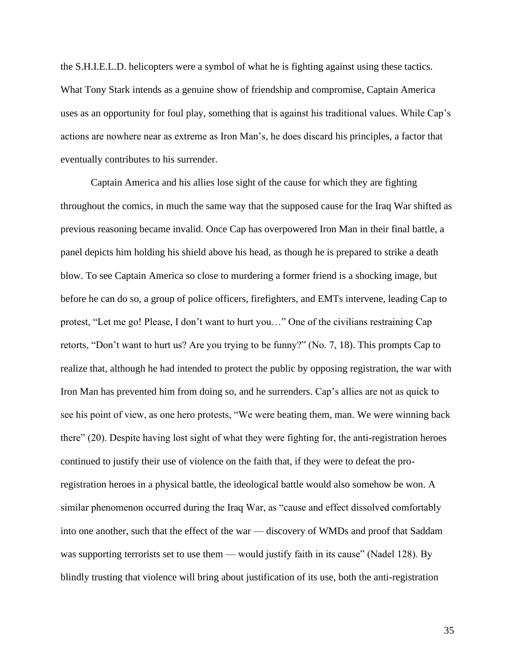the S.H.I.E.L.D. helicopters were a symbol of what he is fighting against using these tactics. What Tony Stark intends as a genuine show of friendship and compromise, Captain America uses as an opportunity for foul play, something that is against his traditional values. While Cap's actions are nowhere near as extreme as Iron Man's, he does discard his principles, a factor that eventually contributes to his surrender.

Captain America and his allies lose sight of the cause for which they are fighting throughout the comics, in much the same way that the supposed cause for the Iraq War shifted as previous reasoning became invalid. Once Cap has overpowered Iron Man in their final battle, a panel depicts him holding his shield above his head, as though he is prepared to strike a death blow. To see Captain America so close to murdering a former friend is a shocking image, but before he can do so, a group of police officers, firefighters, and EMTs intervene, leading Cap to protest, "Let me go! Please, I don't want to hurt you…" One of the civilians restraining Cap retorts, "Don't want to hurt us? Are you trying to be funny?" (No. 7, 18). This prompts Cap to realize that, although he had intended to protect the public by opposing registration, the war with Iron Man has prevented him from doing so, and he surrenders. Cap's allies are not as quick to see his point of view, as one hero protests, "We were beating them, man. We were winning back there" (20). Despite having lost sight of what they were fighting for, the anti-registration heroes continued to justify their use of violence on the faith that, if they were to defeat the proregistration heroes in a physical battle, the ideological battle would also somehow be won. A similar phenomenon occurred during the Iraq War, as "cause and effect dissolved comfortably into one another, such that the effect of the war — discovery of WMDs and proof that Saddam was supporting terrorists set to use them — would justify faith in its cause" (Nadel 128). By blindly trusting that violence will bring about justification of its use, both the anti-registration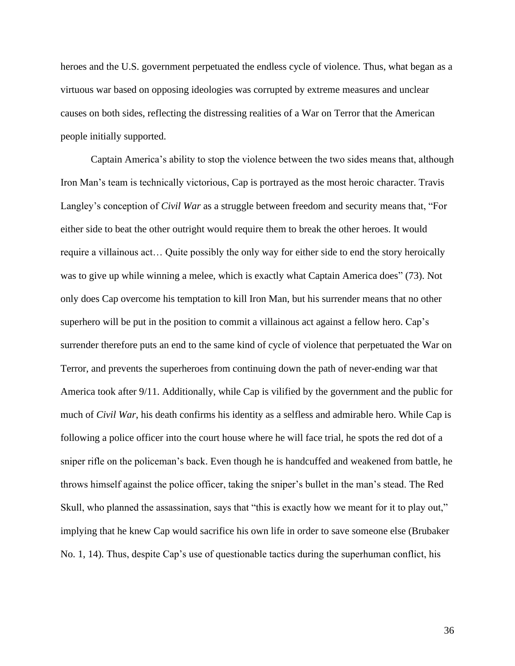heroes and the U.S. government perpetuated the endless cycle of violence. Thus, what began as a virtuous war based on opposing ideologies was corrupted by extreme measures and unclear causes on both sides, reflecting the distressing realities of a War on Terror that the American people initially supported.

Captain America's ability to stop the violence between the two sides means that, although Iron Man's team is technically victorious, Cap is portrayed as the most heroic character. Travis Langley's conception of *Civil War* as a struggle between freedom and security means that, "For either side to beat the other outright would require them to break the other heroes. It would require a villainous act… Quite possibly the only way for either side to end the story heroically was to give up while winning a melee, which is exactly what Captain America does" (73). Not only does Cap overcome his temptation to kill Iron Man, but his surrender means that no other superhero will be put in the position to commit a villainous act against a fellow hero. Cap's surrender therefore puts an end to the same kind of cycle of violence that perpetuated the War on Terror, and prevents the superheroes from continuing down the path of never-ending war that America took after 9/11. Additionally, while Cap is vilified by the government and the public for much of *Civil War*, his death confirms his identity as a selfless and admirable hero. While Cap is following a police officer into the court house where he will face trial, he spots the red dot of a sniper rifle on the policeman's back. Even though he is handcuffed and weakened from battle, he throws himself against the police officer, taking the sniper's bullet in the man's stead. The Red Skull, who planned the assassination, says that "this is exactly how we meant for it to play out," implying that he knew Cap would sacrifice his own life in order to save someone else (Brubaker No. 1, 14). Thus, despite Cap's use of questionable tactics during the superhuman conflict, his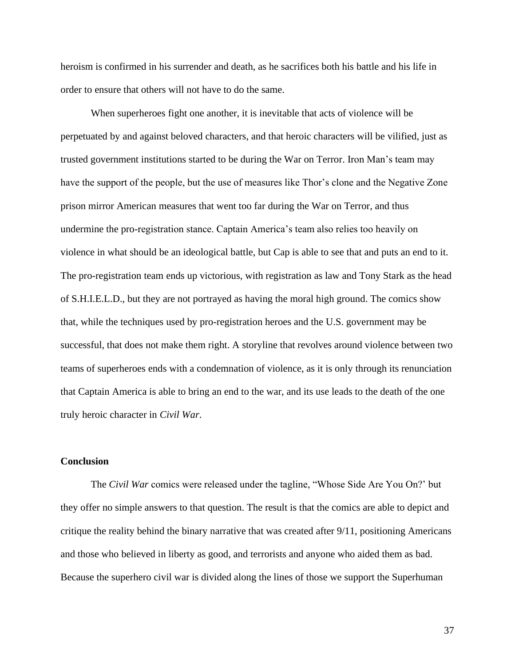heroism is confirmed in his surrender and death, as he sacrifices both his battle and his life in order to ensure that others will not have to do the same.

When superheroes fight one another, it is inevitable that acts of violence will be perpetuated by and against beloved characters, and that heroic characters will be vilified, just as trusted government institutions started to be during the War on Terror. Iron Man's team may have the support of the people, but the use of measures like Thor's clone and the Negative Zone prison mirror American measures that went too far during the War on Terror, and thus undermine the pro-registration stance. Captain America's team also relies too heavily on violence in what should be an ideological battle, but Cap is able to see that and puts an end to it. The pro-registration team ends up victorious, with registration as law and Tony Stark as the head of S.H.I.E.L.D., but they are not portrayed as having the moral high ground. The comics show that, while the techniques used by pro-registration heroes and the U.S. government may be successful, that does not make them right. A storyline that revolves around violence between two teams of superheroes ends with a condemnation of violence, as it is only through its renunciation that Captain America is able to bring an end to the war, and its use leads to the death of the one truly heroic character in *Civil War*.

## **Conclusion**

The *Civil War* comics were released under the tagline, "Whose Side Are You On?' but they offer no simple answers to that question. The result is that the comics are able to depict and critique the reality behind the binary narrative that was created after 9/11, positioning Americans and those who believed in liberty as good, and terrorists and anyone who aided them as bad. Because the superhero civil war is divided along the lines of those we support the Superhuman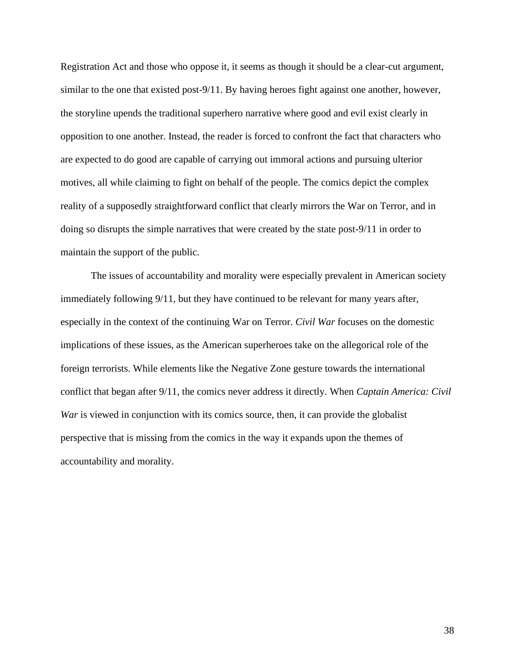Registration Act and those who oppose it, it seems as though it should be a clear-cut argument, similar to the one that existed post-9/11. By having heroes fight against one another, however, the storyline upends the traditional superhero narrative where good and evil exist clearly in opposition to one another. Instead, the reader is forced to confront the fact that characters who are expected to do good are capable of carrying out immoral actions and pursuing ulterior motives, all while claiming to fight on behalf of the people. The comics depict the complex reality of a supposedly straightforward conflict that clearly mirrors the War on Terror, and in doing so disrupts the simple narratives that were created by the state post-9/11 in order to maintain the support of the public.

The issues of accountability and morality were especially prevalent in American society immediately following 9/11, but they have continued to be relevant for many years after, especially in the context of the continuing War on Terror. *Civil War* focuses on the domestic implications of these issues, as the American superheroes take on the allegorical role of the foreign terrorists. While elements like the Negative Zone gesture towards the international conflict that began after 9/11, the comics never address it directly. When *Captain America: Civil War* is viewed in conjunction with its comics source, then, it can provide the globalist perspective that is missing from the comics in the way it expands upon the themes of accountability and morality.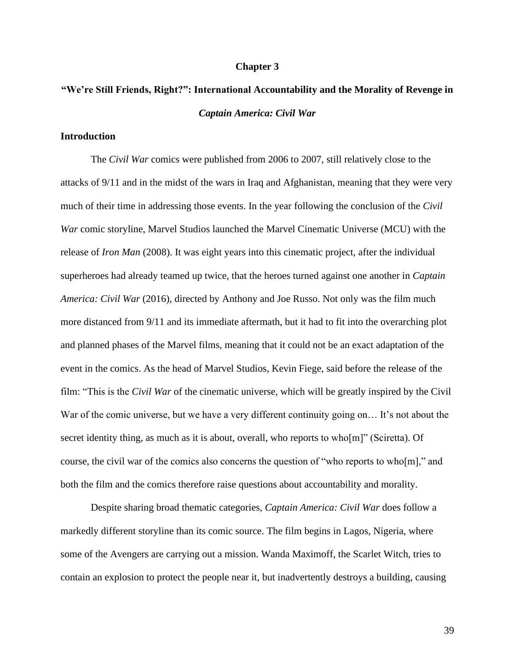#### **Chapter 3**

# **"We're Still Friends, Right?": International Accountability and the Morality of Revenge in**  *Captain America: Civil War*

## **Introduction**

The *Civil War* comics were published from 2006 to 2007, still relatively close to the attacks of 9/11 and in the midst of the wars in Iraq and Afghanistan, meaning that they were very much of their time in addressing those events. In the year following the conclusion of the *Civil War* comic storyline, Marvel Studios launched the Marvel Cinematic Universe (MCU) with the release of *Iron Man* (2008). It was eight years into this cinematic project, after the individual superheroes had already teamed up twice, that the heroes turned against one another in *Captain America: Civil War* (2016), directed by Anthony and Joe Russo. Not only was the film much more distanced from 9/11 and its immediate aftermath, but it had to fit into the overarching plot and planned phases of the Marvel films, meaning that it could not be an exact adaptation of the event in the comics. As the head of Marvel Studios, Kevin Fiege, said before the release of the film: "This is the *Civil War* of the cinematic universe, which will be greatly inspired by the Civil War of the comic universe, but we have a very different continuity going on... It's not about the secret identity thing, as much as it is about, overall, who reports to who[m]" (Sciretta). Of course, the civil war of the comics also concerns the question of "who reports to who[m]," and both the film and the comics therefore raise questions about accountability and morality.

Despite sharing broad thematic categories, *Captain America: Civil War* does follow a markedly different storyline than its comic source. The film begins in Lagos, Nigeria, where some of the Avengers are carrying out a mission. Wanda Maximoff, the Scarlet Witch, tries to contain an explosion to protect the people near it, but inadvertently destroys a building, causing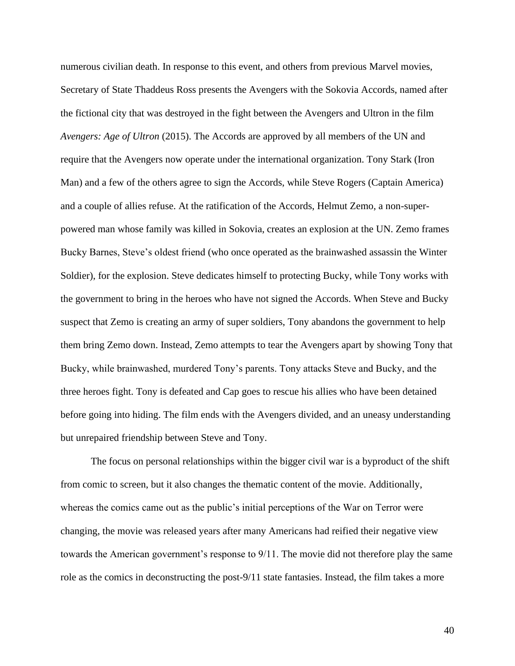numerous civilian death. In response to this event, and others from previous Marvel movies, Secretary of State Thaddeus Ross presents the Avengers with the Sokovia Accords, named after the fictional city that was destroyed in the fight between the Avengers and Ultron in the film *Avengers: Age of Ultron* (2015). The Accords are approved by all members of the UN and require that the Avengers now operate under the international organization. Tony Stark (Iron Man) and a few of the others agree to sign the Accords, while Steve Rogers (Captain America) and a couple of allies refuse. At the ratification of the Accords, Helmut Zemo, a non-superpowered man whose family was killed in Sokovia, creates an explosion at the UN. Zemo frames Bucky Barnes, Steve's oldest friend (who once operated as the brainwashed assassin the Winter Soldier), for the explosion. Steve dedicates himself to protecting Bucky, while Tony works with the government to bring in the heroes who have not signed the Accords. When Steve and Bucky suspect that Zemo is creating an army of super soldiers, Tony abandons the government to help them bring Zemo down. Instead, Zemo attempts to tear the Avengers apart by showing Tony that Bucky, while brainwashed, murdered Tony's parents. Tony attacks Steve and Bucky, and the three heroes fight. Tony is defeated and Cap goes to rescue his allies who have been detained before going into hiding. The film ends with the Avengers divided, and an uneasy understanding but unrepaired friendship between Steve and Tony.

The focus on personal relationships within the bigger civil war is a byproduct of the shift from comic to screen, but it also changes the thematic content of the movie. Additionally, whereas the comics came out as the public's initial perceptions of the War on Terror were changing, the movie was released years after many Americans had reified their negative view towards the American government's response to 9/11. The movie did not therefore play the same role as the comics in deconstructing the post-9/11 state fantasies. Instead, the film takes a more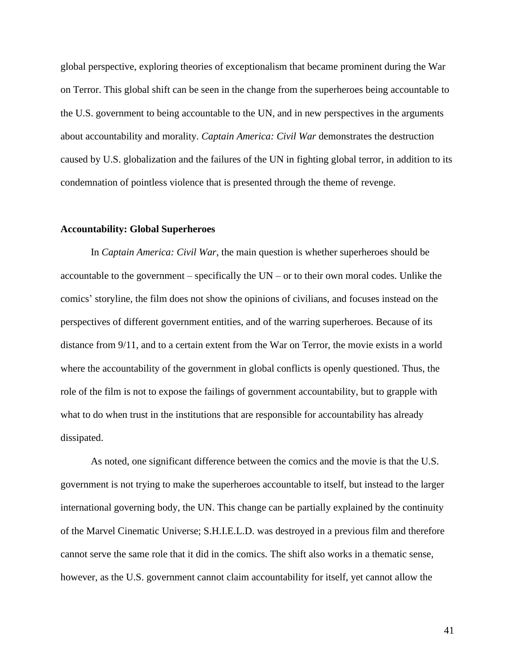global perspective, exploring theories of exceptionalism that became prominent during the War on Terror. This global shift can be seen in the change from the superheroes being accountable to the U.S. government to being accountable to the UN, and in new perspectives in the arguments about accountability and morality. *Captain America: Civil War* demonstrates the destruction caused by U.S. globalization and the failures of the UN in fighting global terror, in addition to its condemnation of pointless violence that is presented through the theme of revenge.

#### **Accountability: Global Superheroes**

In *Captain America: Civil War*, the main question is whether superheroes should be accountable to the government – specifically the UN – or to their own moral codes. Unlike the comics' storyline, the film does not show the opinions of civilians, and focuses instead on the perspectives of different government entities, and of the warring superheroes. Because of its distance from 9/11, and to a certain extent from the War on Terror, the movie exists in a world where the accountability of the government in global conflicts is openly questioned. Thus, the role of the film is not to expose the failings of government accountability, but to grapple with what to do when trust in the institutions that are responsible for accountability has already dissipated.

As noted, one significant difference between the comics and the movie is that the U.S. government is not trying to make the superheroes accountable to itself, but instead to the larger international governing body, the UN. This change can be partially explained by the continuity of the Marvel Cinematic Universe; S.H.I.E.L.D. was destroyed in a previous film and therefore cannot serve the same role that it did in the comics. The shift also works in a thematic sense, however, as the U.S. government cannot claim accountability for itself, yet cannot allow the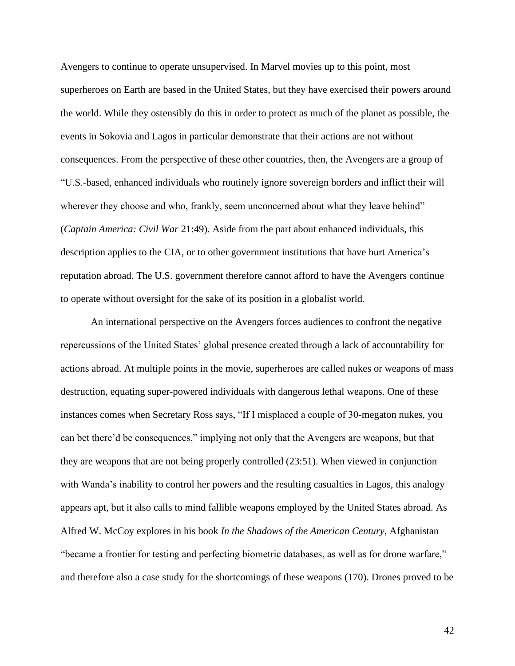Avengers to continue to operate unsupervised. In Marvel movies up to this point, most superheroes on Earth are based in the United States, but they have exercised their powers around the world. While they ostensibly do this in order to protect as much of the planet as possible, the events in Sokovia and Lagos in particular demonstrate that their actions are not without consequences. From the perspective of these other countries, then, the Avengers are a group of "U.S.-based, enhanced individuals who routinely ignore sovereign borders and inflict their will wherever they choose and who, frankly, seem unconcerned about what they leave behind" (*Captain America: Civil War* 21:49). Aside from the part about enhanced individuals, this description applies to the CIA, or to other government institutions that have hurt America's reputation abroad. The U.S. government therefore cannot afford to have the Avengers continue to operate without oversight for the sake of its position in a globalist world.

An international perspective on the Avengers forces audiences to confront the negative repercussions of the United States' global presence created through a lack of accountability for actions abroad. At multiple points in the movie, superheroes are called nukes or weapons of mass destruction, equating super-powered individuals with dangerous lethal weapons. One of these instances comes when Secretary Ross says, "If I misplaced a couple of 30-megaton nukes, you can bet there'd be consequences," implying not only that the Avengers are weapons, but that they are weapons that are not being properly controlled (23:51). When viewed in conjunction with Wanda's inability to control her powers and the resulting casualties in Lagos, this analogy appears apt, but it also calls to mind fallible weapons employed by the United States abroad. As Alfred W. McCoy explores in his book *In the Shadows of the American Century*, Afghanistan "became a frontier for testing and perfecting biometric databases, as well as for drone warfare," and therefore also a case study for the shortcomings of these weapons (170). Drones proved to be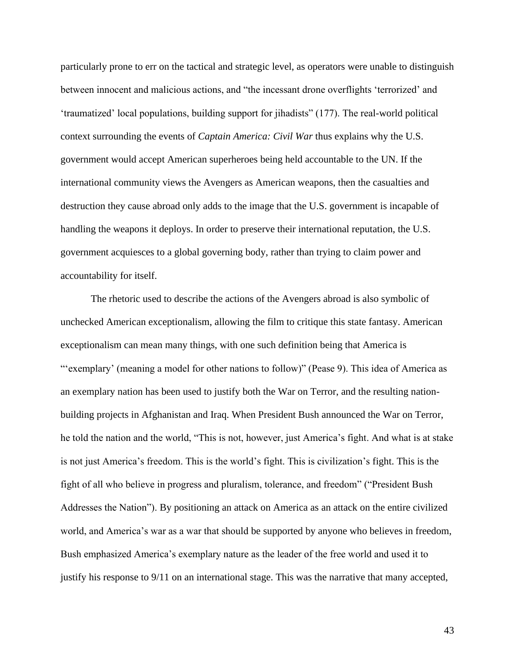particularly prone to err on the tactical and strategic level, as operators were unable to distinguish between innocent and malicious actions, and "the incessant drone overflights 'terrorized' and 'traumatized' local populations, building support for jihadists" (177). The real-world political context surrounding the events of *Captain America: Civil War* thus explains why the U.S. government would accept American superheroes being held accountable to the UN. If the international community views the Avengers as American weapons, then the casualties and destruction they cause abroad only adds to the image that the U.S. government is incapable of handling the weapons it deploys. In order to preserve their international reputation, the U.S. government acquiesces to a global governing body, rather than trying to claim power and accountability for itself.

The rhetoric used to describe the actions of the Avengers abroad is also symbolic of unchecked American exceptionalism, allowing the film to critique this state fantasy. American exceptionalism can mean many things, with one such definition being that America is "'exemplary' (meaning a model for other nations to follow)" (Pease 9). This idea of America as an exemplary nation has been used to justify both the War on Terror, and the resulting nationbuilding projects in Afghanistan and Iraq. When President Bush announced the War on Terror, he told the nation and the world, "This is not, however, just America's fight. And what is at stake is not just America's freedom. This is the world's fight. This is civilization's fight. This is the fight of all who believe in progress and pluralism, tolerance, and freedom" ("President Bush Addresses the Nation"). By positioning an attack on America as an attack on the entire civilized world, and America's war as a war that should be supported by anyone who believes in freedom, Bush emphasized America's exemplary nature as the leader of the free world and used it to justify his response to 9/11 on an international stage. This was the narrative that many accepted,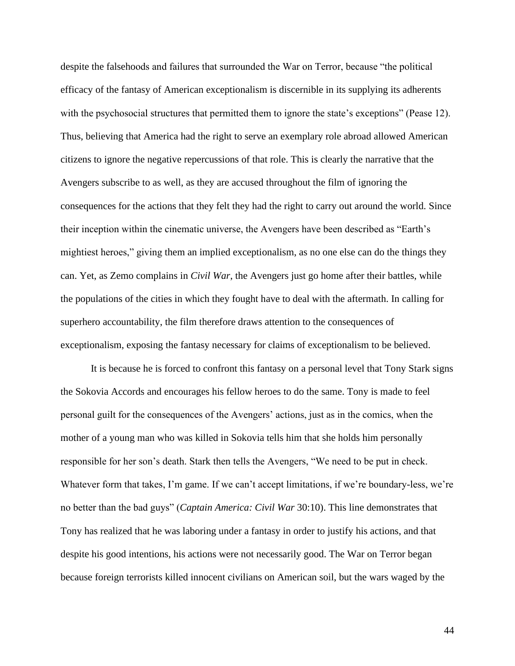despite the falsehoods and failures that surrounded the War on Terror, because "the political efficacy of the fantasy of American exceptionalism is discernible in its supplying its adherents with the psychosocial structures that permitted them to ignore the state's exceptions" (Pease 12). Thus, believing that America had the right to serve an exemplary role abroad allowed American citizens to ignore the negative repercussions of that role. This is clearly the narrative that the Avengers subscribe to as well, as they are accused throughout the film of ignoring the consequences for the actions that they felt they had the right to carry out around the world. Since their inception within the cinematic universe, the Avengers have been described as "Earth's mightiest heroes," giving them an implied exceptionalism, as no one else can do the things they can. Yet, as Zemo complains in *Civil War*, the Avengers just go home after their battles, while the populations of the cities in which they fought have to deal with the aftermath. In calling for superhero accountability, the film therefore draws attention to the consequences of exceptionalism, exposing the fantasy necessary for claims of exceptionalism to be believed.

It is because he is forced to confront this fantasy on a personal level that Tony Stark signs the Sokovia Accords and encourages his fellow heroes to do the same. Tony is made to feel personal guilt for the consequences of the Avengers' actions, just as in the comics, when the mother of a young man who was killed in Sokovia tells him that she holds him personally responsible for her son's death. Stark then tells the Avengers, "We need to be put in check. Whatever form that takes, I'm game. If we can't accept limitations, if we're boundary-less, we're no better than the bad guys" (*Captain America: Civil War* 30:10). This line demonstrates that Tony has realized that he was laboring under a fantasy in order to justify his actions, and that despite his good intentions, his actions were not necessarily good. The War on Terror began because foreign terrorists killed innocent civilians on American soil, but the wars waged by the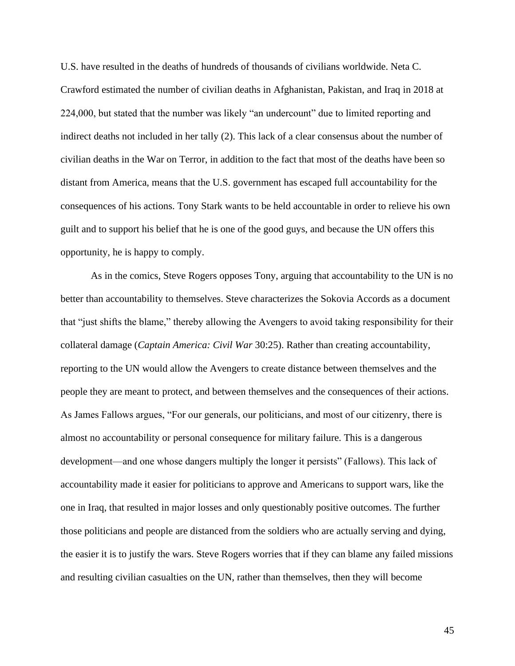U.S. have resulted in the deaths of hundreds of thousands of civilians worldwide. Neta C. Crawford estimated the number of civilian deaths in Afghanistan, Pakistan, and Iraq in 2018 at 224,000, but stated that the number was likely "an undercount" due to limited reporting and indirect deaths not included in her tally (2). This lack of a clear consensus about the number of civilian deaths in the War on Terror, in addition to the fact that most of the deaths have been so distant from America, means that the U.S. government has escaped full accountability for the consequences of his actions. Tony Stark wants to be held accountable in order to relieve his own guilt and to support his belief that he is one of the good guys, and because the UN offers this opportunity, he is happy to comply.

As in the comics, Steve Rogers opposes Tony, arguing that accountability to the UN is no better than accountability to themselves. Steve characterizes the Sokovia Accords as a document that "just shifts the blame," thereby allowing the Avengers to avoid taking responsibility for their collateral damage (*Captain America: Civil War* 30:25). Rather than creating accountability, reporting to the UN would allow the Avengers to create distance between themselves and the people they are meant to protect, and between themselves and the consequences of their actions. As James Fallows argues, "For our generals, our politicians, and most of our citizenry, there is almost no accountability or personal consequence for military failure. This is a dangerous development—and one whose dangers multiply the longer it persists" (Fallows). This lack of accountability made it easier for politicians to approve and Americans to support wars, like the one in Iraq, that resulted in major losses and only questionably positive outcomes. The further those politicians and people are distanced from the soldiers who are actually serving and dying, the easier it is to justify the wars. Steve Rogers worries that if they can blame any failed missions and resulting civilian casualties on the UN, rather than themselves, then they will become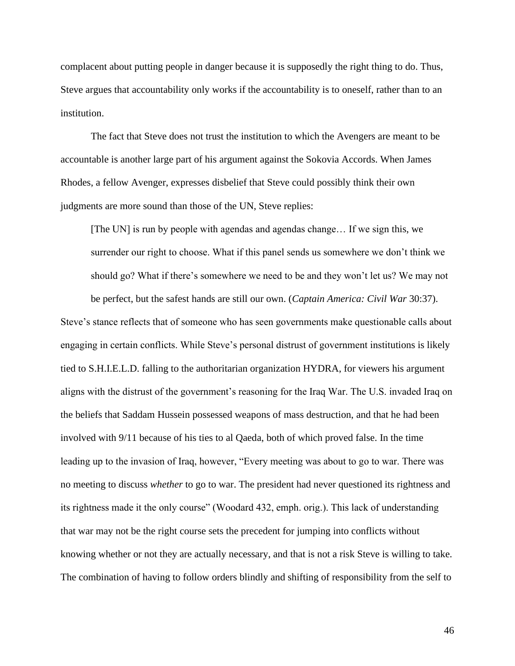complacent about putting people in danger because it is supposedly the right thing to do. Thus, Steve argues that accountability only works if the accountability is to oneself, rather than to an institution.

The fact that Steve does not trust the institution to which the Avengers are meant to be accountable is another large part of his argument against the Sokovia Accords. When James Rhodes, a fellow Avenger, expresses disbelief that Steve could possibly think their own judgments are more sound than those of the UN, Steve replies:

[The UN] is run by people with agendas and agendas change… If we sign this, we surrender our right to choose. What if this panel sends us somewhere we don't think we should go? What if there's somewhere we need to be and they won't let us? We may not

be perfect, but the safest hands are still our own. (*Captain America: Civil War* 30:37). Steve's stance reflects that of someone who has seen governments make questionable calls about engaging in certain conflicts. While Steve's personal distrust of government institutions is likely tied to S.H.I.E.L.D. falling to the authoritarian organization HYDRA, for viewers his argument aligns with the distrust of the government's reasoning for the Iraq War. The U.S. invaded Iraq on the beliefs that Saddam Hussein possessed weapons of mass destruction, and that he had been involved with 9/11 because of his ties to al Qaeda, both of which proved false. In the time leading up to the invasion of Iraq, however, "Every meeting was about to go to war. There was no meeting to discuss *whether* to go to war. The president had never questioned its rightness and its rightness made it the only course" (Woodard 432, emph. orig.). This lack of understanding that war may not be the right course sets the precedent for jumping into conflicts without knowing whether or not they are actually necessary, and that is not a risk Steve is willing to take. The combination of having to follow orders blindly and shifting of responsibility from the self to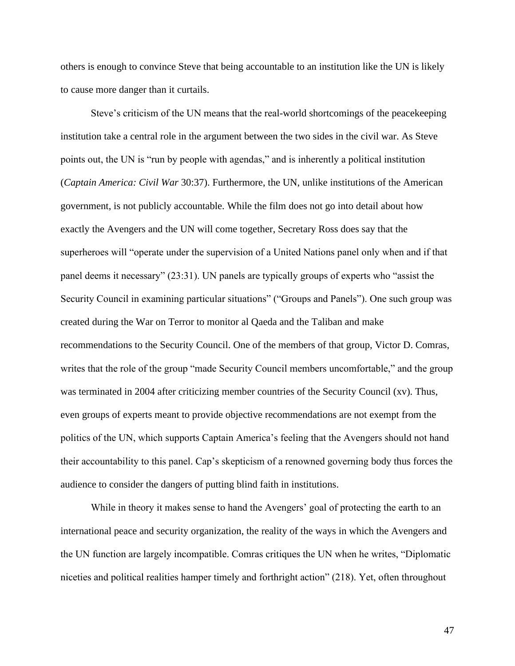others is enough to convince Steve that being accountable to an institution like the UN is likely to cause more danger than it curtails.

Steve's criticism of the UN means that the real-world shortcomings of the peacekeeping institution take a central role in the argument between the two sides in the civil war. As Steve points out, the UN is "run by people with agendas," and is inherently a political institution (*Captain America: Civil War* 30:37). Furthermore, the UN, unlike institutions of the American government, is not publicly accountable. While the film does not go into detail about how exactly the Avengers and the UN will come together, Secretary Ross does say that the superheroes will "operate under the supervision of a United Nations panel only when and if that panel deems it necessary" (23:31). UN panels are typically groups of experts who "assist the Security Council in examining particular situations" ("Groups and Panels"). One such group was created during the War on Terror to monitor al Qaeda and the Taliban and make recommendations to the Security Council. One of the members of that group, Victor D. Comras, writes that the role of the group "made Security Council members uncomfortable," and the group was terminated in 2004 after criticizing member countries of the Security Council (xv). Thus, even groups of experts meant to provide objective recommendations are not exempt from the politics of the UN, which supports Captain America's feeling that the Avengers should not hand their accountability to this panel. Cap's skepticism of a renowned governing body thus forces the audience to consider the dangers of putting blind faith in institutions.

While in theory it makes sense to hand the Avengers' goal of protecting the earth to an international peace and security organization, the reality of the ways in which the Avengers and the UN function are largely incompatible. Comras critiques the UN when he writes, "Diplomatic niceties and political realities hamper timely and forthright action" (218). Yet, often throughout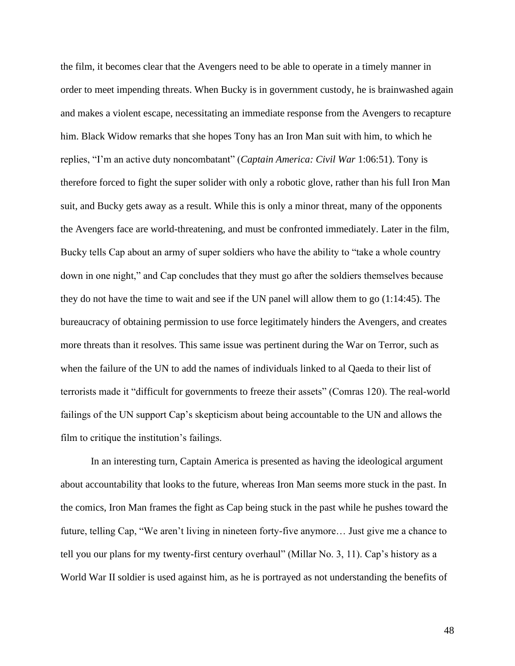the film, it becomes clear that the Avengers need to be able to operate in a timely manner in order to meet impending threats. When Bucky is in government custody, he is brainwashed again and makes a violent escape, necessitating an immediate response from the Avengers to recapture him. Black Widow remarks that she hopes Tony has an Iron Man suit with him, to which he replies, "I'm an active duty noncombatant" (*Captain America: Civil War* 1:06:51). Tony is therefore forced to fight the super solider with only a robotic glove, rather than his full Iron Man suit, and Bucky gets away as a result. While this is only a minor threat, many of the opponents the Avengers face are world-threatening, and must be confronted immediately. Later in the film, Bucky tells Cap about an army of super soldiers who have the ability to "take a whole country down in one night," and Cap concludes that they must go after the soldiers themselves because they do not have the time to wait and see if the UN panel will allow them to go (1:14:45). The bureaucracy of obtaining permission to use force legitimately hinders the Avengers, and creates more threats than it resolves. This same issue was pertinent during the War on Terror, such as when the failure of the UN to add the names of individuals linked to al Qaeda to their list of terrorists made it "difficult for governments to freeze their assets" (Comras 120). The real-world failings of the UN support Cap's skepticism about being accountable to the UN and allows the film to critique the institution's failings.

In an interesting turn, Captain America is presented as having the ideological argument about accountability that looks to the future, whereas Iron Man seems more stuck in the past. In the comics, Iron Man frames the fight as Cap being stuck in the past while he pushes toward the future, telling Cap, "We aren't living in nineteen forty-five anymore… Just give me a chance to tell you our plans for my twenty-first century overhaul" (Millar No. 3, 11). Cap's history as a World War II soldier is used against him, as he is portrayed as not understanding the benefits of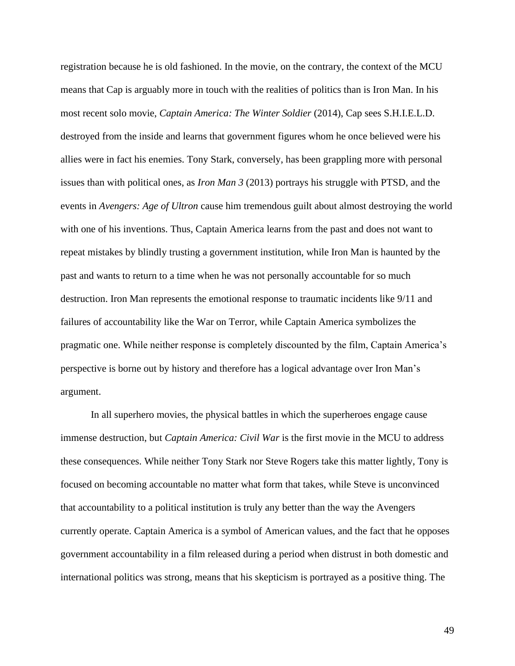registration because he is old fashioned. In the movie, on the contrary, the context of the MCU means that Cap is arguably more in touch with the realities of politics than is Iron Man. In his most recent solo movie, *Captain America: The Winter Soldier* (2014), Cap sees S.H.I.E.L.D. destroyed from the inside and learns that government figures whom he once believed were his allies were in fact his enemies. Tony Stark, conversely, has been grappling more with personal issues than with political ones, as *Iron Man 3* (2013) portrays his struggle with PTSD, and the events in *Avengers: Age of Ultron* cause him tremendous guilt about almost destroying the world with one of his inventions. Thus, Captain America learns from the past and does not want to repeat mistakes by blindly trusting a government institution, while Iron Man is haunted by the past and wants to return to a time when he was not personally accountable for so much destruction. Iron Man represents the emotional response to traumatic incidents like 9/11 and failures of accountability like the War on Terror, while Captain America symbolizes the pragmatic one. While neither response is completely discounted by the film, Captain America's perspective is borne out by history and therefore has a logical advantage over Iron Man's argument.

In all superhero movies, the physical battles in which the superheroes engage cause immense destruction, but *Captain America: Civil War* is the first movie in the MCU to address these consequences. While neither Tony Stark nor Steve Rogers take this matter lightly, Tony is focused on becoming accountable no matter what form that takes, while Steve is unconvinced that accountability to a political institution is truly any better than the way the Avengers currently operate. Captain America is a symbol of American values, and the fact that he opposes government accountability in a film released during a period when distrust in both domestic and international politics was strong, means that his skepticism is portrayed as a positive thing. The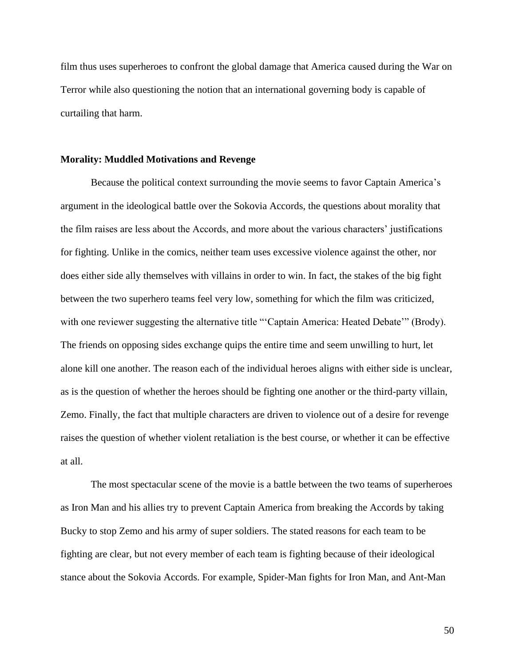film thus uses superheroes to confront the global damage that America caused during the War on Terror while also questioning the notion that an international governing body is capable of curtailing that harm.

#### **Morality: Muddled Motivations and Revenge**

Because the political context surrounding the movie seems to favor Captain America's argument in the ideological battle over the Sokovia Accords, the questions about morality that the film raises are less about the Accords, and more about the various characters' justifications for fighting. Unlike in the comics, neither team uses excessive violence against the other, nor does either side ally themselves with villains in order to win. In fact, the stakes of the big fight between the two superhero teams feel very low, something for which the film was criticized, with one reviewer suggesting the alternative title "'Captain America: Heated Debate'" (Brody). The friends on opposing sides exchange quips the entire time and seem unwilling to hurt, let alone kill one another. The reason each of the individual heroes aligns with either side is unclear, as is the question of whether the heroes should be fighting one another or the third-party villain, Zemo. Finally, the fact that multiple characters are driven to violence out of a desire for revenge raises the question of whether violent retaliation is the best course, or whether it can be effective at all.

The most spectacular scene of the movie is a battle between the two teams of superheroes as Iron Man and his allies try to prevent Captain America from breaking the Accords by taking Bucky to stop Zemo and his army of super soldiers. The stated reasons for each team to be fighting are clear, but not every member of each team is fighting because of their ideological stance about the Sokovia Accords. For example, Spider-Man fights for Iron Man, and Ant-Man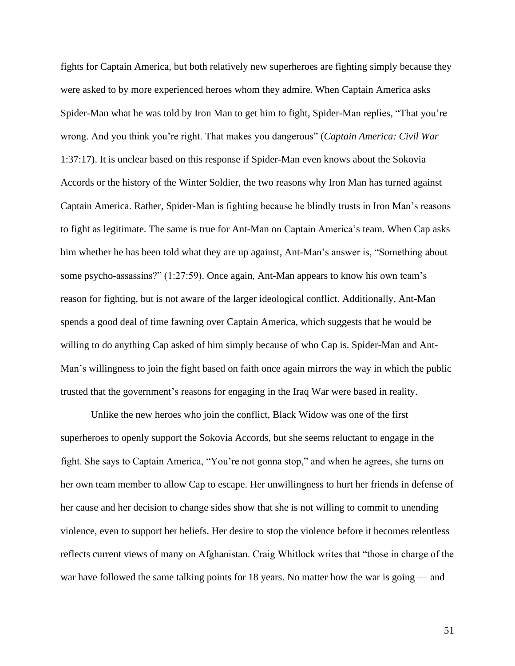fights for Captain America, but both relatively new superheroes are fighting simply because they were asked to by more experienced heroes whom they admire. When Captain America asks Spider-Man what he was told by Iron Man to get him to fight, Spider-Man replies, "That you're wrong. And you think you're right. That makes you dangerous" (*Captain America: Civil War* 1:37:17). It is unclear based on this response if Spider-Man even knows about the Sokovia Accords or the history of the Winter Soldier, the two reasons why Iron Man has turned against Captain America. Rather, Spider-Man is fighting because he blindly trusts in Iron Man's reasons to fight as legitimate. The same is true for Ant-Man on Captain America's team. When Cap asks him whether he has been told what they are up against, Ant-Man's answer is, "Something about some psycho-assassins?" (1:27:59). Once again, Ant-Man appears to know his own team's reason for fighting, but is not aware of the larger ideological conflict. Additionally, Ant-Man spends a good deal of time fawning over Captain America, which suggests that he would be willing to do anything Cap asked of him simply because of who Cap is. Spider-Man and Ant-Man's willingness to join the fight based on faith once again mirrors the way in which the public trusted that the government's reasons for engaging in the Iraq War were based in reality.

Unlike the new heroes who join the conflict, Black Widow was one of the first superheroes to openly support the Sokovia Accords, but she seems reluctant to engage in the fight. She says to Captain America, "You're not gonna stop," and when he agrees, she turns on her own team member to allow Cap to escape. Her unwillingness to hurt her friends in defense of her cause and her decision to change sides show that she is not willing to commit to unending violence, even to support her beliefs. Her desire to stop the violence before it becomes relentless reflects current views of many on Afghanistan. Craig Whitlock writes that "those in charge of the war have followed the same talking points for 18 years. No matter how the war is going — and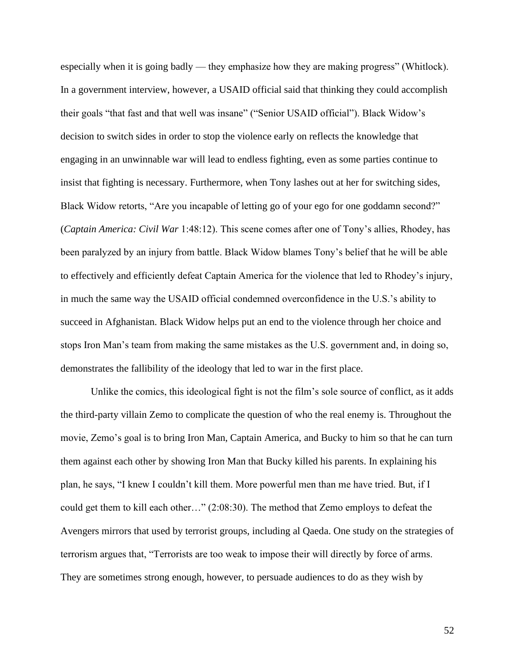especially when it is going badly — they emphasize how they are making progress" (Whitlock). In a government interview, however, a USAID official said that thinking they could accomplish their goals "that fast and that well was insane" ("Senior USAID official"). Black Widow's decision to switch sides in order to stop the violence early on reflects the knowledge that engaging in an unwinnable war will lead to endless fighting, even as some parties continue to insist that fighting is necessary. Furthermore, when Tony lashes out at her for switching sides, Black Widow retorts, "Are you incapable of letting go of your ego for one goddamn second?" (*Captain America: Civil War* 1:48:12). This scene comes after one of Tony's allies, Rhodey, has been paralyzed by an injury from battle. Black Widow blames Tony's belief that he will be able to effectively and efficiently defeat Captain America for the violence that led to Rhodey's injury, in much the same way the USAID official condemned overconfidence in the U.S.'s ability to succeed in Afghanistan. Black Widow helps put an end to the violence through her choice and stops Iron Man's team from making the same mistakes as the U.S. government and, in doing so, demonstrates the fallibility of the ideology that led to war in the first place.

Unlike the comics, this ideological fight is not the film's sole source of conflict, as it adds the third-party villain Zemo to complicate the question of who the real enemy is. Throughout the movie, Zemo's goal is to bring Iron Man, Captain America, and Bucky to him so that he can turn them against each other by showing Iron Man that Bucky killed his parents. In explaining his plan, he says, "I knew I couldn't kill them. More powerful men than me have tried. But, if I could get them to kill each other…" (2:08:30). The method that Zemo employs to defeat the Avengers mirrors that used by terrorist groups, including al Qaeda. One study on the strategies of terrorism argues that, "Terrorists are too weak to impose their will directly by force of arms. They are sometimes strong enough, however, to persuade audiences to do as they wish by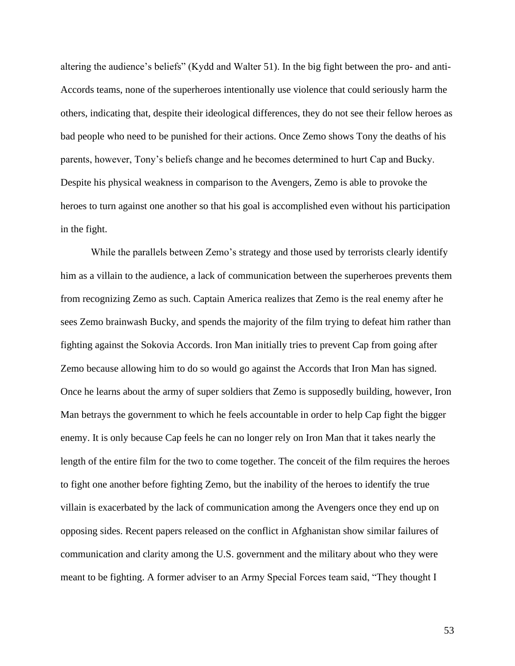altering the audience's beliefs" (Kydd and Walter 51). In the big fight between the pro- and anti-Accords teams, none of the superheroes intentionally use violence that could seriously harm the others, indicating that, despite their ideological differences, they do not see their fellow heroes as bad people who need to be punished for their actions. Once Zemo shows Tony the deaths of his parents, however, Tony's beliefs change and he becomes determined to hurt Cap and Bucky. Despite his physical weakness in comparison to the Avengers, Zemo is able to provoke the heroes to turn against one another so that his goal is accomplished even without his participation in the fight.

While the parallels between Zemo's strategy and those used by terrorists clearly identify him as a villain to the audience, a lack of communication between the superheroes prevents them from recognizing Zemo as such. Captain America realizes that Zemo is the real enemy after he sees Zemo brainwash Bucky, and spends the majority of the film trying to defeat him rather than fighting against the Sokovia Accords. Iron Man initially tries to prevent Cap from going after Zemo because allowing him to do so would go against the Accords that Iron Man has signed. Once he learns about the army of super soldiers that Zemo is supposedly building, however, Iron Man betrays the government to which he feels accountable in order to help Cap fight the bigger enemy. It is only because Cap feels he can no longer rely on Iron Man that it takes nearly the length of the entire film for the two to come together. The conceit of the film requires the heroes to fight one another before fighting Zemo, but the inability of the heroes to identify the true villain is exacerbated by the lack of communication among the Avengers once they end up on opposing sides. Recent papers released on the conflict in Afghanistan show similar failures of communication and clarity among the U.S. government and the military about who they were meant to be fighting. A former adviser to an Army Special Forces team said, "They thought I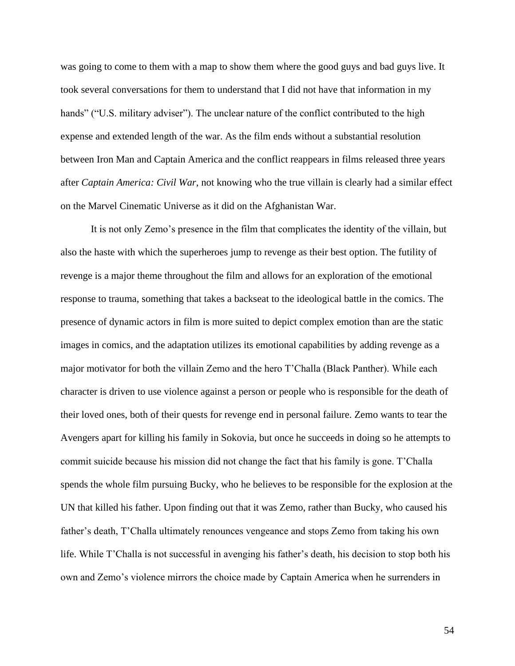was going to come to them with a map to show them where the good guys and bad guys live. It took several conversations for them to understand that I did not have that information in my hands" ("U.S. military adviser"). The unclear nature of the conflict contributed to the high expense and extended length of the war. As the film ends without a substantial resolution between Iron Man and Captain America and the conflict reappears in films released three years after *Captain America: Civil War*, not knowing who the true villain is clearly had a similar effect on the Marvel Cinematic Universe as it did on the Afghanistan War.

It is not only Zemo's presence in the film that complicates the identity of the villain, but also the haste with which the superheroes jump to revenge as their best option. The futility of revenge is a major theme throughout the film and allows for an exploration of the emotional response to trauma, something that takes a backseat to the ideological battle in the comics. The presence of dynamic actors in film is more suited to depict complex emotion than are the static images in comics, and the adaptation utilizes its emotional capabilities by adding revenge as a major motivator for both the villain Zemo and the hero T'Challa (Black Panther). While each character is driven to use violence against a person or people who is responsible for the death of their loved ones, both of their quests for revenge end in personal failure. Zemo wants to tear the Avengers apart for killing his family in Sokovia, but once he succeeds in doing so he attempts to commit suicide because his mission did not change the fact that his family is gone. T'Challa spends the whole film pursuing Bucky, who he believes to be responsible for the explosion at the UN that killed his father. Upon finding out that it was Zemo, rather than Bucky, who caused his father's death, T'Challa ultimately renounces vengeance and stops Zemo from taking his own life. While T'Challa is not successful in avenging his father's death, his decision to stop both his own and Zemo's violence mirrors the choice made by Captain America when he surrenders in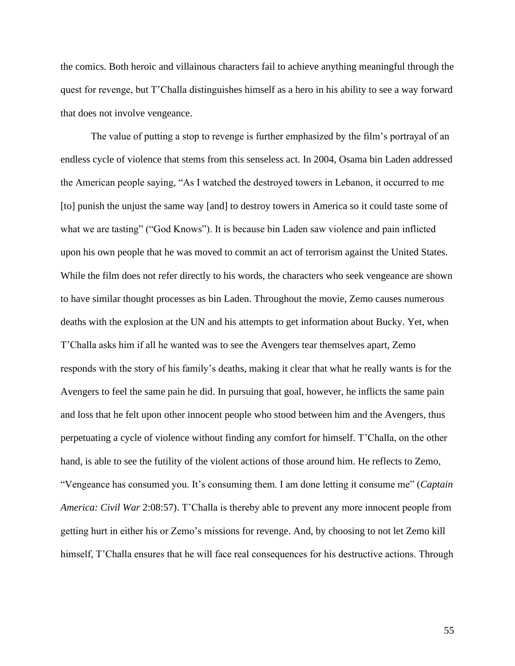the comics. Both heroic and villainous characters fail to achieve anything meaningful through the quest for revenge, but T'Challa distinguishes himself as a hero in his ability to see a way forward that does not involve vengeance.

The value of putting a stop to revenge is further emphasized by the film's portrayal of an endless cycle of violence that stems from this senseless act. In 2004, Osama bin Laden addressed the American people saying, "As I watched the destroyed towers in Lebanon, it occurred to me [to] punish the unjust the same way [and] to destroy towers in America so it could taste some of what we are tasting" ("God Knows"). It is because bin Laden saw violence and pain inflicted upon his own people that he was moved to commit an act of terrorism against the United States. While the film does not refer directly to his words, the characters who seek vengeance are shown to have similar thought processes as bin Laden. Throughout the movie, Zemo causes numerous deaths with the explosion at the UN and his attempts to get information about Bucky. Yet, when T'Challa asks him if all he wanted was to see the Avengers tear themselves apart, Zemo responds with the story of his family's deaths, making it clear that what he really wants is for the Avengers to feel the same pain he did. In pursuing that goal, however, he inflicts the same pain and loss that he felt upon other innocent people who stood between him and the Avengers, thus perpetuating a cycle of violence without finding any comfort for himself. T'Challa, on the other hand, is able to see the futility of the violent actions of those around him. He reflects to Zemo, "Vengeance has consumed you. It's consuming them. I am done letting it consume me" (*Captain America: Civil War* 2:08:57). T'Challa is thereby able to prevent any more innocent people from getting hurt in either his or Zemo's missions for revenge. And, by choosing to not let Zemo kill himself, T'Challa ensures that he will face real consequences for his destructive actions. Through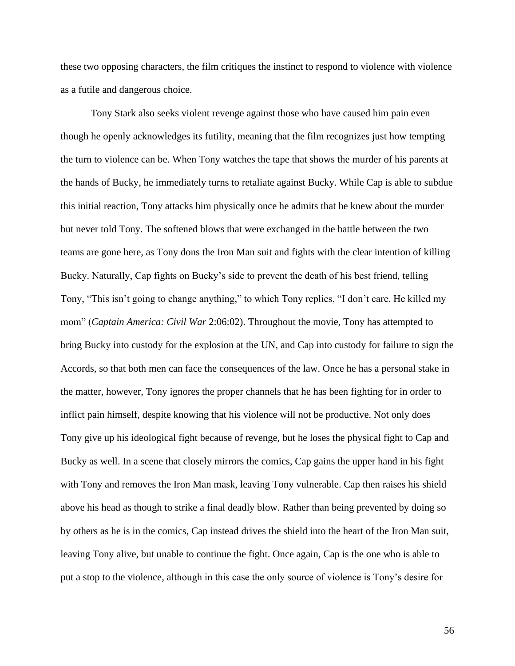these two opposing characters, the film critiques the instinct to respond to violence with violence as a futile and dangerous choice.

Tony Stark also seeks violent revenge against those who have caused him pain even though he openly acknowledges its futility, meaning that the film recognizes just how tempting the turn to violence can be. When Tony watches the tape that shows the murder of his parents at the hands of Bucky, he immediately turns to retaliate against Bucky. While Cap is able to subdue this initial reaction, Tony attacks him physically once he admits that he knew about the murder but never told Tony. The softened blows that were exchanged in the battle between the two teams are gone here, as Tony dons the Iron Man suit and fights with the clear intention of killing Bucky. Naturally, Cap fights on Bucky's side to prevent the death of his best friend, telling Tony, "This isn't going to change anything," to which Tony replies, "I don't care. He killed my mom" (*Captain America: Civil War* 2:06:02). Throughout the movie, Tony has attempted to bring Bucky into custody for the explosion at the UN, and Cap into custody for failure to sign the Accords, so that both men can face the consequences of the law. Once he has a personal stake in the matter, however, Tony ignores the proper channels that he has been fighting for in order to inflict pain himself, despite knowing that his violence will not be productive. Not only does Tony give up his ideological fight because of revenge, but he loses the physical fight to Cap and Bucky as well. In a scene that closely mirrors the comics, Cap gains the upper hand in his fight with Tony and removes the Iron Man mask, leaving Tony vulnerable. Cap then raises his shield above his head as though to strike a final deadly blow. Rather than being prevented by doing so by others as he is in the comics, Cap instead drives the shield into the heart of the Iron Man suit, leaving Tony alive, but unable to continue the fight. Once again, Cap is the one who is able to put a stop to the violence, although in this case the only source of violence is Tony's desire for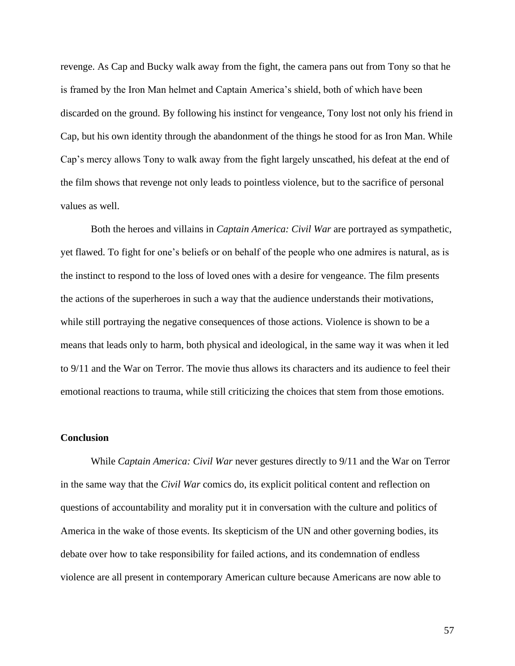revenge. As Cap and Bucky walk away from the fight, the camera pans out from Tony so that he is framed by the Iron Man helmet and Captain America's shield, both of which have been discarded on the ground. By following his instinct for vengeance, Tony lost not only his friend in Cap, but his own identity through the abandonment of the things he stood for as Iron Man. While Cap's mercy allows Tony to walk away from the fight largely unscathed, his defeat at the end of the film shows that revenge not only leads to pointless violence, but to the sacrifice of personal values as well.

Both the heroes and villains in *Captain America: Civil War* are portrayed as sympathetic, yet flawed. To fight for one's beliefs or on behalf of the people who one admires is natural, as is the instinct to respond to the loss of loved ones with a desire for vengeance. The film presents the actions of the superheroes in such a way that the audience understands their motivations, while still portraying the negative consequences of those actions. Violence is shown to be a means that leads only to harm, both physical and ideological, in the same way it was when it led to 9/11 and the War on Terror. The movie thus allows its characters and its audience to feel their emotional reactions to trauma, while still criticizing the choices that stem from those emotions.

## **Conclusion**

While *Captain America: Civil War* never gestures directly to 9/11 and the War on Terror in the same way that the *Civil War* comics do, its explicit political content and reflection on questions of accountability and morality put it in conversation with the culture and politics of America in the wake of those events. Its skepticism of the UN and other governing bodies, its debate over how to take responsibility for failed actions, and its condemnation of endless violence are all present in contemporary American culture because Americans are now able to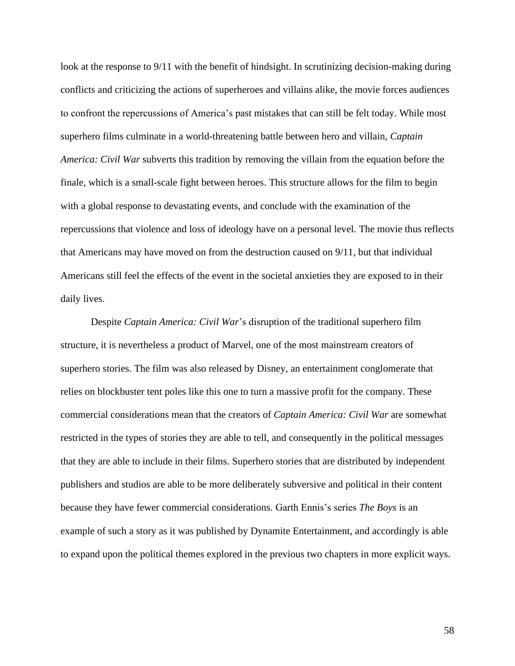look at the response to 9/11 with the benefit of hindsight. In scrutinizing decision-making during conflicts and criticizing the actions of superheroes and villains alike, the movie forces audiences to confront the repercussions of America's past mistakes that can still be felt today. While most superhero films culminate in a world-threatening battle between hero and villain, *Captain America: Civil War* subverts this tradition by removing the villain from the equation before the finale, which is a small-scale fight between heroes. This structure allows for the film to begin with a global response to devastating events, and conclude with the examination of the repercussions that violence and loss of ideology have on a personal level. The movie thus reflects that Americans may have moved on from the destruction caused on 9/11, but that individual Americans still feel the effects of the event in the societal anxieties they are exposed to in their daily lives.

Despite *Captain America: Civil War*'s disruption of the traditional superhero film structure, it is nevertheless a product of Marvel, one of the most mainstream creators of superhero stories. The film was also released by Disney, an entertainment conglomerate that relies on blockbuster tent poles like this one to turn a massive profit for the company. These commercial considerations mean that the creators of *Captain America: Civil War* are somewhat restricted in the types of stories they are able to tell, and consequently in the political messages that they are able to include in their films. Superhero stories that are distributed by independent publishers and studios are able to be more deliberately subversive and political in their content because they have fewer commercial considerations. Garth Ennis's series *The Boys* is an example of such a story as it was published by Dynamite Entertainment, and accordingly is able to expand upon the political themes explored in the previous two chapters in more explicit ways.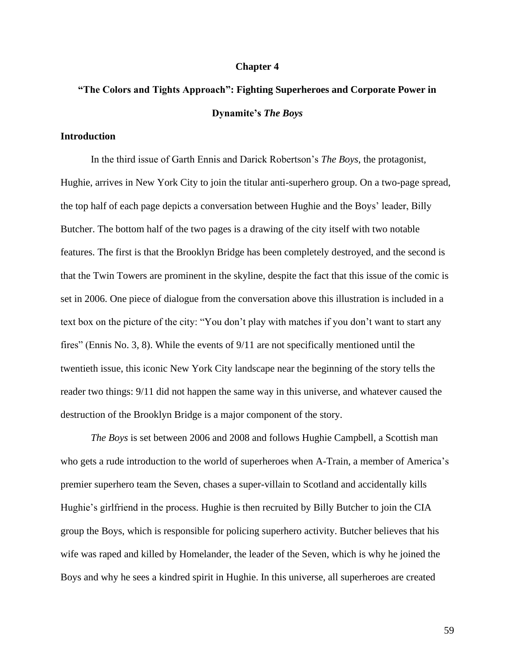#### **Chapter 4**

## **"The Colors and Tights Approach": Fighting Superheroes and Corporate Power in Dynamite's** *The Boys*

## **Introduction**

In the third issue of Garth Ennis and Darick Robertson's *The Boys*, the protagonist, Hughie, arrives in New York City to join the titular anti-superhero group. On a two-page spread, the top half of each page depicts a conversation between Hughie and the Boys' leader, Billy Butcher. The bottom half of the two pages is a drawing of the city itself with two notable features. The first is that the Brooklyn Bridge has been completely destroyed, and the second is that the Twin Towers are prominent in the skyline, despite the fact that this issue of the comic is set in 2006. One piece of dialogue from the conversation above this illustration is included in a text box on the picture of the city: "You don't play with matches if you don't want to start any fires" (Ennis No. 3, 8). While the events of 9/11 are not specifically mentioned until the twentieth issue, this iconic New York City landscape near the beginning of the story tells the reader two things: 9/11 did not happen the same way in this universe, and whatever caused the destruction of the Brooklyn Bridge is a major component of the story.

*The Boys* is set between 2006 and 2008 and follows Hughie Campbell, a Scottish man who gets a rude introduction to the world of superheroes when A-Train, a member of America's premier superhero team the Seven, chases a super-villain to Scotland and accidentally kills Hughie's girlfriend in the process. Hughie is then recruited by Billy Butcher to join the CIA group the Boys, which is responsible for policing superhero activity. Butcher believes that his wife was raped and killed by Homelander, the leader of the Seven, which is why he joined the Boys and why he sees a kindred spirit in Hughie. In this universe, all superheroes are created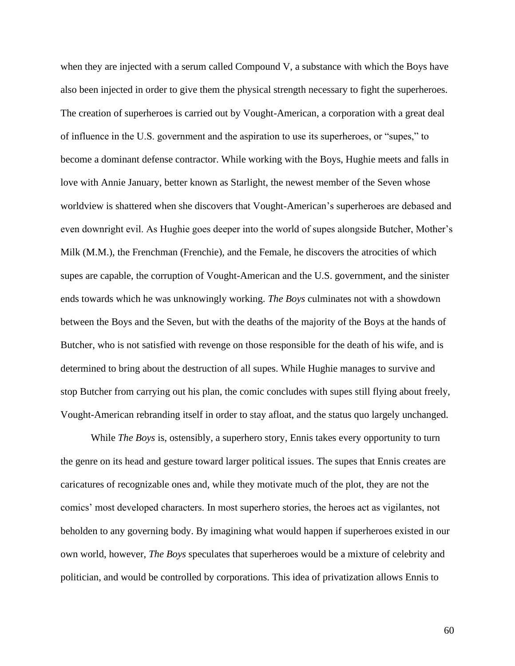when they are injected with a serum called Compound V, a substance with which the Boys have also been injected in order to give them the physical strength necessary to fight the superheroes. The creation of superheroes is carried out by Vought-American, a corporation with a great deal of influence in the U.S. government and the aspiration to use its superheroes, or "supes," to become a dominant defense contractor. While working with the Boys, Hughie meets and falls in love with Annie January, better known as Starlight, the newest member of the Seven whose worldview is shattered when she discovers that Vought-American's superheroes are debased and even downright evil. As Hughie goes deeper into the world of supes alongside Butcher, Mother's Milk (M.M.), the Frenchman (Frenchie), and the Female, he discovers the atrocities of which supes are capable, the corruption of Vought-American and the U.S. government, and the sinister ends towards which he was unknowingly working. *The Boys* culminates not with a showdown between the Boys and the Seven, but with the deaths of the majority of the Boys at the hands of Butcher, who is not satisfied with revenge on those responsible for the death of his wife, and is determined to bring about the destruction of all supes. While Hughie manages to survive and stop Butcher from carrying out his plan, the comic concludes with supes still flying about freely, Vought-American rebranding itself in order to stay afloat, and the status quo largely unchanged.

While *The Boys* is, ostensibly, a superhero story, Ennis takes every opportunity to turn the genre on its head and gesture toward larger political issues. The supes that Ennis creates are caricatures of recognizable ones and, while they motivate much of the plot, they are not the comics' most developed characters. In most superhero stories, the heroes act as vigilantes, not beholden to any governing body. By imagining what would happen if superheroes existed in our own world, however, *The Boys* speculates that superheroes would be a mixture of celebrity and politician, and would be controlled by corporations. This idea of privatization allows Ennis to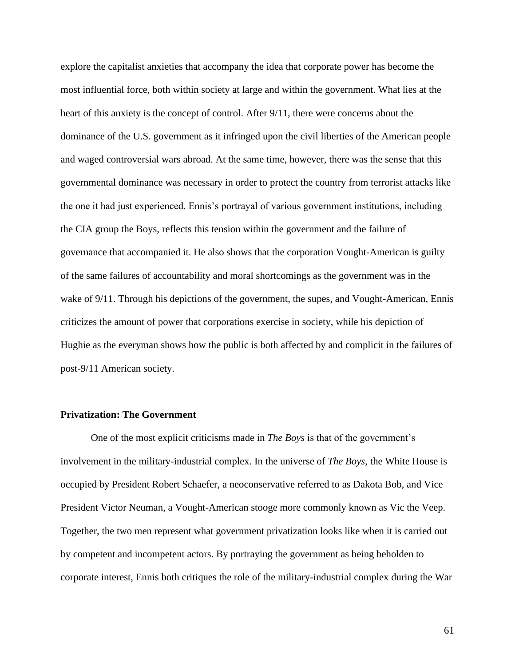explore the capitalist anxieties that accompany the idea that corporate power has become the most influential force, both within society at large and within the government. What lies at the heart of this anxiety is the concept of control. After 9/11, there were concerns about the dominance of the U.S. government as it infringed upon the civil liberties of the American people and waged controversial wars abroad. At the same time, however, there was the sense that this governmental dominance was necessary in order to protect the country from terrorist attacks like the one it had just experienced. Ennis's portrayal of various government institutions, including the CIA group the Boys, reflects this tension within the government and the failure of governance that accompanied it. He also shows that the corporation Vought-American is guilty of the same failures of accountability and moral shortcomings as the government was in the wake of 9/11. Through his depictions of the government, the supes, and Vought-American, Ennis criticizes the amount of power that corporations exercise in society, while his depiction of Hughie as the everyman shows how the public is both affected by and complicit in the failures of post-9/11 American society.

#### **Privatization: The Government**

One of the most explicit criticisms made in *The Boys* is that of the government's involvement in the military-industrial complex. In the universe of *The Boys*, the White House is occupied by President Robert Schaefer, a neoconservative referred to as Dakota Bob, and Vice President Victor Neuman, a Vought-American stooge more commonly known as Vic the Veep. Together, the two men represent what government privatization looks like when it is carried out by competent and incompetent actors. By portraying the government as being beholden to corporate interest, Ennis both critiques the role of the military-industrial complex during the War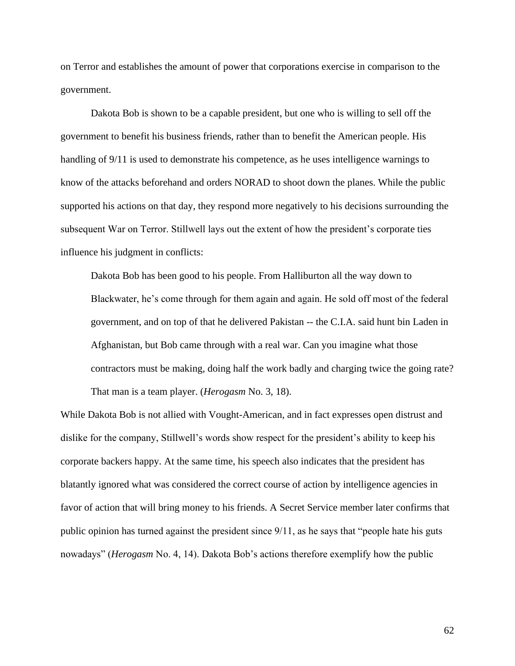on Terror and establishes the amount of power that corporations exercise in comparison to the government.

Dakota Bob is shown to be a capable president, but one who is willing to sell off the government to benefit his business friends, rather than to benefit the American people. His handling of 9/11 is used to demonstrate his competence, as he uses intelligence warnings to know of the attacks beforehand and orders NORAD to shoot down the planes. While the public supported his actions on that day, they respond more negatively to his decisions surrounding the subsequent War on Terror. Stillwell lays out the extent of how the president's corporate ties influence his judgment in conflicts:

Dakota Bob has been good to his people. From Halliburton all the way down to Blackwater, he's come through for them again and again. He sold off most of the federal government, and on top of that he delivered Pakistan -- the C.I.A. said hunt bin Laden in Afghanistan, but Bob came through with a real war. Can you imagine what those contractors must be making, doing half the work badly and charging twice the going rate? That man is a team player. (*Herogasm* No. 3, 18).

While Dakota Bob is not allied with Vought-American, and in fact expresses open distrust and dislike for the company, Stillwell's words show respect for the president's ability to keep his corporate backers happy. At the same time, his speech also indicates that the president has blatantly ignored what was considered the correct course of action by intelligence agencies in favor of action that will bring money to his friends. A Secret Service member later confirms that public opinion has turned against the president since 9/11, as he says that "people hate his guts nowadays" (*Herogasm* No. 4, 14). Dakota Bob's actions therefore exemplify how the public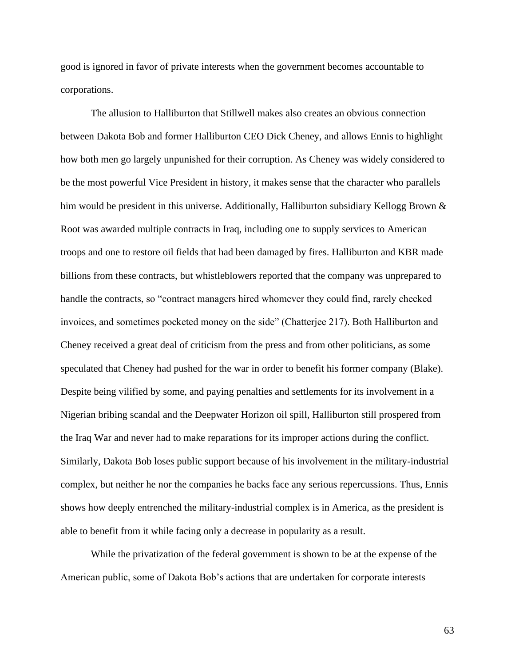good is ignored in favor of private interests when the government becomes accountable to corporations.

The allusion to Halliburton that Stillwell makes also creates an obvious connection between Dakota Bob and former Halliburton CEO Dick Cheney, and allows Ennis to highlight how both men go largely unpunished for their corruption. As Cheney was widely considered to be the most powerful Vice President in history, it makes sense that the character who parallels him would be president in this universe. Additionally, Halliburton subsidiary Kellogg Brown & Root was awarded multiple contracts in Iraq, including one to supply services to American troops and one to restore oil fields that had been damaged by fires. Halliburton and KBR made billions from these contracts, but whistleblowers reported that the company was unprepared to handle the contracts, so "contract managers hired whomever they could find, rarely checked invoices, and sometimes pocketed money on the side" (Chatterjee 217). Both Halliburton and Cheney received a great deal of criticism from the press and from other politicians, as some speculated that Cheney had pushed for the war in order to benefit his former company (Blake). Despite being vilified by some, and paying penalties and settlements for its involvement in a Nigerian bribing scandal and the Deepwater Horizon oil spill, Halliburton still prospered from the Iraq War and never had to make reparations for its improper actions during the conflict. Similarly, Dakota Bob loses public support because of his involvement in the military-industrial complex, but neither he nor the companies he backs face any serious repercussions. Thus, Ennis shows how deeply entrenched the military-industrial complex is in America, as the president is able to benefit from it while facing only a decrease in popularity as a result.

While the privatization of the federal government is shown to be at the expense of the American public, some of Dakota Bob's actions that are undertaken for corporate interests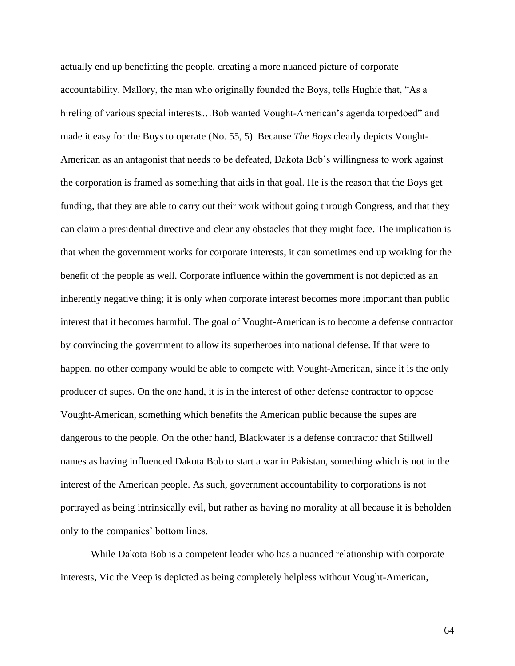actually end up benefitting the people, creating a more nuanced picture of corporate accountability. Mallory, the man who originally founded the Boys, tells Hughie that, "As a hireling of various special interests...Bob wanted Vought-American's agenda torpedoed" and made it easy for the Boys to operate (No. 55, 5). Because *The Boys* clearly depicts Vought-American as an antagonist that needs to be defeated, Dakota Bob's willingness to work against the corporation is framed as something that aids in that goal. He is the reason that the Boys get funding, that they are able to carry out their work without going through Congress, and that they can claim a presidential directive and clear any obstacles that they might face. The implication is that when the government works for corporate interests, it can sometimes end up working for the benefit of the people as well. Corporate influence within the government is not depicted as an inherently negative thing; it is only when corporate interest becomes more important than public interest that it becomes harmful. The goal of Vought-American is to become a defense contractor by convincing the government to allow its superheroes into national defense. If that were to happen, no other company would be able to compete with Vought-American, since it is the only producer of supes. On the one hand, it is in the interest of other defense contractor to oppose Vought-American, something which benefits the American public because the supes are dangerous to the people. On the other hand, Blackwater is a defense contractor that Stillwell names as having influenced Dakota Bob to start a war in Pakistan, something which is not in the interest of the American people. As such, government accountability to corporations is not portrayed as being intrinsically evil, but rather as having no morality at all because it is beholden only to the companies' bottom lines.

While Dakota Bob is a competent leader who has a nuanced relationship with corporate interests, Vic the Veep is depicted as being completely helpless without Vought-American,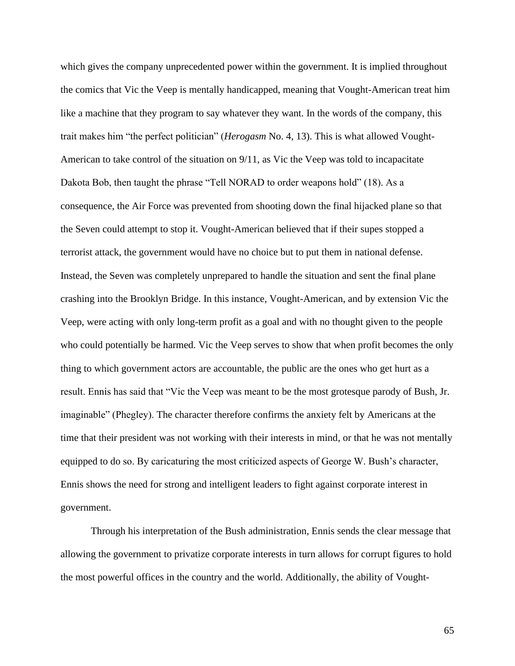which gives the company unprecedented power within the government. It is implied throughout the comics that Vic the Veep is mentally handicapped, meaning that Vought-American treat him like a machine that they program to say whatever they want. In the words of the company, this trait makes him "the perfect politician" (*Herogasm* No. 4, 13). This is what allowed Vought-American to take control of the situation on 9/11, as Vic the Veep was told to incapacitate Dakota Bob, then taught the phrase "Tell NORAD to order weapons hold" (18). As a consequence, the Air Force was prevented from shooting down the final hijacked plane so that the Seven could attempt to stop it. Vought-American believed that if their supes stopped a terrorist attack, the government would have no choice but to put them in national defense. Instead, the Seven was completely unprepared to handle the situation and sent the final plane crashing into the Brooklyn Bridge. In this instance, Vought-American, and by extension Vic the Veep, were acting with only long-term profit as a goal and with no thought given to the people who could potentially be harmed. Vic the Veep serves to show that when profit becomes the only thing to which government actors are accountable, the public are the ones who get hurt as a result. Ennis has said that "Vic the Veep was meant to be the most grotesque parody of Bush, Jr. imaginable" (Phegley). The character therefore confirms the anxiety felt by Americans at the time that their president was not working with their interests in mind, or that he was not mentally equipped to do so. By caricaturing the most criticized aspects of George W. Bush's character, Ennis shows the need for strong and intelligent leaders to fight against corporate interest in government.

Through his interpretation of the Bush administration, Ennis sends the clear message that allowing the government to privatize corporate interests in turn allows for corrupt figures to hold the most powerful offices in the country and the world. Additionally, the ability of Vought-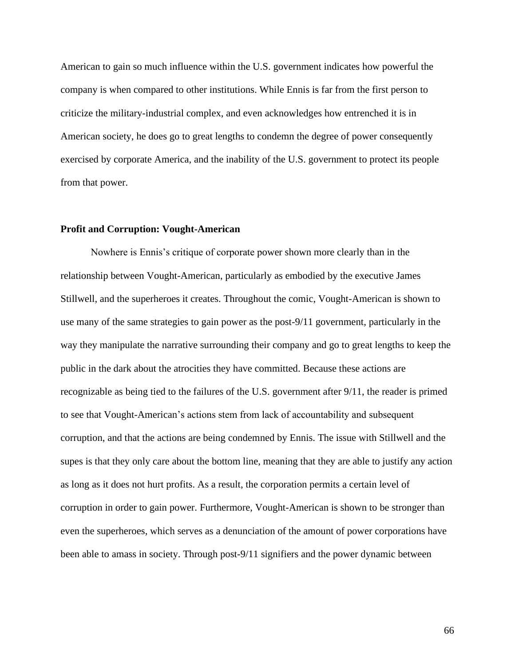American to gain so much influence within the U.S. government indicates how powerful the company is when compared to other institutions. While Ennis is far from the first person to criticize the military-industrial complex, and even acknowledges how entrenched it is in American society, he does go to great lengths to condemn the degree of power consequently exercised by corporate America, and the inability of the U.S. government to protect its people from that power.

#### **Profit and Corruption: Vought-American**

Nowhere is Ennis's critique of corporate power shown more clearly than in the relationship between Vought-American, particularly as embodied by the executive James Stillwell, and the superheroes it creates. Throughout the comic, Vought-American is shown to use many of the same strategies to gain power as the post-9/11 government, particularly in the way they manipulate the narrative surrounding their company and go to great lengths to keep the public in the dark about the atrocities they have committed. Because these actions are recognizable as being tied to the failures of the U.S. government after 9/11, the reader is primed to see that Vought-American's actions stem from lack of accountability and subsequent corruption, and that the actions are being condemned by Ennis. The issue with Stillwell and the supes is that they only care about the bottom line, meaning that they are able to justify any action as long as it does not hurt profits. As a result, the corporation permits a certain level of corruption in order to gain power. Furthermore, Vought-American is shown to be stronger than even the superheroes, which serves as a denunciation of the amount of power corporations have been able to amass in society. Through post-9/11 signifiers and the power dynamic between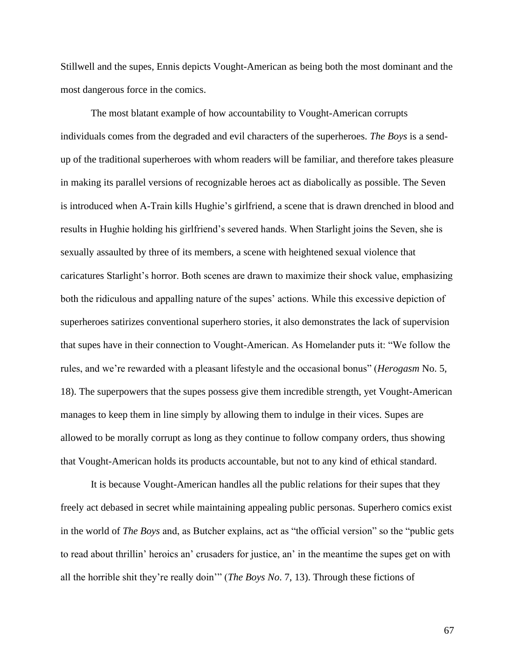Stillwell and the supes, Ennis depicts Vought-American as being both the most dominant and the most dangerous force in the comics.

The most blatant example of how accountability to Vought-American corrupts individuals comes from the degraded and evil characters of the superheroes. *The Boys* is a sendup of the traditional superheroes with whom readers will be familiar, and therefore takes pleasure in making its parallel versions of recognizable heroes act as diabolically as possible. The Seven is introduced when A-Train kills Hughie's girlfriend, a scene that is drawn drenched in blood and results in Hughie holding his girlfriend's severed hands. When Starlight joins the Seven, she is sexually assaulted by three of its members, a scene with heightened sexual violence that caricatures Starlight's horror. Both scenes are drawn to maximize their shock value, emphasizing both the ridiculous and appalling nature of the supes' actions. While this excessive depiction of superheroes satirizes conventional superhero stories, it also demonstrates the lack of supervision that supes have in their connection to Vought-American. As Homelander puts it: "We follow the rules, and we're rewarded with a pleasant lifestyle and the occasional bonus" (*Herogasm* No. 5, 18). The superpowers that the supes possess give them incredible strength, yet Vought-American manages to keep them in line simply by allowing them to indulge in their vices. Supes are allowed to be morally corrupt as long as they continue to follow company orders, thus showing that Vought-American holds its products accountable, but not to any kind of ethical standard.

It is because Vought-American handles all the public relations for their supes that they freely act debased in secret while maintaining appealing public personas. Superhero comics exist in the world of *The Boys* and, as Butcher explains, act as "the official version" so the "public gets to read about thrillin' heroics an' crusaders for justice, an' in the meantime the supes get on with all the horrible shit they're really doin'" (*The Boys No*. 7, 13). Through these fictions of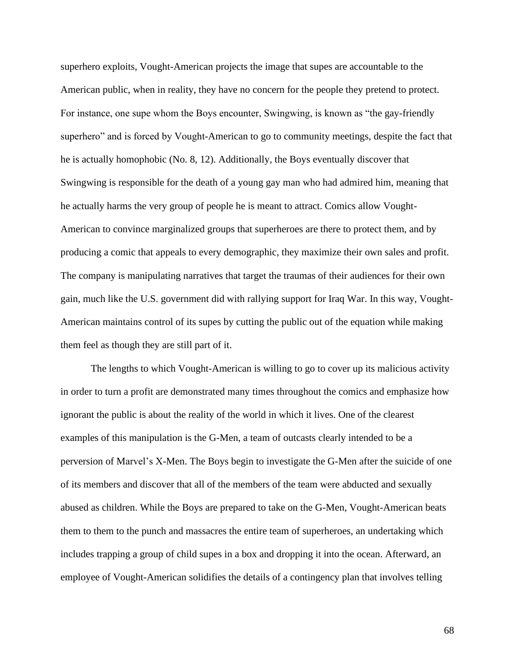superhero exploits, Vought-American projects the image that supes are accountable to the American public, when in reality, they have no concern for the people they pretend to protect. For instance, one supe whom the Boys encounter, Swingwing, is known as "the gay-friendly superhero" and is forced by Vought-American to go to community meetings, despite the fact that he is actually homophobic (No. 8, 12). Additionally, the Boys eventually discover that Swingwing is responsible for the death of a young gay man who had admired him, meaning that he actually harms the very group of people he is meant to attract. Comics allow Vought-American to convince marginalized groups that superheroes are there to protect them, and by producing a comic that appeals to every demographic, they maximize their own sales and profit. The company is manipulating narratives that target the traumas of their audiences for their own gain, much like the U.S. government did with rallying support for Iraq War. In this way, Vought-American maintains control of its supes by cutting the public out of the equation while making them feel as though they are still part of it.

The lengths to which Vought-American is willing to go to cover up its malicious activity in order to turn a profit are demonstrated many times throughout the comics and emphasize how ignorant the public is about the reality of the world in which it lives. One of the clearest examples of this manipulation is the G-Men, a team of outcasts clearly intended to be a perversion of Marvel's X-Men. The Boys begin to investigate the G-Men after the suicide of one of its members and discover that all of the members of the team were abducted and sexually abused as children. While the Boys are prepared to take on the G-Men, Vought-American beats them to them to the punch and massacres the entire team of superheroes, an undertaking which includes trapping a group of child supes in a box and dropping it into the ocean. Afterward, an employee of Vought-American solidifies the details of a contingency plan that involves telling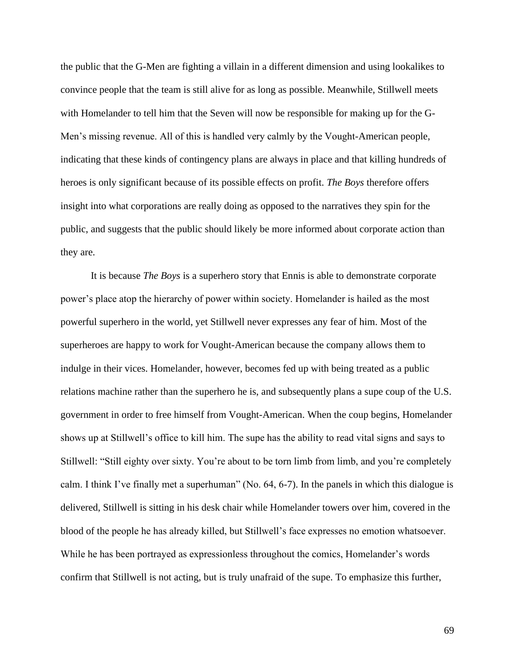the public that the G-Men are fighting a villain in a different dimension and using lookalikes to convince people that the team is still alive for as long as possible. Meanwhile, Stillwell meets with Homelander to tell him that the Seven will now be responsible for making up for the G-Men's missing revenue. All of this is handled very calmly by the Vought-American people, indicating that these kinds of contingency plans are always in place and that killing hundreds of heroes is only significant because of its possible effects on profit. *The Boys* therefore offers insight into what corporations are really doing as opposed to the narratives they spin for the public, and suggests that the public should likely be more informed about corporate action than they are.

It is because *The Boys* is a superhero story that Ennis is able to demonstrate corporate power's place atop the hierarchy of power within society. Homelander is hailed as the most powerful superhero in the world, yet Stillwell never expresses any fear of him. Most of the superheroes are happy to work for Vought-American because the company allows them to indulge in their vices. Homelander, however, becomes fed up with being treated as a public relations machine rather than the superhero he is, and subsequently plans a supe coup of the U.S. government in order to free himself from Vought-American. When the coup begins, Homelander shows up at Stillwell's office to kill him. The supe has the ability to read vital signs and says to Stillwell: "Still eighty over sixty. You're about to be torn limb from limb, and you're completely calm. I think I've finally met a superhuman" (No. 64, 6-7). In the panels in which this dialogue is delivered, Stillwell is sitting in his desk chair while Homelander towers over him, covered in the blood of the people he has already killed, but Stillwell's face expresses no emotion whatsoever. While he has been portrayed as expressionless throughout the comics, Homelander's words confirm that Stillwell is not acting, but is truly unafraid of the supe. To emphasize this further,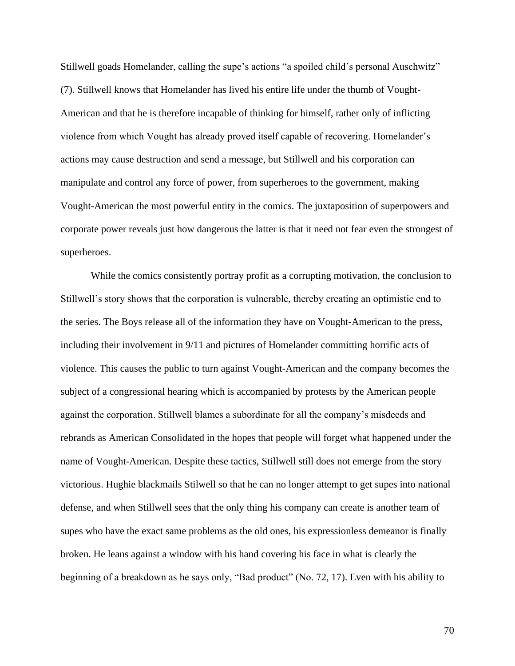Stillwell goads Homelander, calling the supe's actions "a spoiled child's personal Auschwitz" (7). Stillwell knows that Homelander has lived his entire life under the thumb of Vought-American and that he is therefore incapable of thinking for himself, rather only of inflicting violence from which Vought has already proved itself capable of recovering. Homelander's actions may cause destruction and send a message, but Stillwell and his corporation can manipulate and control any force of power, from superheroes to the government, making Vought-American the most powerful entity in the comics. The juxtaposition of superpowers and corporate power reveals just how dangerous the latter is that it need not fear even the strongest of superheroes.

While the comics consistently portray profit as a corrupting motivation, the conclusion to Stillwell's story shows that the corporation is vulnerable, thereby creating an optimistic end to the series. The Boys release all of the information they have on Vought-American to the press, including their involvement in 9/11 and pictures of Homelander committing horrific acts of violence. This causes the public to turn against Vought-American and the company becomes the subject of a congressional hearing which is accompanied by protests by the American people against the corporation. Stillwell blames a subordinate for all the company's misdeeds and rebrands as American Consolidated in the hopes that people will forget what happened under the name of Vought-American. Despite these tactics, Stillwell still does not emerge from the story victorious. Hughie blackmails Stilwell so that he can no longer attempt to get supes into national defense, and when Stillwell sees that the only thing his company can create is another team of supes who have the exact same problems as the old ones, his expressionless demeanor is finally broken. He leans against a window with his hand covering his face in what is clearly the beginning of a breakdown as he says only, "Bad product" (No. 72, 17). Even with his ability to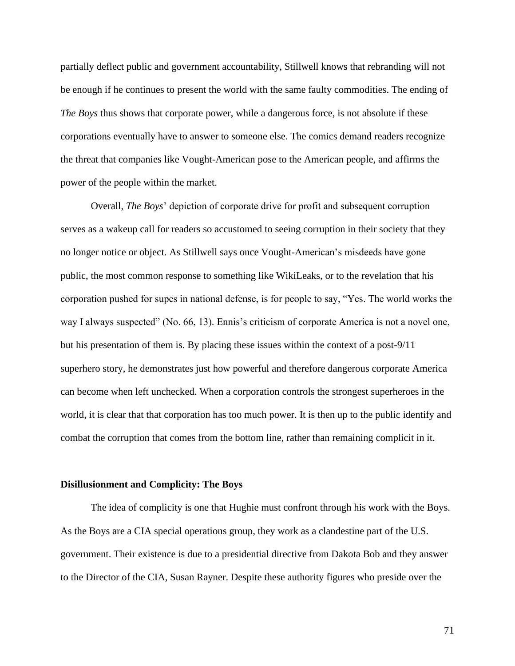partially deflect public and government accountability, Stillwell knows that rebranding will not be enough if he continues to present the world with the same faulty commodities. The ending of *The Boys* thus shows that corporate power, while a dangerous force, is not absolute if these corporations eventually have to answer to someone else. The comics demand readers recognize the threat that companies like Vought-American pose to the American people, and affirms the power of the people within the market.

Overall, *The Boys*' depiction of corporate drive for profit and subsequent corruption serves as a wakeup call for readers so accustomed to seeing corruption in their society that they no longer notice or object. As Stillwell says once Vought-American's misdeeds have gone public, the most common response to something like WikiLeaks, or to the revelation that his corporation pushed for supes in national defense, is for people to say, "Yes. The world works the way I always suspected" (No. 66, 13). Ennis's criticism of corporate America is not a novel one, but his presentation of them is. By placing these issues within the context of a post-9/11 superhero story, he demonstrates just how powerful and therefore dangerous corporate America can become when left unchecked. When a corporation controls the strongest superheroes in the world, it is clear that that corporation has too much power. It is then up to the public identify and combat the corruption that comes from the bottom line, rather than remaining complicit in it.

#### **Disillusionment and Complicity: The Boys**

The idea of complicity is one that Hughie must confront through his work with the Boys. As the Boys are a CIA special operations group, they work as a clandestine part of the U.S. government. Their existence is due to a presidential directive from Dakota Bob and they answer to the Director of the CIA, Susan Rayner. Despite these authority figures who preside over the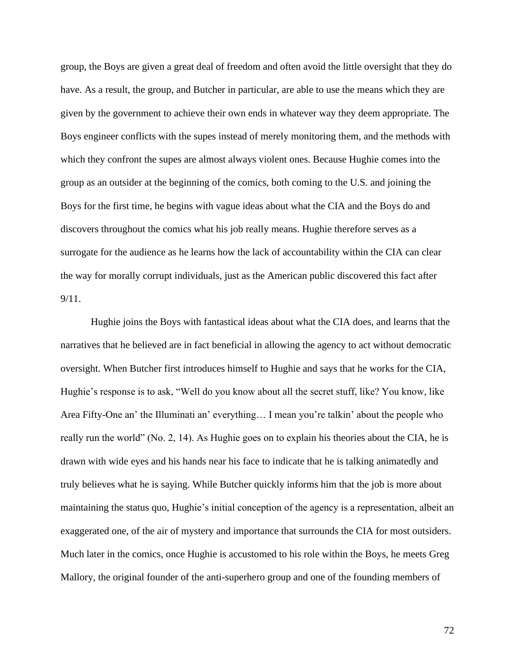group, the Boys are given a great deal of freedom and often avoid the little oversight that they do have. As a result, the group, and Butcher in particular, are able to use the means which they are given by the government to achieve their own ends in whatever way they deem appropriate. The Boys engineer conflicts with the supes instead of merely monitoring them, and the methods with which they confront the supes are almost always violent ones. Because Hughie comes into the group as an outsider at the beginning of the comics, both coming to the U.S. and joining the Boys for the first time, he begins with vague ideas about what the CIA and the Boys do and discovers throughout the comics what his job really means. Hughie therefore serves as a surrogate for the audience as he learns how the lack of accountability within the CIA can clear the way for morally corrupt individuals, just as the American public discovered this fact after 9/11.

Hughie joins the Boys with fantastical ideas about what the CIA does, and learns that the narratives that he believed are in fact beneficial in allowing the agency to act without democratic oversight. When Butcher first introduces himself to Hughie and says that he works for the CIA, Hughie's response is to ask, "Well do you know about all the secret stuff, like? You know, like Area Fifty-One an' the Illuminati an' everything… I mean you're talkin' about the people who really run the world" (No. 2, 14). As Hughie goes on to explain his theories about the CIA, he is drawn with wide eyes and his hands near his face to indicate that he is talking animatedly and truly believes what he is saying. While Butcher quickly informs him that the job is more about maintaining the status quo, Hughie's initial conception of the agency is a representation, albeit an exaggerated one, of the air of mystery and importance that surrounds the CIA for most outsiders. Much later in the comics, once Hughie is accustomed to his role within the Boys, he meets Greg Mallory, the original founder of the anti-superhero group and one of the founding members of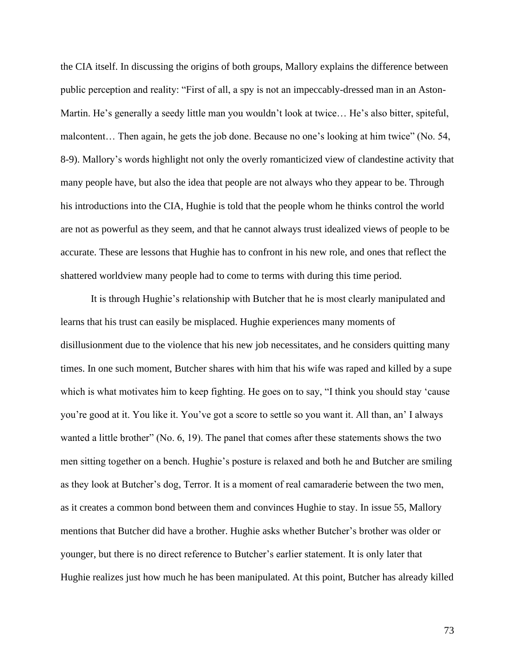the CIA itself. In discussing the origins of both groups, Mallory explains the difference between public perception and reality: "First of all, a spy is not an impeccably-dressed man in an Aston-Martin. He's generally a seedy little man you wouldn't look at twice… He's also bitter, spiteful, malcontent… Then again, he gets the job done. Because no one's looking at him twice" (No. 54, 8-9). Mallory's words highlight not only the overly romanticized view of clandestine activity that many people have, but also the idea that people are not always who they appear to be. Through his introductions into the CIA, Hughie is told that the people whom he thinks control the world are not as powerful as they seem, and that he cannot always trust idealized views of people to be accurate. These are lessons that Hughie has to confront in his new role, and ones that reflect the shattered worldview many people had to come to terms with during this time period.

It is through Hughie's relationship with Butcher that he is most clearly manipulated and learns that his trust can easily be misplaced. Hughie experiences many moments of disillusionment due to the violence that his new job necessitates, and he considers quitting many times. In one such moment, Butcher shares with him that his wife was raped and killed by a supe which is what motivates him to keep fighting. He goes on to say, "I think you should stay 'cause you're good at it. You like it. You've got a score to settle so you want it. All than, an' I always wanted a little brother" (No. 6, 19). The panel that comes after these statements shows the two men sitting together on a bench. Hughie's posture is relaxed and both he and Butcher are smiling as they look at Butcher's dog, Terror. It is a moment of real camaraderie between the two men, as it creates a common bond between them and convinces Hughie to stay. In issue 55, Mallory mentions that Butcher did have a brother. Hughie asks whether Butcher's brother was older or younger, but there is no direct reference to Butcher's earlier statement. It is only later that Hughie realizes just how much he has been manipulated. At this point, Butcher has already killed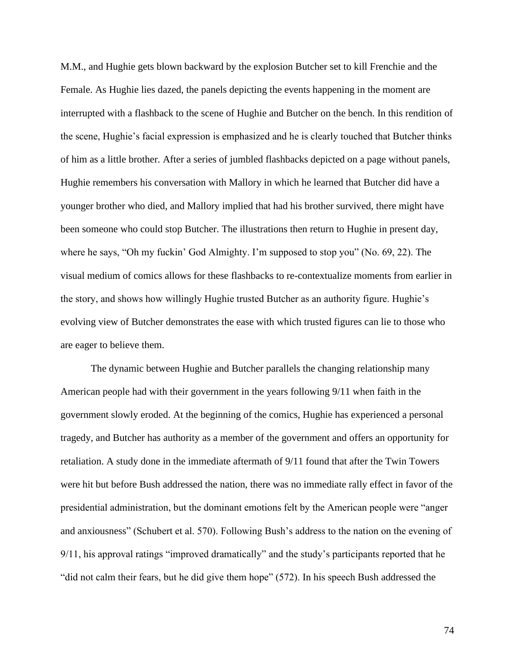M.M., and Hughie gets blown backward by the explosion Butcher set to kill Frenchie and the Female. As Hughie lies dazed, the panels depicting the events happening in the moment are interrupted with a flashback to the scene of Hughie and Butcher on the bench. In this rendition of the scene, Hughie's facial expression is emphasized and he is clearly touched that Butcher thinks of him as a little brother. After a series of jumbled flashbacks depicted on a page without panels, Hughie remembers his conversation with Mallory in which he learned that Butcher did have a younger brother who died, and Mallory implied that had his brother survived, there might have been someone who could stop Butcher. The illustrations then return to Hughie in present day, where he says, "Oh my fuckin' God Almighty. I'm supposed to stop you" (No. 69, 22). The visual medium of comics allows for these flashbacks to re-contextualize moments from earlier in the story, and shows how willingly Hughie trusted Butcher as an authority figure. Hughie's evolving view of Butcher demonstrates the ease with which trusted figures can lie to those who are eager to believe them.

The dynamic between Hughie and Butcher parallels the changing relationship many American people had with their government in the years following 9/11 when faith in the government slowly eroded. At the beginning of the comics, Hughie has experienced a personal tragedy, and Butcher has authority as a member of the government and offers an opportunity for retaliation. A study done in the immediate aftermath of 9/11 found that after the Twin Towers were hit but before Bush addressed the nation, there was no immediate rally effect in favor of the presidential administration, but the dominant emotions felt by the American people were "anger and anxiousness" (Schubert et al. 570). Following Bush's address to the nation on the evening of 9/11, his approval ratings "improved dramatically" and the study's participants reported that he "did not calm their fears, but he did give them hope" (572). In his speech Bush addressed the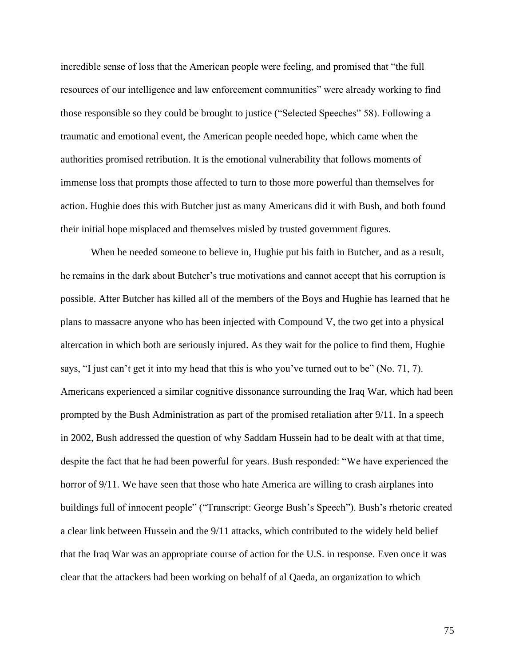incredible sense of loss that the American people were feeling, and promised that "the full resources of our intelligence and law enforcement communities" were already working to find those responsible so they could be brought to justice ("Selected Speeches" 58). Following a traumatic and emotional event, the American people needed hope, which came when the authorities promised retribution. It is the emotional vulnerability that follows moments of immense loss that prompts those affected to turn to those more powerful than themselves for action. Hughie does this with Butcher just as many Americans did it with Bush, and both found their initial hope misplaced and themselves misled by trusted government figures.

When he needed someone to believe in, Hughie put his faith in Butcher, and as a result, he remains in the dark about Butcher's true motivations and cannot accept that his corruption is possible. After Butcher has killed all of the members of the Boys and Hughie has learned that he plans to massacre anyone who has been injected with Compound V, the two get into a physical altercation in which both are seriously injured. As they wait for the police to find them, Hughie says, "I just can't get it into my head that this is who you've turned out to be" (No. 71, 7). Americans experienced a similar cognitive dissonance surrounding the Iraq War, which had been prompted by the Bush Administration as part of the promised retaliation after 9/11. In a speech in 2002, Bush addressed the question of why Saddam Hussein had to be dealt with at that time, despite the fact that he had been powerful for years. Bush responded: "We have experienced the horror of 9/11. We have seen that those who hate America are willing to crash airplanes into buildings full of innocent people" ("Transcript: George Bush's Speech"). Bush's rhetoric created a clear link between Hussein and the 9/11 attacks, which contributed to the widely held belief that the Iraq War was an appropriate course of action for the U.S. in response. Even once it was clear that the attackers had been working on behalf of al Qaeda, an organization to which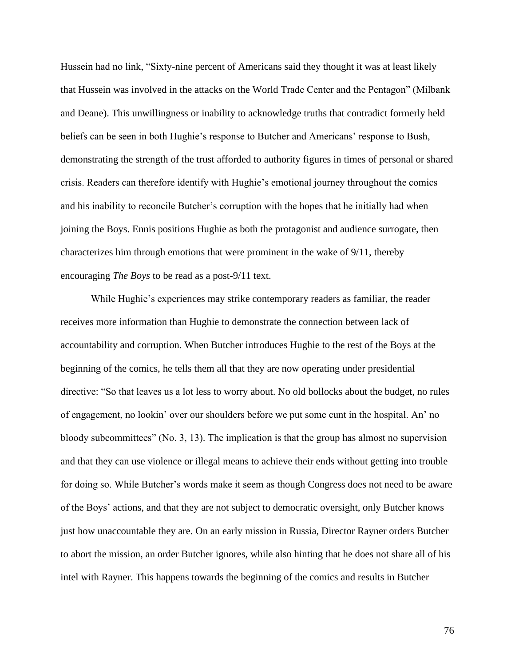Hussein had no link, "Sixty-nine percent of Americans said they thought it was at least likely that Hussein was involved in the attacks on the World Trade Center and the Pentagon" (Milbank and Deane). This unwillingness or inability to acknowledge truths that contradict formerly held beliefs can be seen in both Hughie's response to Butcher and Americans' response to Bush, demonstrating the strength of the trust afforded to authority figures in times of personal or shared crisis. Readers can therefore identify with Hughie's emotional journey throughout the comics and his inability to reconcile Butcher's corruption with the hopes that he initially had when joining the Boys. Ennis positions Hughie as both the protagonist and audience surrogate, then characterizes him through emotions that were prominent in the wake of 9/11, thereby encouraging *The Boys* to be read as a post-9/11 text.

While Hughie's experiences may strike contemporary readers as familiar, the reader receives more information than Hughie to demonstrate the connection between lack of accountability and corruption. When Butcher introduces Hughie to the rest of the Boys at the beginning of the comics, he tells them all that they are now operating under presidential directive: "So that leaves us a lot less to worry about. No old bollocks about the budget, no rules of engagement, no lookin' over our shoulders before we put some cunt in the hospital. An' no bloody subcommittees" (No. 3, 13). The implication is that the group has almost no supervision and that they can use violence or illegal means to achieve their ends without getting into trouble for doing so. While Butcher's words make it seem as though Congress does not need to be aware of the Boys' actions, and that they are not subject to democratic oversight, only Butcher knows just how unaccountable they are. On an early mission in Russia, Director Rayner orders Butcher to abort the mission, an order Butcher ignores, while also hinting that he does not share all of his intel with Rayner. This happens towards the beginning of the comics and results in Butcher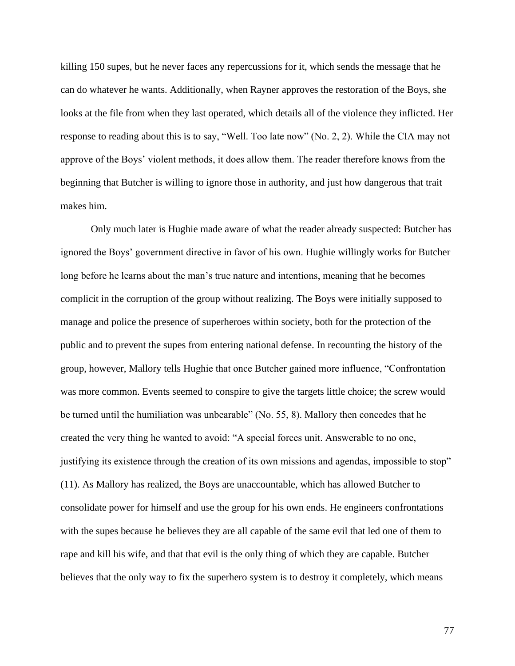killing 150 supes, but he never faces any repercussions for it, which sends the message that he can do whatever he wants. Additionally, when Rayner approves the restoration of the Boys, she looks at the file from when they last operated, which details all of the violence they inflicted. Her response to reading about this is to say, "Well. Too late now" (No. 2, 2). While the CIA may not approve of the Boys' violent methods, it does allow them. The reader therefore knows from the beginning that Butcher is willing to ignore those in authority, and just how dangerous that trait makes him.

Only much later is Hughie made aware of what the reader already suspected: Butcher has ignored the Boys' government directive in favor of his own. Hughie willingly works for Butcher long before he learns about the man's true nature and intentions, meaning that he becomes complicit in the corruption of the group without realizing. The Boys were initially supposed to manage and police the presence of superheroes within society, both for the protection of the public and to prevent the supes from entering national defense. In recounting the history of the group, however, Mallory tells Hughie that once Butcher gained more influence, "Confrontation was more common. Events seemed to conspire to give the targets little choice; the screw would be turned until the humiliation was unbearable" (No. 55, 8). Mallory then concedes that he created the very thing he wanted to avoid: "A special forces unit. Answerable to no one, justifying its existence through the creation of its own missions and agendas, impossible to stop" (11). As Mallory has realized, the Boys are unaccountable, which has allowed Butcher to consolidate power for himself and use the group for his own ends. He engineers confrontations with the supes because he believes they are all capable of the same evil that led one of them to rape and kill his wife, and that that evil is the only thing of which they are capable. Butcher believes that the only way to fix the superhero system is to destroy it completely, which means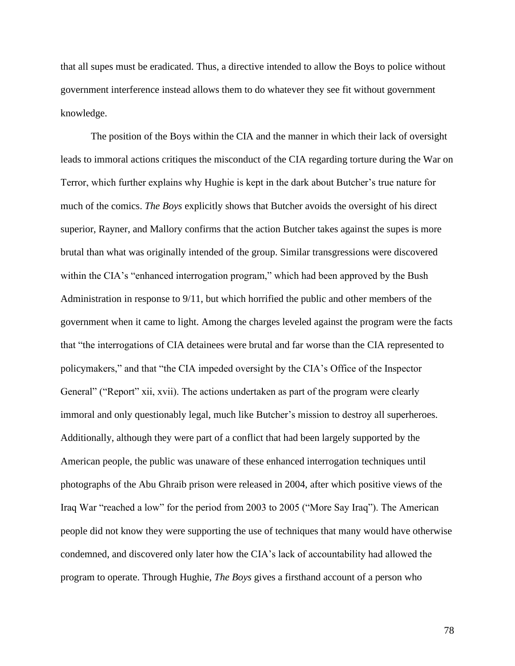that all supes must be eradicated. Thus, a directive intended to allow the Boys to police without government interference instead allows them to do whatever they see fit without government knowledge.

The position of the Boys within the CIA and the manner in which their lack of oversight leads to immoral actions critiques the misconduct of the CIA regarding torture during the War on Terror, which further explains why Hughie is kept in the dark about Butcher's true nature for much of the comics. *The Boys* explicitly shows that Butcher avoids the oversight of his direct superior, Rayner, and Mallory confirms that the action Butcher takes against the supes is more brutal than what was originally intended of the group. Similar transgressions were discovered within the CIA's "enhanced interrogation program," which had been approved by the Bush Administration in response to 9/11, but which horrified the public and other members of the government when it came to light. Among the charges leveled against the program were the facts that "the interrogations of CIA detainees were brutal and far worse than the CIA represented to policymakers," and that "the CIA impeded oversight by the CIA's Office of the Inspector General" ("Report" xii, xvii). The actions undertaken as part of the program were clearly immoral and only questionably legal, much like Butcher's mission to destroy all superheroes. Additionally, although they were part of a conflict that had been largely supported by the American people, the public was unaware of these enhanced interrogation techniques until photographs of the Abu Ghraib prison were released in 2004, after which positive views of the Iraq War "reached a low" for the period from 2003 to 2005 ("More Say Iraq"). The American people did not know they were supporting the use of techniques that many would have otherwise condemned, and discovered only later how the CIA's lack of accountability had allowed the program to operate. Through Hughie, *The Boys* gives a firsthand account of a person who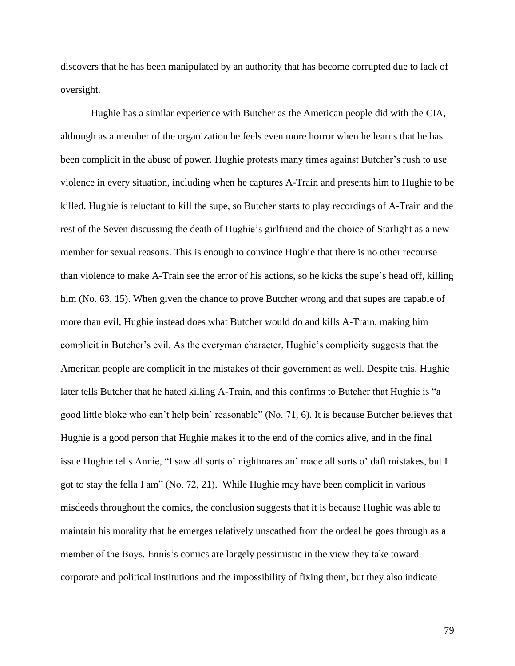discovers that he has been manipulated by an authority that has become corrupted due to lack of oversight.

Hughie has a similar experience with Butcher as the American people did with the CIA, although as a member of the organization he feels even more horror when he learns that he has been complicit in the abuse of power. Hughie protests many times against Butcher's rush to use violence in every situation, including when he captures A-Train and presents him to Hughie to be killed. Hughie is reluctant to kill the supe, so Butcher starts to play recordings of A-Train and the rest of the Seven discussing the death of Hughie's girlfriend and the choice of Starlight as a new member for sexual reasons. This is enough to convince Hughie that there is no other recourse than violence to make A-Train see the error of his actions, so he kicks the supe's head off, killing him (No. 63, 15). When given the chance to prove Butcher wrong and that supes are capable of more than evil, Hughie instead does what Butcher would do and kills A-Train, making him complicit in Butcher's evil. As the everyman character, Hughie's complicity suggests that the American people are complicit in the mistakes of their government as well. Despite this, Hughie later tells Butcher that he hated killing A-Train, and this confirms to Butcher that Hughie is "a good little bloke who can't help bein' reasonable" (No. 71, 6). It is because Butcher believes that Hughie is a good person that Hughie makes it to the end of the comics alive, and in the final issue Hughie tells Annie, "I saw all sorts o' nightmares an' made all sorts o' daft mistakes, but I got to stay the fella I am" (No. 72, 21). While Hughie may have been complicit in various misdeeds throughout the comics, the conclusion suggests that it is because Hughie was able to maintain his morality that he emerges relatively unscathed from the ordeal he goes through as a member of the Boys. Ennis's comics are largely pessimistic in the view they take toward corporate and political institutions and the impossibility of fixing them, but they also indicate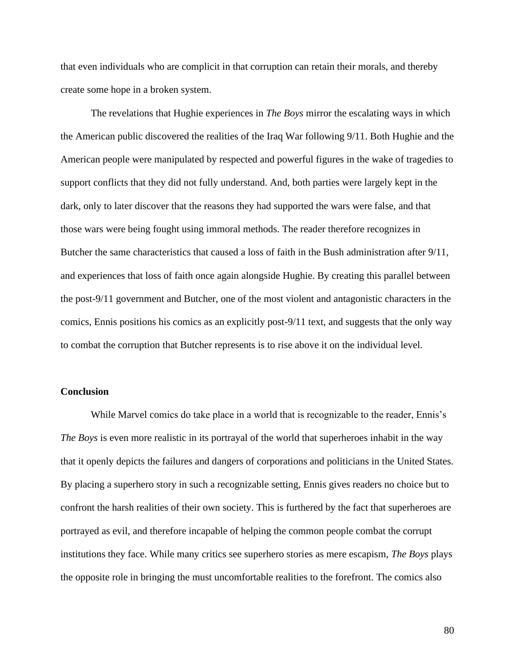that even individuals who are complicit in that corruption can retain their morals, and thereby create some hope in a broken system.

The revelations that Hughie experiences in *The Boys* mirror the escalating ways in which the American public discovered the realities of the Iraq War following 9/11. Both Hughie and the American people were manipulated by respected and powerful figures in the wake of tragedies to support conflicts that they did not fully understand. And, both parties were largely kept in the dark, only to later discover that the reasons they had supported the wars were false, and that those wars were being fought using immoral methods. The reader therefore recognizes in Butcher the same characteristics that caused a loss of faith in the Bush administration after 9/11, and experiences that loss of faith once again alongside Hughie. By creating this parallel between the post-9/11 government and Butcher, one of the most violent and antagonistic characters in the comics, Ennis positions his comics as an explicitly post-9/11 text, and suggests that the only way to combat the corruption that Butcher represents is to rise above it on the individual level.

# **Conclusion**

While Marvel comics do take place in a world that is recognizable to the reader, Ennis's *The Boys* is even more realistic in its portrayal of the world that superheroes inhabit in the way that it openly depicts the failures and dangers of corporations and politicians in the United States. By placing a superhero story in such a recognizable setting, Ennis gives readers no choice but to confront the harsh realities of their own society. This is furthered by the fact that superheroes are portrayed as evil, and therefore incapable of helping the common people combat the corrupt institutions they face. While many critics see superhero stories as mere escapism, *The Boys* plays the opposite role in bringing the must uncomfortable realities to the forefront. The comics also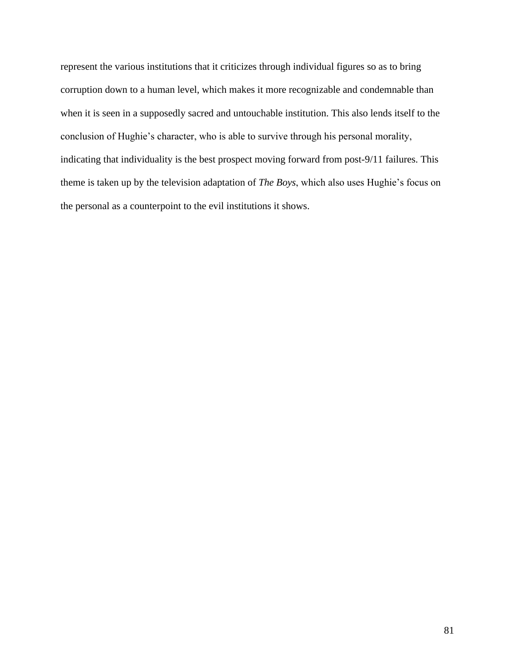represent the various institutions that it criticizes through individual figures so as to bring corruption down to a human level, which makes it more recognizable and condemnable than when it is seen in a supposedly sacred and untouchable institution. This also lends itself to the conclusion of Hughie's character, who is able to survive through his personal morality, indicating that individuality is the best prospect moving forward from post-9/11 failures. This theme is taken up by the television adaptation of *The Boys*, which also uses Hughie's focus on the personal as a counterpoint to the evil institutions it shows.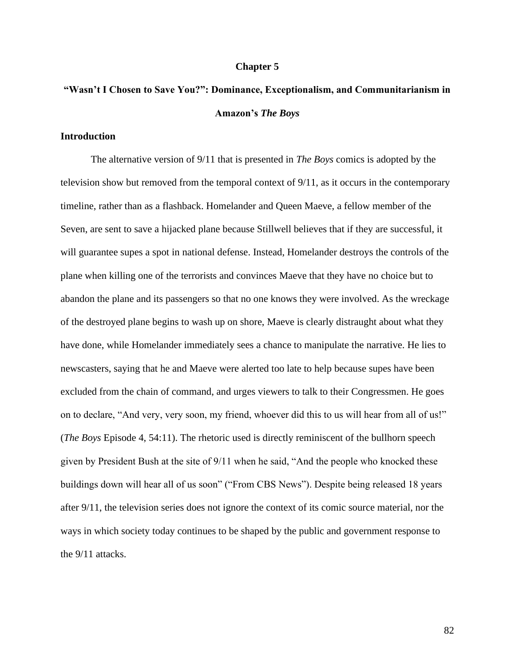#### **Chapter 5**

# **"Wasn't I Chosen to Save You?": Dominance, Exceptionalism, and Communitarianism in Amazon's** *The Boys*

# **Introduction**

The alternative version of 9/11 that is presented in *The Boys* comics is adopted by the television show but removed from the temporal context of 9/11, as it occurs in the contemporary timeline, rather than as a flashback. Homelander and Queen Maeve, a fellow member of the Seven, are sent to save a hijacked plane because Stillwell believes that if they are successful, it will guarantee supes a spot in national defense. Instead, Homelander destroys the controls of the plane when killing one of the terrorists and convinces Maeve that they have no choice but to abandon the plane and its passengers so that no one knows they were involved. As the wreckage of the destroyed plane begins to wash up on shore, Maeve is clearly distraught about what they have done, while Homelander immediately sees a chance to manipulate the narrative. He lies to newscasters, saying that he and Maeve were alerted too late to help because supes have been excluded from the chain of command, and urges viewers to talk to their Congressmen. He goes on to declare, "And very, very soon, my friend, whoever did this to us will hear from all of us!" (*The Boys* Episode 4, 54:11). The rhetoric used is directly reminiscent of the bullhorn speech given by President Bush at the site of 9/11 when he said, "And the people who knocked these buildings down will hear all of us soon" ("From CBS News"). Despite being released 18 years after 9/11, the television series does not ignore the context of its comic source material, nor the ways in which society today continues to be shaped by the public and government response to the 9/11 attacks.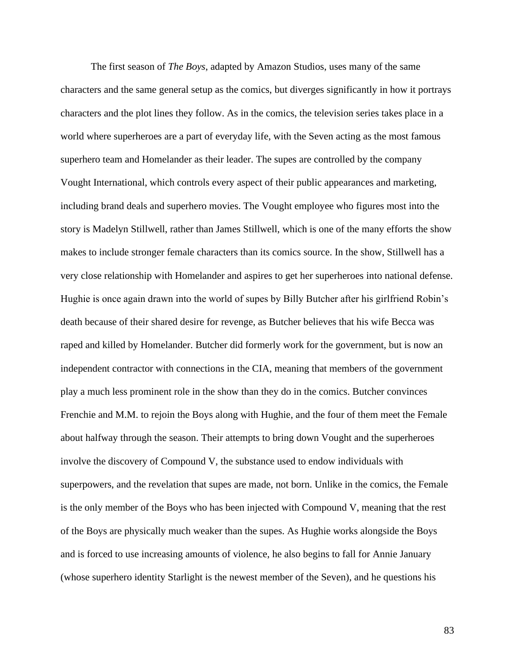The first season of *The Boys*, adapted by Amazon Studios, uses many of the same characters and the same general setup as the comics, but diverges significantly in how it portrays characters and the plot lines they follow. As in the comics, the television series takes place in a world where superheroes are a part of everyday life, with the Seven acting as the most famous superhero team and Homelander as their leader. The supes are controlled by the company Vought International, which controls every aspect of their public appearances and marketing, including brand deals and superhero movies. The Vought employee who figures most into the story is Madelyn Stillwell, rather than James Stillwell, which is one of the many efforts the show makes to include stronger female characters than its comics source. In the show, Stillwell has a very close relationship with Homelander and aspires to get her superheroes into national defense. Hughie is once again drawn into the world of supes by Billy Butcher after his girlfriend Robin's death because of their shared desire for revenge, as Butcher believes that his wife Becca was raped and killed by Homelander. Butcher did formerly work for the government, but is now an independent contractor with connections in the CIA, meaning that members of the government play a much less prominent role in the show than they do in the comics. Butcher convinces Frenchie and M.M. to rejoin the Boys along with Hughie, and the four of them meet the Female about halfway through the season. Their attempts to bring down Vought and the superheroes involve the discovery of Compound V, the substance used to endow individuals with superpowers, and the revelation that supes are made, not born. Unlike in the comics, the Female is the only member of the Boys who has been injected with Compound V, meaning that the rest of the Boys are physically much weaker than the supes. As Hughie works alongside the Boys and is forced to use increasing amounts of violence, he also begins to fall for Annie January (whose superhero identity Starlight is the newest member of the Seven), and he questions his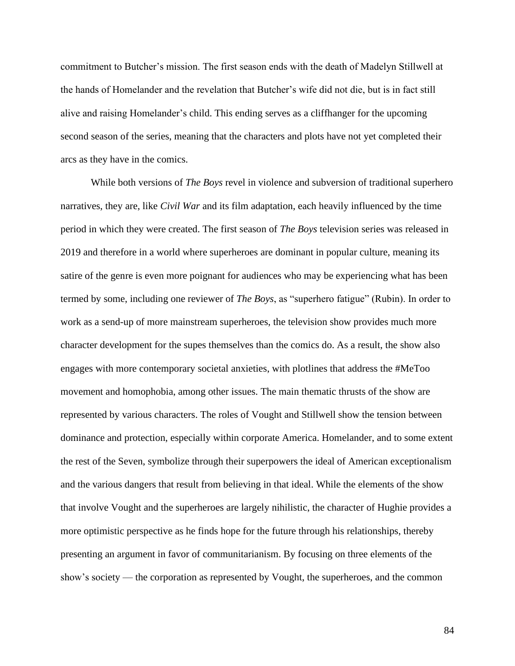commitment to Butcher's mission. The first season ends with the death of Madelyn Stillwell at the hands of Homelander and the revelation that Butcher's wife did not die, but is in fact still alive and raising Homelander's child. This ending serves as a cliffhanger for the upcoming second season of the series, meaning that the characters and plots have not yet completed their arcs as they have in the comics.

While both versions of *The Boys* revel in violence and subversion of traditional superhero narratives, they are, like *Civil War* and its film adaptation, each heavily influenced by the time period in which they were created. The first season of *The Boys* television series was released in 2019 and therefore in a world where superheroes are dominant in popular culture, meaning its satire of the genre is even more poignant for audiences who may be experiencing what has been termed by some, including one reviewer of *The Boys*, as "superhero fatigue" (Rubin). In order to work as a send-up of more mainstream superheroes, the television show provides much more character development for the supes themselves than the comics do. As a result, the show also engages with more contemporary societal anxieties, with plotlines that address the #MeToo movement and homophobia, among other issues. The main thematic thrusts of the show are represented by various characters. The roles of Vought and Stillwell show the tension between dominance and protection, especially within corporate America. Homelander, and to some extent the rest of the Seven, symbolize through their superpowers the ideal of American exceptionalism and the various dangers that result from believing in that ideal. While the elements of the show that involve Vought and the superheroes are largely nihilistic, the character of Hughie provides a more optimistic perspective as he finds hope for the future through his relationships, thereby presenting an argument in favor of communitarianism. By focusing on three elements of the show's society — the corporation as represented by Vought, the superheroes, and the common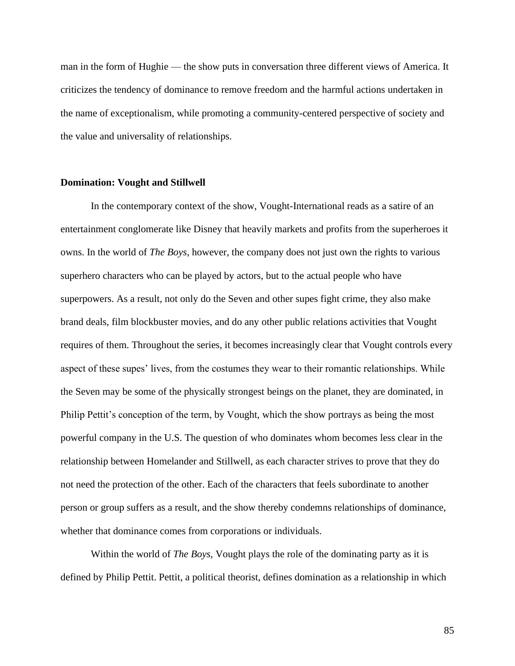man in the form of Hughie — the show puts in conversation three different views of America. It criticizes the tendency of dominance to remove freedom and the harmful actions undertaken in the name of exceptionalism, while promoting a community-centered perspective of society and the value and universality of relationships.

### **Domination: Vought and Stillwell**

In the contemporary context of the show, Vought-International reads as a satire of an entertainment conglomerate like Disney that heavily markets and profits from the superheroes it owns. In the world of *The Boys*, however, the company does not just own the rights to various superhero characters who can be played by actors, but to the actual people who have superpowers. As a result, not only do the Seven and other supes fight crime, they also make brand deals, film blockbuster movies, and do any other public relations activities that Vought requires of them. Throughout the series, it becomes increasingly clear that Vought controls every aspect of these supes' lives, from the costumes they wear to their romantic relationships. While the Seven may be some of the physically strongest beings on the planet, they are dominated, in Philip Pettit's conception of the term, by Vought, which the show portrays as being the most powerful company in the U.S. The question of who dominates whom becomes less clear in the relationship between Homelander and Stillwell, as each character strives to prove that they do not need the protection of the other. Each of the characters that feels subordinate to another person or group suffers as a result, and the show thereby condemns relationships of dominance, whether that dominance comes from corporations or individuals.

Within the world of *The Boys*, Vought plays the role of the dominating party as it is defined by Philip Pettit. Pettit, a political theorist, defines domination as a relationship in which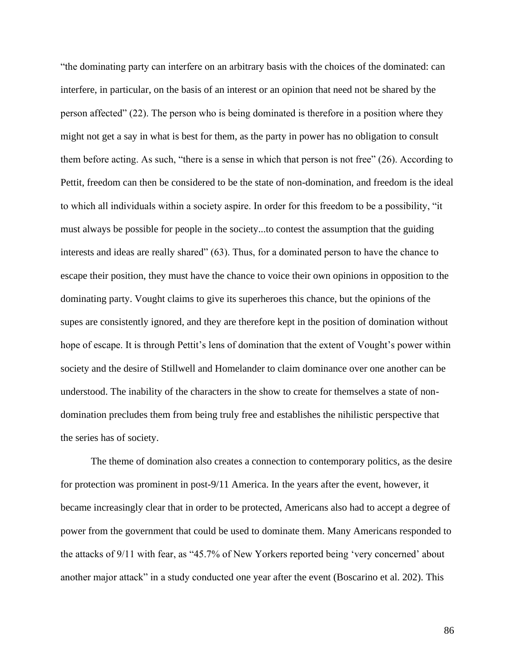"the dominating party can interfere on an arbitrary basis with the choices of the dominated: can interfere, in particular, on the basis of an interest or an opinion that need not be shared by the person affected" (22). The person who is being dominated is therefore in a position where they might not get a say in what is best for them, as the party in power has no obligation to consult them before acting. As such, "there is a sense in which that person is not free" (26). According to Pettit, freedom can then be considered to be the state of non-domination, and freedom is the ideal to which all individuals within a society aspire. In order for this freedom to be a possibility, "it must always be possible for people in the society...to contest the assumption that the guiding interests and ideas are really shared" (63). Thus, for a dominated person to have the chance to escape their position, they must have the chance to voice their own opinions in opposition to the dominating party. Vought claims to give its superheroes this chance, but the opinions of the supes are consistently ignored, and they are therefore kept in the position of domination without hope of escape. It is through Pettit's lens of domination that the extent of Vought's power within society and the desire of Stillwell and Homelander to claim dominance over one another can be understood. The inability of the characters in the show to create for themselves a state of nondomination precludes them from being truly free and establishes the nihilistic perspective that the series has of society.

The theme of domination also creates a connection to contemporary politics, as the desire for protection was prominent in post-9/11 America. In the years after the event, however, it became increasingly clear that in order to be protected, Americans also had to accept a degree of power from the government that could be used to dominate them. Many Americans responded to the attacks of 9/11 with fear, as "45.7% of New Yorkers reported being 'very concerned' about another major attack" in a study conducted one year after the event (Boscarino et al. 202). This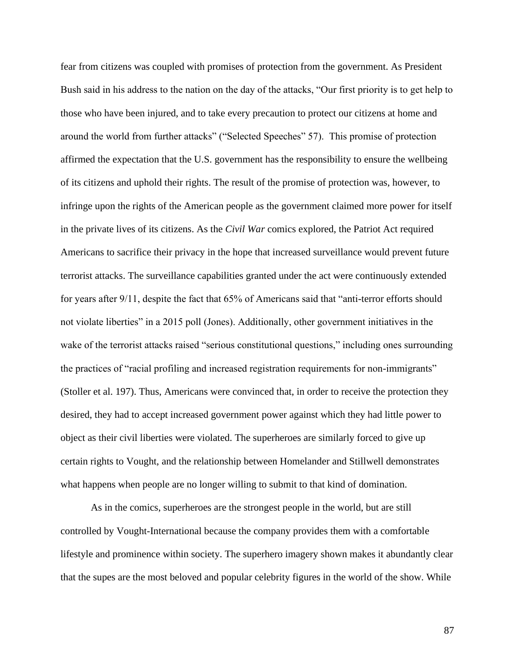fear from citizens was coupled with promises of protection from the government. As President Bush said in his address to the nation on the day of the attacks, "Our first priority is to get help to those who have been injured, and to take every precaution to protect our citizens at home and around the world from further attacks" ("Selected Speeches" 57). This promise of protection affirmed the expectation that the U.S. government has the responsibility to ensure the wellbeing of its citizens and uphold their rights. The result of the promise of protection was, however, to infringe upon the rights of the American people as the government claimed more power for itself in the private lives of its citizens. As the *Civil War* comics explored, the Patriot Act required Americans to sacrifice their privacy in the hope that increased surveillance would prevent future terrorist attacks. The surveillance capabilities granted under the act were continuously extended for years after 9/11, despite the fact that 65% of Americans said that "anti-terror efforts should not violate liberties" in a 2015 poll (Jones). Additionally, other government initiatives in the wake of the terrorist attacks raised "serious constitutional questions," including ones surrounding the practices of "racial profiling and increased registration requirements for non-immigrants" (Stoller et al. 197). Thus, Americans were convinced that, in order to receive the protection they desired, they had to accept increased government power against which they had little power to object as their civil liberties were violated. The superheroes are similarly forced to give up certain rights to Vought, and the relationship between Homelander and Stillwell demonstrates what happens when people are no longer willing to submit to that kind of domination.

As in the comics, superheroes are the strongest people in the world, but are still controlled by Vought-International because the company provides them with a comfortable lifestyle and prominence within society. The superhero imagery shown makes it abundantly clear that the supes are the most beloved and popular celebrity figures in the world of the show. While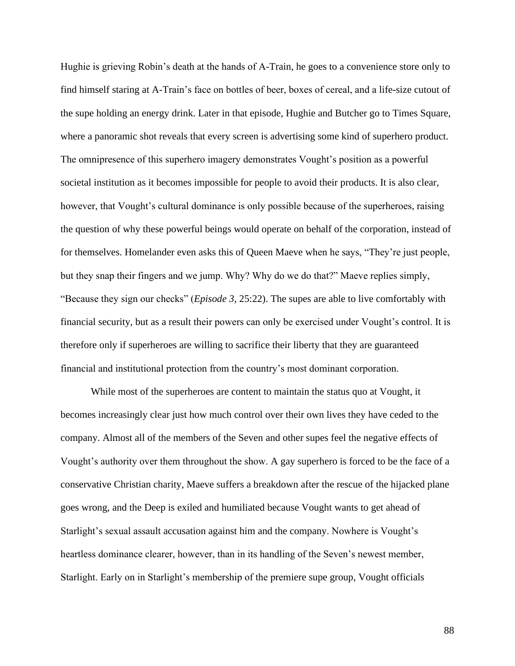Hughie is grieving Robin's death at the hands of A-Train, he goes to a convenience store only to find himself staring at A-Train's face on bottles of beer, boxes of cereal, and a life-size cutout of the supe holding an energy drink. Later in that episode, Hughie and Butcher go to Times Square, where a panoramic shot reveals that every screen is advertising some kind of superhero product. The omnipresence of this superhero imagery demonstrates Vought's position as a powerful societal institution as it becomes impossible for people to avoid their products. It is also clear, however, that Vought's cultural dominance is only possible because of the superheroes, raising the question of why these powerful beings would operate on behalf of the corporation, instead of for themselves. Homelander even asks this of Queen Maeve when he says, "They're just people, but they snap their fingers and we jump. Why? Why do we do that?" Maeve replies simply, "Because they sign our checks" (*Episode 3*, 25:22). The supes are able to live comfortably with financial security, but as a result their powers can only be exercised under Vought's control. It is therefore only if superheroes are willing to sacrifice their liberty that they are guaranteed financial and institutional protection from the country's most dominant corporation.

While most of the superheroes are content to maintain the status quo at Vought, it becomes increasingly clear just how much control over their own lives they have ceded to the company. Almost all of the members of the Seven and other supes feel the negative effects of Vought's authority over them throughout the show. A gay superhero is forced to be the face of a conservative Christian charity, Maeve suffers a breakdown after the rescue of the hijacked plane goes wrong, and the Deep is exiled and humiliated because Vought wants to get ahead of Starlight's sexual assault accusation against him and the company. Nowhere is Vought's heartless dominance clearer, however, than in its handling of the Seven's newest member, Starlight. Early on in Starlight's membership of the premiere supe group, Vought officials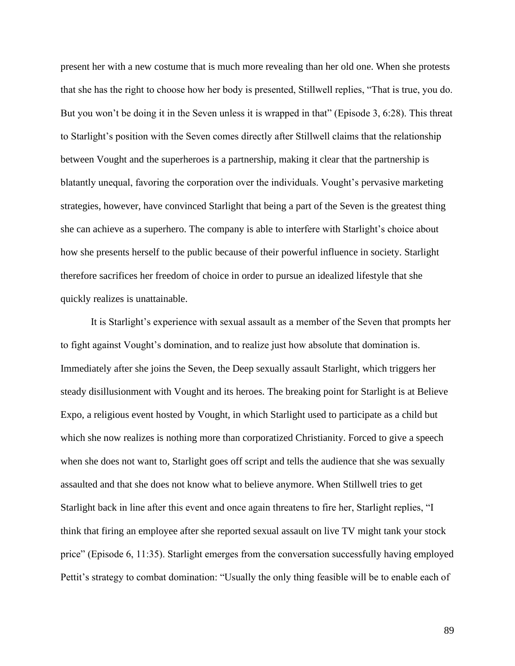present her with a new costume that is much more revealing than her old one. When she protests that she has the right to choose how her body is presented, Stillwell replies, "That is true, you do. But you won't be doing it in the Seven unless it is wrapped in that" (Episode 3, 6:28). This threat to Starlight's position with the Seven comes directly after Stillwell claims that the relationship between Vought and the superheroes is a partnership, making it clear that the partnership is blatantly unequal, favoring the corporation over the individuals. Vought's pervasive marketing strategies, however, have convinced Starlight that being a part of the Seven is the greatest thing she can achieve as a superhero. The company is able to interfere with Starlight's choice about how she presents herself to the public because of their powerful influence in society. Starlight therefore sacrifices her freedom of choice in order to pursue an idealized lifestyle that she quickly realizes is unattainable.

It is Starlight's experience with sexual assault as a member of the Seven that prompts her to fight against Vought's domination, and to realize just how absolute that domination is. Immediately after she joins the Seven, the Deep sexually assault Starlight, which triggers her steady disillusionment with Vought and its heroes. The breaking point for Starlight is at Believe Expo, a religious event hosted by Vought, in which Starlight used to participate as a child but which she now realizes is nothing more than corporatized Christianity. Forced to give a speech when she does not want to, Starlight goes off script and tells the audience that she was sexually assaulted and that she does not know what to believe anymore. When Stillwell tries to get Starlight back in line after this event and once again threatens to fire her, Starlight replies, "I think that firing an employee after she reported sexual assault on live TV might tank your stock price" (Episode 6, 11:35). Starlight emerges from the conversation successfully having employed Pettit's strategy to combat domination: "Usually the only thing feasible will be to enable each of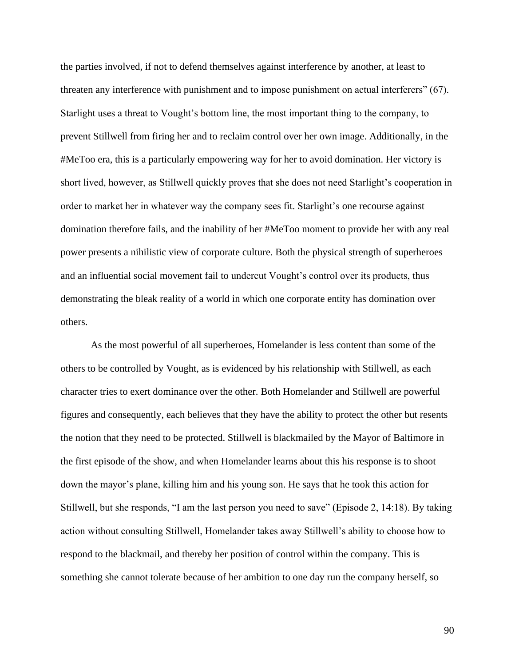the parties involved, if not to defend themselves against interference by another, at least to threaten any interference with punishment and to impose punishment on actual interferers" (67). Starlight uses a threat to Vought's bottom line, the most important thing to the company, to prevent Stillwell from firing her and to reclaim control over her own image. Additionally, in the #MeToo era, this is a particularly empowering way for her to avoid domination. Her victory is short lived, however, as Stillwell quickly proves that she does not need Starlight's cooperation in order to market her in whatever way the company sees fit. Starlight's one recourse against domination therefore fails, and the inability of her #MeToo moment to provide her with any real power presents a nihilistic view of corporate culture. Both the physical strength of superheroes and an influential social movement fail to undercut Vought's control over its products, thus demonstrating the bleak reality of a world in which one corporate entity has domination over others.

As the most powerful of all superheroes, Homelander is less content than some of the others to be controlled by Vought, as is evidenced by his relationship with Stillwell, as each character tries to exert dominance over the other. Both Homelander and Stillwell are powerful figures and consequently, each believes that they have the ability to protect the other but resents the notion that they need to be protected. Stillwell is blackmailed by the Mayor of Baltimore in the first episode of the show, and when Homelander learns about this his response is to shoot down the mayor's plane, killing him and his young son. He says that he took this action for Stillwell, but she responds, "I am the last person you need to save" (Episode 2, 14:18). By taking action without consulting Stillwell, Homelander takes away Stillwell's ability to choose how to respond to the blackmail, and thereby her position of control within the company. This is something she cannot tolerate because of her ambition to one day run the company herself, so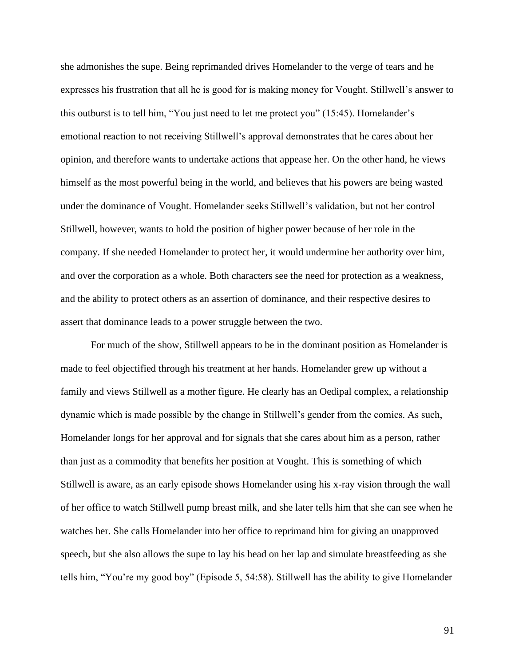she admonishes the supe. Being reprimanded drives Homelander to the verge of tears and he expresses his frustration that all he is good for is making money for Vought. Stillwell's answer to this outburst is to tell him, "You just need to let me protect you" (15:45). Homelander's emotional reaction to not receiving Stillwell's approval demonstrates that he cares about her opinion, and therefore wants to undertake actions that appease her. On the other hand, he views himself as the most powerful being in the world, and believes that his powers are being wasted under the dominance of Vought. Homelander seeks Stillwell's validation, but not her control Stillwell, however, wants to hold the position of higher power because of her role in the company. If she needed Homelander to protect her, it would undermine her authority over him, and over the corporation as a whole. Both characters see the need for protection as a weakness, and the ability to protect others as an assertion of dominance, and their respective desires to assert that dominance leads to a power struggle between the two.

For much of the show, Stillwell appears to be in the dominant position as Homelander is made to feel objectified through his treatment at her hands. Homelander grew up without a family and views Stillwell as a mother figure. He clearly has an Oedipal complex, a relationship dynamic which is made possible by the change in Stillwell's gender from the comics. As such, Homelander longs for her approval and for signals that she cares about him as a person, rather than just as a commodity that benefits her position at Vought. This is something of which Stillwell is aware, as an early episode shows Homelander using his x-ray vision through the wall of her office to watch Stillwell pump breast milk, and she later tells him that she can see when he watches her. She calls Homelander into her office to reprimand him for giving an unapproved speech, but she also allows the supe to lay his head on her lap and simulate breastfeeding as she tells him, "You're my good boy" (Episode 5, 54:58). Stillwell has the ability to give Homelander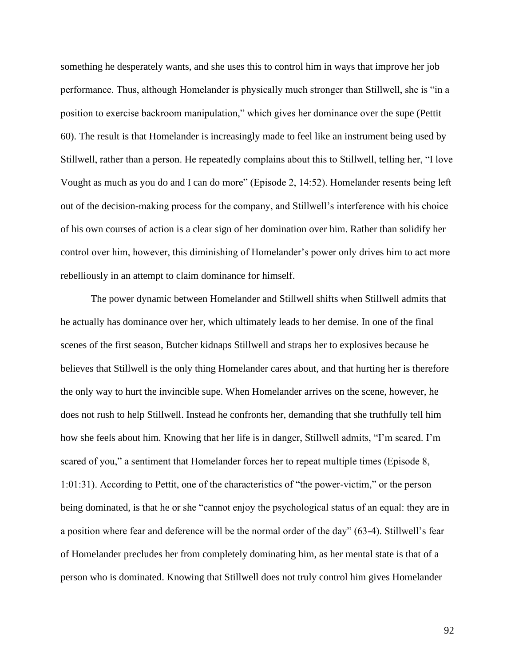something he desperately wants, and she uses this to control him in ways that improve her job performance. Thus, although Homelander is physically much stronger than Stillwell, she is "in a position to exercise backroom manipulation," which gives her dominance over the supe (Pettit 60). The result is that Homelander is increasingly made to feel like an instrument being used by Stillwell, rather than a person. He repeatedly complains about this to Stillwell, telling her, "I love Vought as much as you do and I can do more" (Episode 2, 14:52). Homelander resents being left out of the decision-making process for the company, and Stillwell's interference with his choice of his own courses of action is a clear sign of her domination over him. Rather than solidify her control over him, however, this diminishing of Homelander's power only drives him to act more rebelliously in an attempt to claim dominance for himself.

The power dynamic between Homelander and Stillwell shifts when Stillwell admits that he actually has dominance over her, which ultimately leads to her demise. In one of the final scenes of the first season, Butcher kidnaps Stillwell and straps her to explosives because he believes that Stillwell is the only thing Homelander cares about, and that hurting her is therefore the only way to hurt the invincible supe. When Homelander arrives on the scene, however, he does not rush to help Stillwell. Instead he confronts her, demanding that she truthfully tell him how she feels about him. Knowing that her life is in danger, Stillwell admits, "I'm scared. I'm scared of you," a sentiment that Homelander forces her to repeat multiple times (Episode 8, 1:01:31). According to Pettit, one of the characteristics of "the power-victim," or the person being dominated, is that he or she "cannot enjoy the psychological status of an equal: they are in a position where fear and deference will be the normal order of the day" (63-4). Stillwell's fear of Homelander precludes her from completely dominating him, as her mental state is that of a person who is dominated. Knowing that Stillwell does not truly control him gives Homelander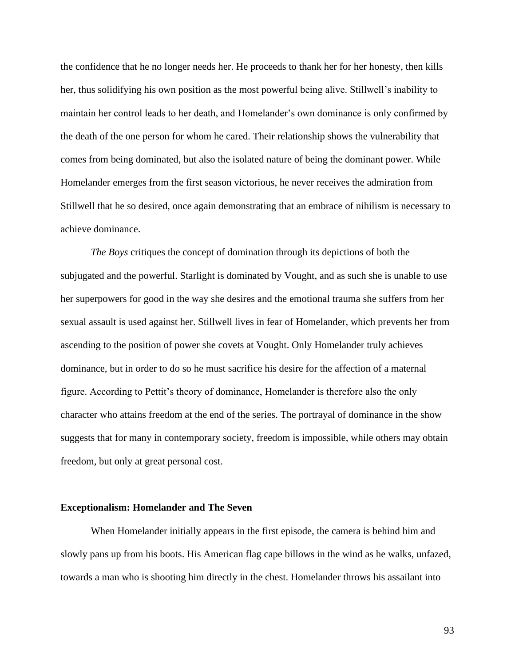the confidence that he no longer needs her. He proceeds to thank her for her honesty, then kills her, thus solidifying his own position as the most powerful being alive. Stillwell's inability to maintain her control leads to her death, and Homelander's own dominance is only confirmed by the death of the one person for whom he cared. Their relationship shows the vulnerability that comes from being dominated, but also the isolated nature of being the dominant power. While Homelander emerges from the first season victorious, he never receives the admiration from Stillwell that he so desired, once again demonstrating that an embrace of nihilism is necessary to achieve dominance.

*The Boys* critiques the concept of domination through its depictions of both the subjugated and the powerful. Starlight is dominated by Vought, and as such she is unable to use her superpowers for good in the way she desires and the emotional trauma she suffers from her sexual assault is used against her. Stillwell lives in fear of Homelander, which prevents her from ascending to the position of power she covets at Vought. Only Homelander truly achieves dominance, but in order to do so he must sacrifice his desire for the affection of a maternal figure. According to Pettit's theory of dominance, Homelander is therefore also the only character who attains freedom at the end of the series. The portrayal of dominance in the show suggests that for many in contemporary society, freedom is impossible, while others may obtain freedom, but only at great personal cost.

#### **Exceptionalism: Homelander and The Seven**

When Homelander initially appears in the first episode, the camera is behind him and slowly pans up from his boots. His American flag cape billows in the wind as he walks, unfazed, towards a man who is shooting him directly in the chest. Homelander throws his assailant into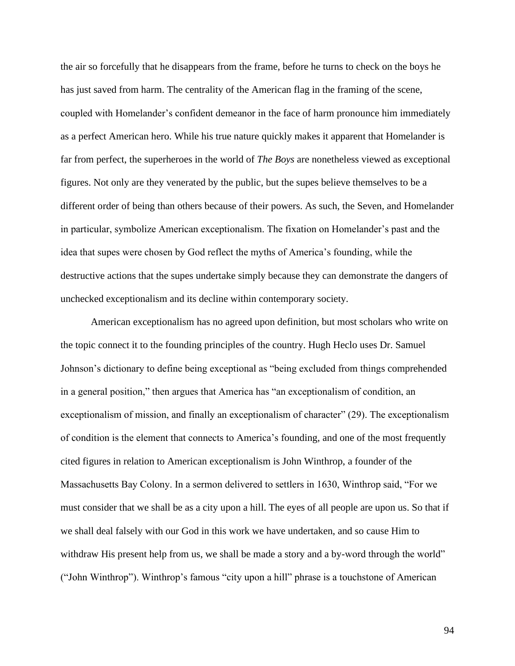the air so forcefully that he disappears from the frame, before he turns to check on the boys he has just saved from harm. The centrality of the American flag in the framing of the scene, coupled with Homelander's confident demeanor in the face of harm pronounce him immediately as a perfect American hero. While his true nature quickly makes it apparent that Homelander is far from perfect, the superheroes in the world of *The Boys* are nonetheless viewed as exceptional figures. Not only are they venerated by the public, but the supes believe themselves to be a different order of being than others because of their powers. As such, the Seven, and Homelander in particular, symbolize American exceptionalism. The fixation on Homelander's past and the idea that supes were chosen by God reflect the myths of America's founding, while the destructive actions that the supes undertake simply because they can demonstrate the dangers of unchecked exceptionalism and its decline within contemporary society.

American exceptionalism has no agreed upon definition, but most scholars who write on the topic connect it to the founding principles of the country. Hugh Heclo uses Dr. Samuel Johnson's dictionary to define being exceptional as "being excluded from things comprehended in a general position," then argues that America has "an exceptionalism of condition, an exceptionalism of mission, and finally an exceptionalism of character" (29). The exceptionalism of condition is the element that connects to America's founding, and one of the most frequently cited figures in relation to American exceptionalism is John Winthrop, a founder of the Massachusetts Bay Colony. In a sermon delivered to settlers in 1630, Winthrop said, "For we must consider that we shall be as a city upon a hill. The eyes of all people are upon us. So that if we shall deal falsely with our God in this work we have undertaken, and so cause Him to withdraw His present help from us, we shall be made a story and a by-word through the world" ("John Winthrop"). Winthrop's famous "city upon a hill" phrase is a touchstone of American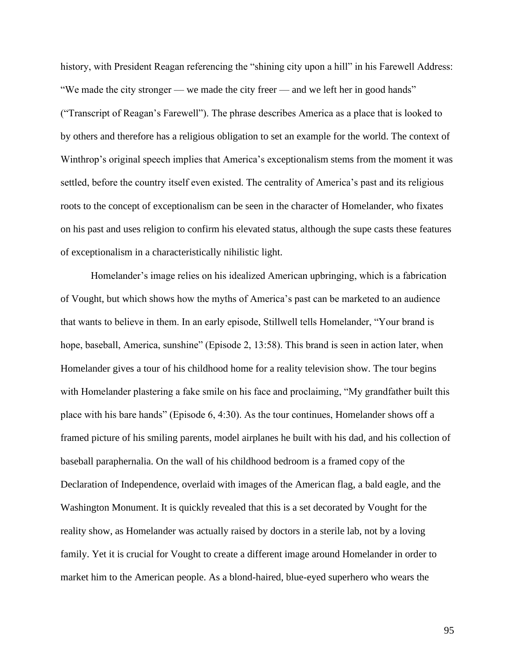history, with President Reagan referencing the "shining city upon a hill" in his Farewell Address: "We made the city stronger — we made the city freer — and we left her in good hands" ("Transcript of Reagan's Farewell"). The phrase describes America as a place that is looked to by others and therefore has a religious obligation to set an example for the world. The context of Winthrop's original speech implies that America's exceptionalism stems from the moment it was settled, before the country itself even existed. The centrality of America's past and its religious roots to the concept of exceptionalism can be seen in the character of Homelander, who fixates on his past and uses religion to confirm his elevated status, although the supe casts these features of exceptionalism in a characteristically nihilistic light.

Homelander's image relies on his idealized American upbringing, which is a fabrication of Vought, but which shows how the myths of America's past can be marketed to an audience that wants to believe in them. In an early episode, Stillwell tells Homelander, "Your brand is hope, baseball, America, sunshine" (Episode 2, 13:58). This brand is seen in action later, when Homelander gives a tour of his childhood home for a reality television show. The tour begins with Homelander plastering a fake smile on his face and proclaiming, "My grandfather built this place with his bare hands" (Episode 6, 4:30). As the tour continues, Homelander shows off a framed picture of his smiling parents, model airplanes he built with his dad, and his collection of baseball paraphernalia. On the wall of his childhood bedroom is a framed copy of the Declaration of Independence, overlaid with images of the American flag, a bald eagle, and the Washington Monument. It is quickly revealed that this is a set decorated by Vought for the reality show, as Homelander was actually raised by doctors in a sterile lab, not by a loving family. Yet it is crucial for Vought to create a different image around Homelander in order to market him to the American people. As a blond-haired, blue-eyed superhero who wears the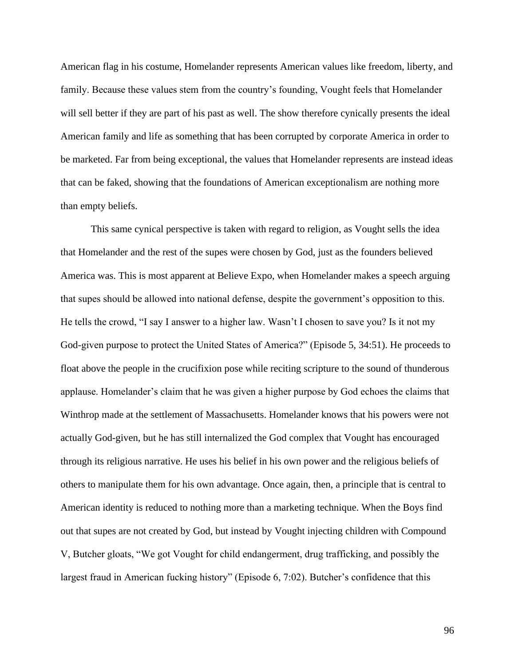American flag in his costume, Homelander represents American values like freedom, liberty, and family. Because these values stem from the country's founding, Vought feels that Homelander will sell better if they are part of his past as well. The show therefore cynically presents the ideal American family and life as something that has been corrupted by corporate America in order to be marketed. Far from being exceptional, the values that Homelander represents are instead ideas that can be faked, showing that the foundations of American exceptionalism are nothing more than empty beliefs.

This same cynical perspective is taken with regard to religion, as Vought sells the idea that Homelander and the rest of the supes were chosen by God, just as the founders believed America was. This is most apparent at Believe Expo, when Homelander makes a speech arguing that supes should be allowed into national defense, despite the government's opposition to this. He tells the crowd, "I say I answer to a higher law. Wasn't I chosen to save you? Is it not my God-given purpose to protect the United States of America?" (Episode 5, 34:51). He proceeds to float above the people in the crucifixion pose while reciting scripture to the sound of thunderous applause. Homelander's claim that he was given a higher purpose by God echoes the claims that Winthrop made at the settlement of Massachusetts. Homelander knows that his powers were not actually God-given, but he has still internalized the God complex that Vought has encouraged through its religious narrative. He uses his belief in his own power and the religious beliefs of others to manipulate them for his own advantage. Once again, then, a principle that is central to American identity is reduced to nothing more than a marketing technique. When the Boys find out that supes are not created by God, but instead by Vought injecting children with Compound V, Butcher gloats, "We got Vought for child endangerment, drug trafficking, and possibly the largest fraud in American fucking history" (Episode 6, 7:02). Butcher's confidence that this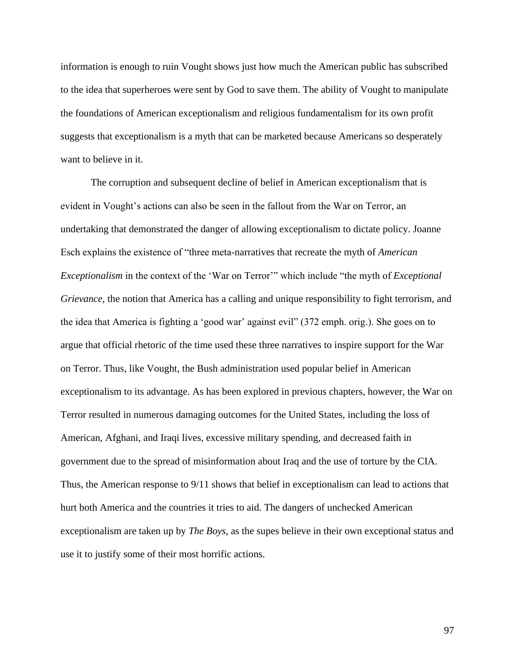information is enough to ruin Vought shows just how much the American public has subscribed to the idea that superheroes were sent by God to save them. The ability of Vought to manipulate the foundations of American exceptionalism and religious fundamentalism for its own profit suggests that exceptionalism is a myth that can be marketed because Americans so desperately want to believe in it.

The corruption and subsequent decline of belief in American exceptionalism that is evident in Vought's actions can also be seen in the fallout from the War on Terror, an undertaking that demonstrated the danger of allowing exceptionalism to dictate policy. Joanne Esch explains the existence of "three meta-narratives that recreate the myth of *American Exceptionalism* in the context of the 'War on Terror'" which include "the myth of *Exceptional Grievance*, the notion that America has a calling and unique responsibility to fight terrorism, and the idea that America is fighting a 'good war' against evil" (372 emph. orig.). She goes on to argue that official rhetoric of the time used these three narratives to inspire support for the War on Terror. Thus, like Vought, the Bush administration used popular belief in American exceptionalism to its advantage. As has been explored in previous chapters, however, the War on Terror resulted in numerous damaging outcomes for the United States, including the loss of American, Afghani, and Iraqi lives, excessive military spending, and decreased faith in government due to the spread of misinformation about Iraq and the use of torture by the CIA. Thus, the American response to 9/11 shows that belief in exceptionalism can lead to actions that hurt both America and the countries it tries to aid. The dangers of unchecked American exceptionalism are taken up by *The Boys*, as the supes believe in their own exceptional status and use it to justify some of their most horrific actions.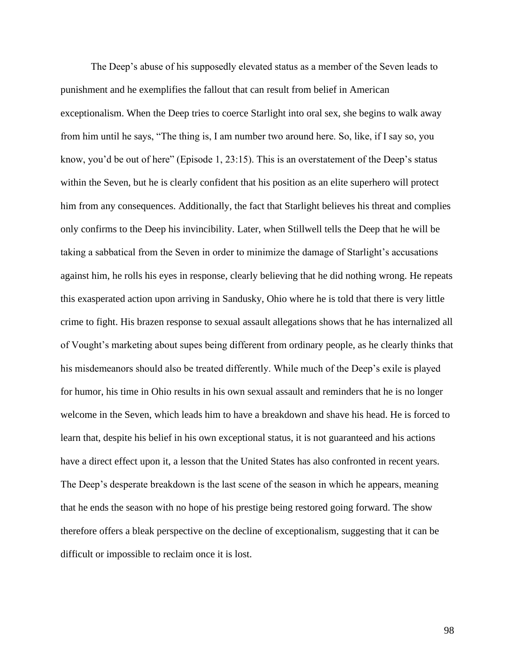The Deep's abuse of his supposedly elevated status as a member of the Seven leads to punishment and he exemplifies the fallout that can result from belief in American exceptionalism. When the Deep tries to coerce Starlight into oral sex, she begins to walk away from him until he says, "The thing is, I am number two around here. So, like, if I say so, you know, you'd be out of here" (Episode 1, 23:15). This is an overstatement of the Deep's status within the Seven, but he is clearly confident that his position as an elite superhero will protect him from any consequences. Additionally, the fact that Starlight believes his threat and complies only confirms to the Deep his invincibility. Later, when Stillwell tells the Deep that he will be taking a sabbatical from the Seven in order to minimize the damage of Starlight's accusations against him, he rolls his eyes in response, clearly believing that he did nothing wrong. He repeats this exasperated action upon arriving in Sandusky, Ohio where he is told that there is very little crime to fight. His brazen response to sexual assault allegations shows that he has internalized all of Vought's marketing about supes being different from ordinary people, as he clearly thinks that his misdemeanors should also be treated differently. While much of the Deep's exile is played for humor, his time in Ohio results in his own sexual assault and reminders that he is no longer welcome in the Seven, which leads him to have a breakdown and shave his head. He is forced to learn that, despite his belief in his own exceptional status, it is not guaranteed and his actions have a direct effect upon it, a lesson that the United States has also confronted in recent years. The Deep's desperate breakdown is the last scene of the season in which he appears, meaning that he ends the season with no hope of his prestige being restored going forward. The show therefore offers a bleak perspective on the decline of exceptionalism, suggesting that it can be difficult or impossible to reclaim once it is lost.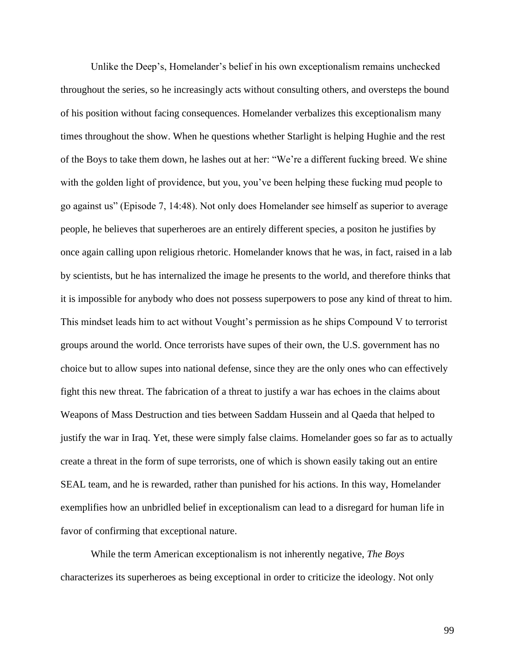Unlike the Deep's, Homelander's belief in his own exceptionalism remains unchecked throughout the series, so he increasingly acts without consulting others, and oversteps the bound of his position without facing consequences. Homelander verbalizes this exceptionalism many times throughout the show. When he questions whether Starlight is helping Hughie and the rest of the Boys to take them down, he lashes out at her: "We're a different fucking breed. We shine with the golden light of providence, but you, you've been helping these fucking mud people to go against us" (Episode 7, 14:48). Not only does Homelander see himself as superior to average people, he believes that superheroes are an entirely different species, a positon he justifies by once again calling upon religious rhetoric. Homelander knows that he was, in fact, raised in a lab by scientists, but he has internalized the image he presents to the world, and therefore thinks that it is impossible for anybody who does not possess superpowers to pose any kind of threat to him. This mindset leads him to act without Vought's permission as he ships Compound V to terrorist groups around the world. Once terrorists have supes of their own, the U.S. government has no choice but to allow supes into national defense, since they are the only ones who can effectively fight this new threat. The fabrication of a threat to justify a war has echoes in the claims about Weapons of Mass Destruction and ties between Saddam Hussein and al Qaeda that helped to justify the war in Iraq. Yet, these were simply false claims. Homelander goes so far as to actually create a threat in the form of supe terrorists, one of which is shown easily taking out an entire SEAL team, and he is rewarded, rather than punished for his actions. In this way, Homelander exemplifies how an unbridled belief in exceptionalism can lead to a disregard for human life in favor of confirming that exceptional nature.

While the term American exceptionalism is not inherently negative, *The Boys* characterizes its superheroes as being exceptional in order to criticize the ideology. Not only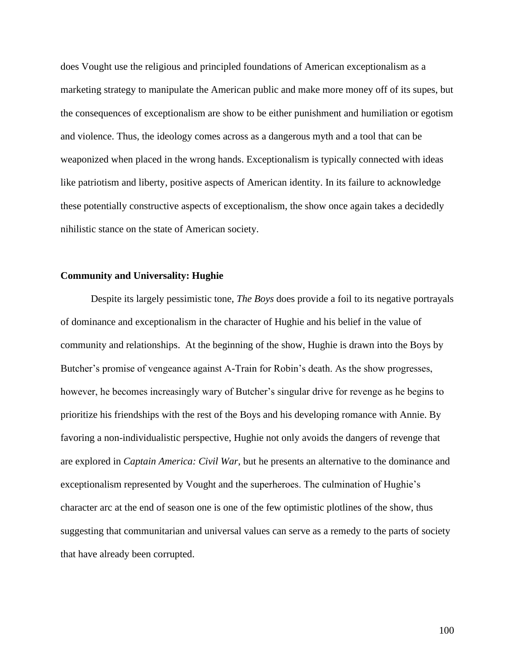does Vought use the religious and principled foundations of American exceptionalism as a marketing strategy to manipulate the American public and make more money off of its supes, but the consequences of exceptionalism are show to be either punishment and humiliation or egotism and violence. Thus, the ideology comes across as a dangerous myth and a tool that can be weaponized when placed in the wrong hands. Exceptionalism is typically connected with ideas like patriotism and liberty, positive aspects of American identity. In its failure to acknowledge these potentially constructive aspects of exceptionalism, the show once again takes a decidedly nihilistic stance on the state of American society.

# **Community and Universality: Hughie**

Despite its largely pessimistic tone, *The Boys* does provide a foil to its negative portrayals of dominance and exceptionalism in the character of Hughie and his belief in the value of community and relationships. At the beginning of the show, Hughie is drawn into the Boys by Butcher's promise of vengeance against A-Train for Robin's death. As the show progresses, however, he becomes increasingly wary of Butcher's singular drive for revenge as he begins to prioritize his friendships with the rest of the Boys and his developing romance with Annie. By favoring a non-individualistic perspective, Hughie not only avoids the dangers of revenge that are explored in *Captain America: Civil War*, but he presents an alternative to the dominance and exceptionalism represented by Vought and the superheroes. The culmination of Hughie's character arc at the end of season one is one of the few optimistic plotlines of the show, thus suggesting that communitarian and universal values can serve as a remedy to the parts of society that have already been corrupted.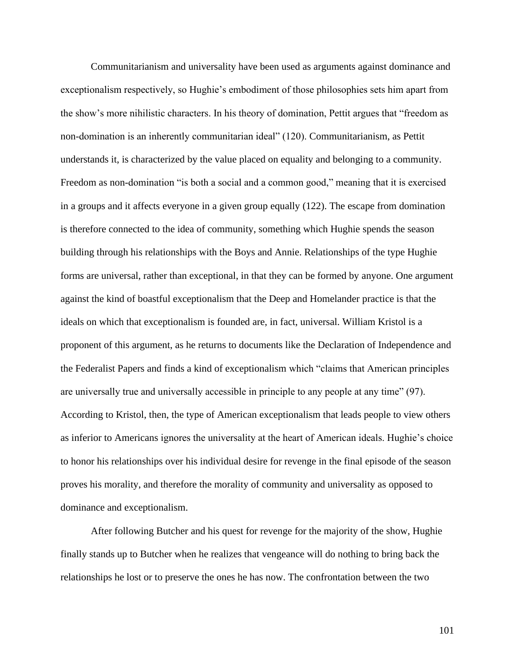Communitarianism and universality have been used as arguments against dominance and exceptionalism respectively, so Hughie's embodiment of those philosophies sets him apart from the show's more nihilistic characters. In his theory of domination, Pettit argues that "freedom as non-domination is an inherently communitarian ideal" (120). Communitarianism, as Pettit understands it, is characterized by the value placed on equality and belonging to a community. Freedom as non-domination "is both a social and a common good," meaning that it is exercised in a groups and it affects everyone in a given group equally (122). The escape from domination is therefore connected to the idea of community, something which Hughie spends the season building through his relationships with the Boys and Annie. Relationships of the type Hughie forms are universal, rather than exceptional, in that they can be formed by anyone. One argument against the kind of boastful exceptionalism that the Deep and Homelander practice is that the ideals on which that exceptionalism is founded are, in fact, universal. William Kristol is a proponent of this argument, as he returns to documents like the Declaration of Independence and the Federalist Papers and finds a kind of exceptionalism which "claims that American principles are universally true and universally accessible in principle to any people at any time" (97). According to Kristol, then, the type of American exceptionalism that leads people to view others as inferior to Americans ignores the universality at the heart of American ideals. Hughie's choice to honor his relationships over his individual desire for revenge in the final episode of the season proves his morality, and therefore the morality of community and universality as opposed to dominance and exceptionalism.

After following Butcher and his quest for revenge for the majority of the show, Hughie finally stands up to Butcher when he realizes that vengeance will do nothing to bring back the relationships he lost or to preserve the ones he has now. The confrontation between the two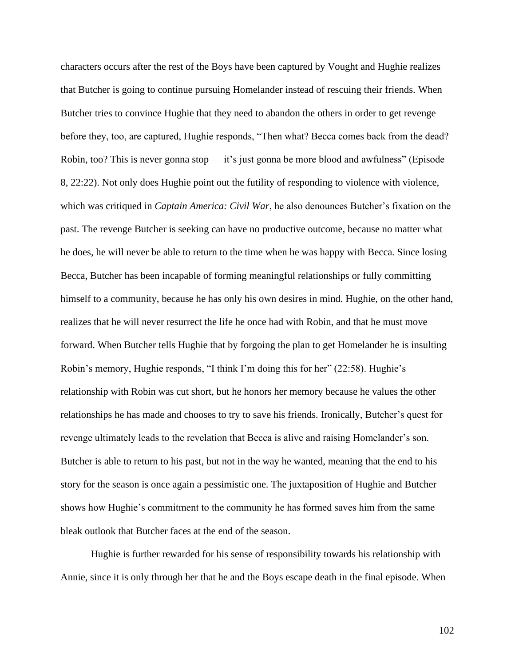characters occurs after the rest of the Boys have been captured by Vought and Hughie realizes that Butcher is going to continue pursuing Homelander instead of rescuing their friends. When Butcher tries to convince Hughie that they need to abandon the others in order to get revenge before they, too, are captured, Hughie responds, "Then what? Becca comes back from the dead? Robin, too? This is never gonna stop — it's just gonna be more blood and awfulness" (Episode 8, 22:22). Not only does Hughie point out the futility of responding to violence with violence, which was critiqued in *Captain America: Civil War*, he also denounces Butcher's fixation on the past. The revenge Butcher is seeking can have no productive outcome, because no matter what he does, he will never be able to return to the time when he was happy with Becca. Since losing Becca, Butcher has been incapable of forming meaningful relationships or fully committing himself to a community, because he has only his own desires in mind. Hughie, on the other hand, realizes that he will never resurrect the life he once had with Robin, and that he must move forward. When Butcher tells Hughie that by forgoing the plan to get Homelander he is insulting Robin's memory, Hughie responds, "I think I'm doing this for her" (22:58). Hughie's relationship with Robin was cut short, but he honors her memory because he values the other relationships he has made and chooses to try to save his friends. Ironically, Butcher's quest for revenge ultimately leads to the revelation that Becca is alive and raising Homelander's son. Butcher is able to return to his past, but not in the way he wanted, meaning that the end to his story for the season is once again a pessimistic one. The juxtaposition of Hughie and Butcher shows how Hughie's commitment to the community he has formed saves him from the same bleak outlook that Butcher faces at the end of the season.

Hughie is further rewarded for his sense of responsibility towards his relationship with Annie, since it is only through her that he and the Boys escape death in the final episode. When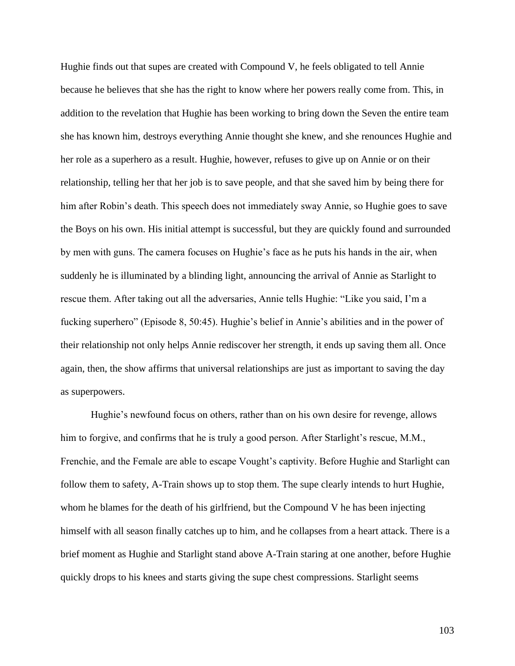Hughie finds out that supes are created with Compound V, he feels obligated to tell Annie because he believes that she has the right to know where her powers really come from. This, in addition to the revelation that Hughie has been working to bring down the Seven the entire team she has known him, destroys everything Annie thought she knew, and she renounces Hughie and her role as a superhero as a result. Hughie, however, refuses to give up on Annie or on their relationship, telling her that her job is to save people, and that she saved him by being there for him after Robin's death. This speech does not immediately sway Annie, so Hughie goes to save the Boys on his own. His initial attempt is successful, but they are quickly found and surrounded by men with guns. The camera focuses on Hughie's face as he puts his hands in the air, when suddenly he is illuminated by a blinding light, announcing the arrival of Annie as Starlight to rescue them. After taking out all the adversaries, Annie tells Hughie: "Like you said, I'm a fucking superhero" (Episode 8, 50:45). Hughie's belief in Annie's abilities and in the power of their relationship not only helps Annie rediscover her strength, it ends up saving them all. Once again, then, the show affirms that universal relationships are just as important to saving the day as superpowers.

Hughie's newfound focus on others, rather than on his own desire for revenge, allows him to forgive, and confirms that he is truly a good person. After Starlight's rescue, M.M., Frenchie, and the Female are able to escape Vought's captivity. Before Hughie and Starlight can follow them to safety, A-Train shows up to stop them. The supe clearly intends to hurt Hughie, whom he blames for the death of his girlfriend, but the Compound V he has been injecting himself with all season finally catches up to him, and he collapses from a heart attack. There is a brief moment as Hughie and Starlight stand above A-Train staring at one another, before Hughie quickly drops to his knees and starts giving the supe chest compressions. Starlight seems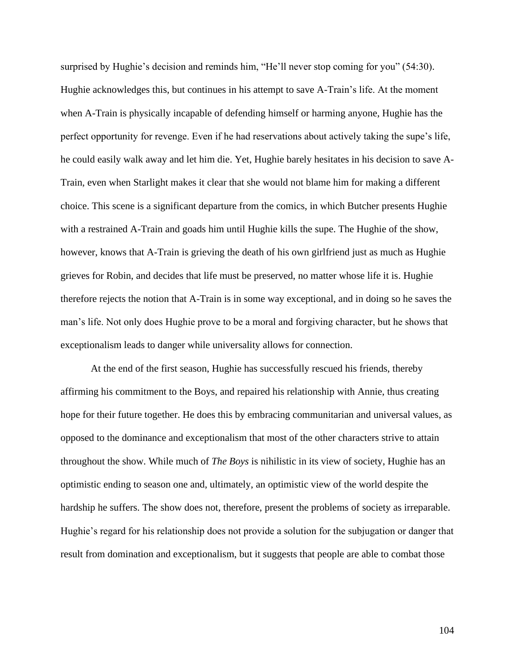surprised by Hughie's decision and reminds him, "He'll never stop coming for you" (54:30). Hughie acknowledges this, but continues in his attempt to save A-Train's life. At the moment when A-Train is physically incapable of defending himself or harming anyone, Hughie has the perfect opportunity for revenge. Even if he had reservations about actively taking the supe's life, he could easily walk away and let him die. Yet, Hughie barely hesitates in his decision to save A-Train, even when Starlight makes it clear that she would not blame him for making a different choice. This scene is a significant departure from the comics, in which Butcher presents Hughie with a restrained A-Train and goads him until Hughie kills the supe. The Hughie of the show, however, knows that A-Train is grieving the death of his own girlfriend just as much as Hughie grieves for Robin, and decides that life must be preserved, no matter whose life it is. Hughie therefore rejects the notion that A-Train is in some way exceptional, and in doing so he saves the man's life. Not only does Hughie prove to be a moral and forgiving character, but he shows that exceptionalism leads to danger while universality allows for connection.

At the end of the first season, Hughie has successfully rescued his friends, thereby affirming his commitment to the Boys, and repaired his relationship with Annie, thus creating hope for their future together. He does this by embracing communitarian and universal values, as opposed to the dominance and exceptionalism that most of the other characters strive to attain throughout the show. While much of *The Boys* is nihilistic in its view of society, Hughie has an optimistic ending to season one and, ultimately, an optimistic view of the world despite the hardship he suffers. The show does not, therefore, present the problems of society as irreparable. Hughie's regard for his relationship does not provide a solution for the subjugation or danger that result from domination and exceptionalism, but it suggests that people are able to combat those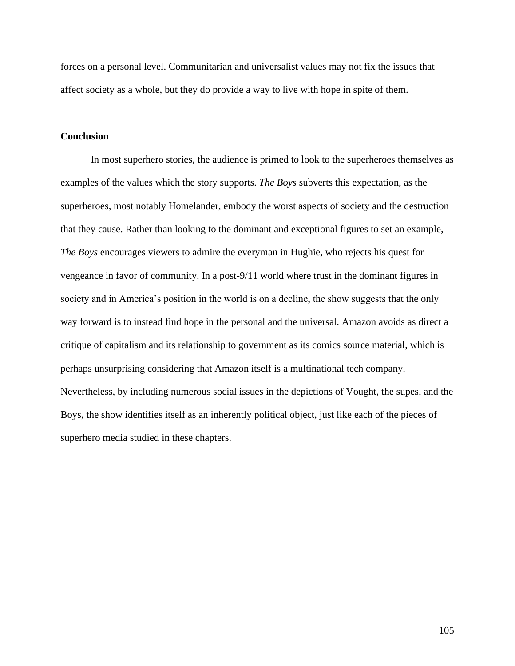forces on a personal level. Communitarian and universalist values may not fix the issues that affect society as a whole, but they do provide a way to live with hope in spite of them.

## **Conclusion**

In most superhero stories, the audience is primed to look to the superheroes themselves as examples of the values which the story supports. *The Boys* subverts this expectation, as the superheroes, most notably Homelander, embody the worst aspects of society and the destruction that they cause. Rather than looking to the dominant and exceptional figures to set an example, *The Boys* encourages viewers to admire the everyman in Hughie, who rejects his quest for vengeance in favor of community. In a post-9/11 world where trust in the dominant figures in society and in America's position in the world is on a decline, the show suggests that the only way forward is to instead find hope in the personal and the universal. Amazon avoids as direct a critique of capitalism and its relationship to government as its comics source material, which is perhaps unsurprising considering that Amazon itself is a multinational tech company. Nevertheless, by including numerous social issues in the depictions of Vought, the supes, and the Boys, the show identifies itself as an inherently political object, just like each of the pieces of superhero media studied in these chapters.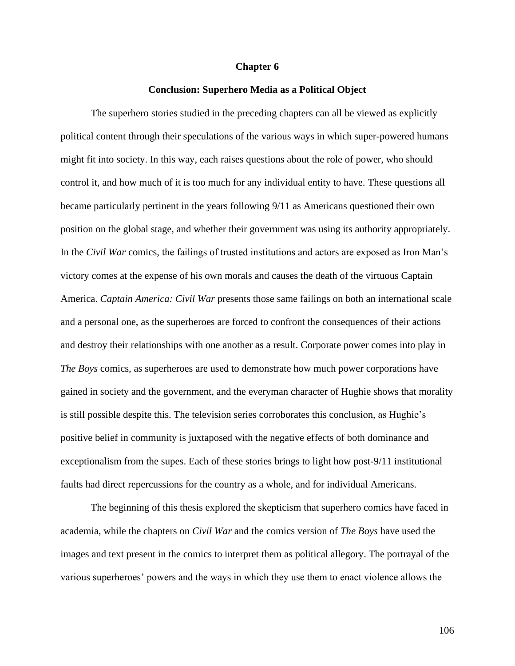## **Chapter 6**

## **Conclusion: Superhero Media as a Political Object**

The superhero stories studied in the preceding chapters can all be viewed as explicitly political content through their speculations of the various ways in which super-powered humans might fit into society. In this way, each raises questions about the role of power, who should control it, and how much of it is too much for any individual entity to have. These questions all became particularly pertinent in the years following 9/11 as Americans questioned their own position on the global stage, and whether their government was using its authority appropriately. In the *Civil War* comics, the failings of trusted institutions and actors are exposed as Iron Man's victory comes at the expense of his own morals and causes the death of the virtuous Captain America. *Captain America: Civil War* presents those same failings on both an international scale and a personal one, as the superheroes are forced to confront the consequences of their actions and destroy their relationships with one another as a result. Corporate power comes into play in *The Boys* comics, as superheroes are used to demonstrate how much power corporations have gained in society and the government, and the everyman character of Hughie shows that morality is still possible despite this. The television series corroborates this conclusion, as Hughie's positive belief in community is juxtaposed with the negative effects of both dominance and exceptionalism from the supes. Each of these stories brings to light how post-9/11 institutional faults had direct repercussions for the country as a whole, and for individual Americans.

The beginning of this thesis explored the skepticism that superhero comics have faced in academia, while the chapters on *Civil War* and the comics version of *The Boys* have used the images and text present in the comics to interpret them as political allegory. The portrayal of the various superheroes' powers and the ways in which they use them to enact violence allows the

106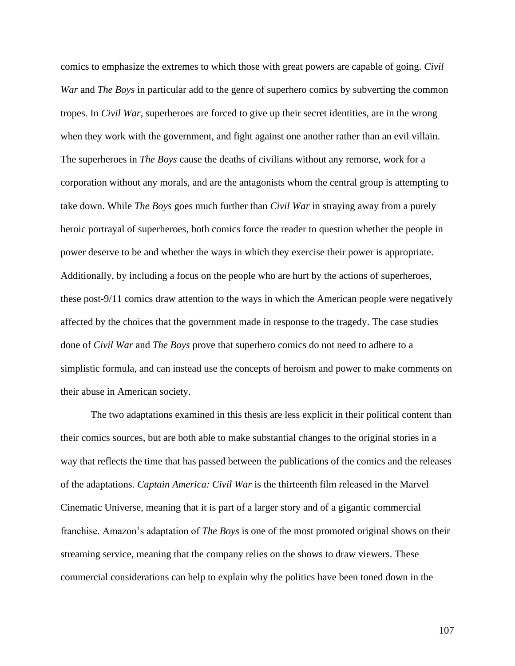comics to emphasize the extremes to which those with great powers are capable of going. *Civil War* and *The Boys* in particular add to the genre of superhero comics by subverting the common tropes. In *Civil War*, superheroes are forced to give up their secret identities, are in the wrong when they work with the government, and fight against one another rather than an evil villain. The superheroes in *The Boys* cause the deaths of civilians without any remorse, work for a corporation without any morals, and are the antagonists whom the central group is attempting to take down. While *The Boys* goes much further than *Civil War* in straying away from a purely heroic portrayal of superheroes, both comics force the reader to question whether the people in power deserve to be and whether the ways in which they exercise their power is appropriate. Additionally, by including a focus on the people who are hurt by the actions of superheroes, these post-9/11 comics draw attention to the ways in which the American people were negatively affected by the choices that the government made in response to the tragedy. The case studies done of *Civil War* and *The Boys* prove that superhero comics do not need to adhere to a simplistic formula, and can instead use the concepts of heroism and power to make comments on their abuse in American society.

The two adaptations examined in this thesis are less explicit in their political content than their comics sources, but are both able to make substantial changes to the original stories in a way that reflects the time that has passed between the publications of the comics and the releases of the adaptations. *Captain America: Civil War* is the thirteenth film released in the Marvel Cinematic Universe, meaning that it is part of a larger story and of a gigantic commercial franchise. Amazon's adaptation of *The Boys* is one of the most promoted original shows on their streaming service, meaning that the company relies on the shows to draw viewers. These commercial considerations can help to explain why the politics have been toned down in the

107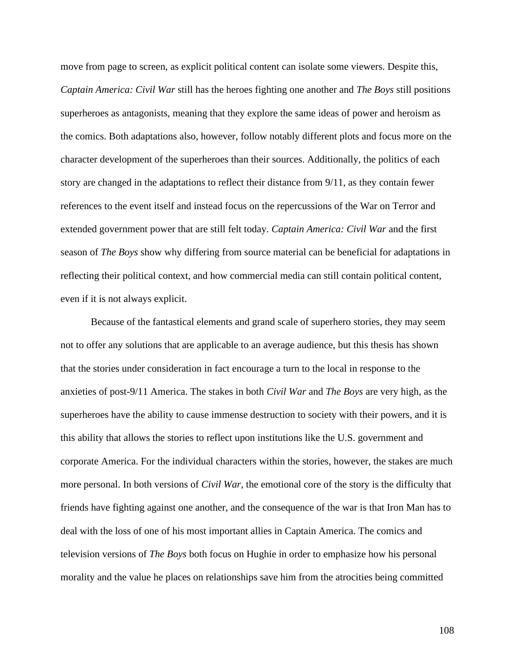move from page to screen, as explicit political content can isolate some viewers. Despite this, *Captain America: Civil War* still has the heroes fighting one another and *The Boys* still positions superheroes as antagonists, meaning that they explore the same ideas of power and heroism as the comics. Both adaptations also, however, follow notably different plots and focus more on the character development of the superheroes than their sources. Additionally, the politics of each story are changed in the adaptations to reflect their distance from 9/11, as they contain fewer references to the event itself and instead focus on the repercussions of the War on Terror and extended government power that are still felt today. *Captain America: Civil War* and the first season of *The Boys* show why differing from source material can be beneficial for adaptations in reflecting their political context, and how commercial media can still contain political content, even if it is not always explicit.

Because of the fantastical elements and grand scale of superhero stories, they may seem not to offer any solutions that are applicable to an average audience, but this thesis has shown that the stories under consideration in fact encourage a turn to the local in response to the anxieties of post-9/11 America. The stakes in both *Civil War* and *The Boys* are very high, as the superheroes have the ability to cause immense destruction to society with their powers, and it is this ability that allows the stories to reflect upon institutions like the U.S. government and corporate America. For the individual characters within the stories, however, the stakes are much more personal. In both versions of *Civil War*, the emotional core of the story is the difficulty that friends have fighting against one another, and the consequence of the war is that Iron Man has to deal with the loss of one of his most important allies in Captain America. The comics and television versions of *The Boys* both focus on Hughie in order to emphasize how his personal morality and the value he places on relationships save him from the atrocities being committed

108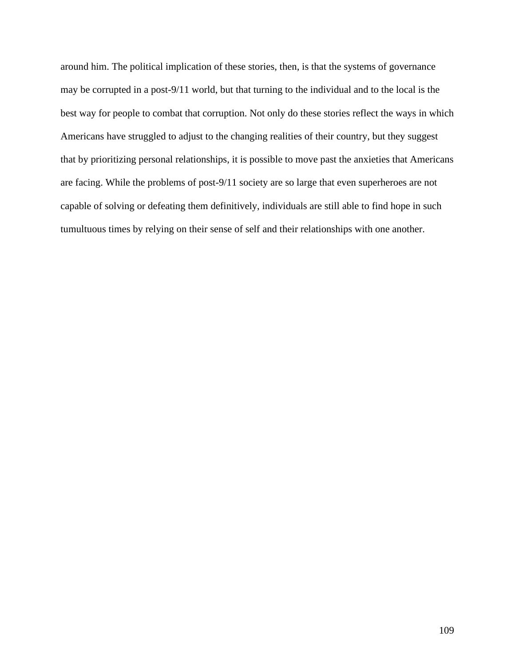around him. The political implication of these stories, then, is that the systems of governance may be corrupted in a post-9/11 world, but that turning to the individual and to the local is the best way for people to combat that corruption. Not only do these stories reflect the ways in which Americans have struggled to adjust to the changing realities of their country, but they suggest that by prioritizing personal relationships, it is possible to move past the anxieties that Americans are facing. While the problems of post-9/11 society are so large that even superheroes are not capable of solving or defeating them definitively, individuals are still able to find hope in such tumultuous times by relying on their sense of self and their relationships with one another.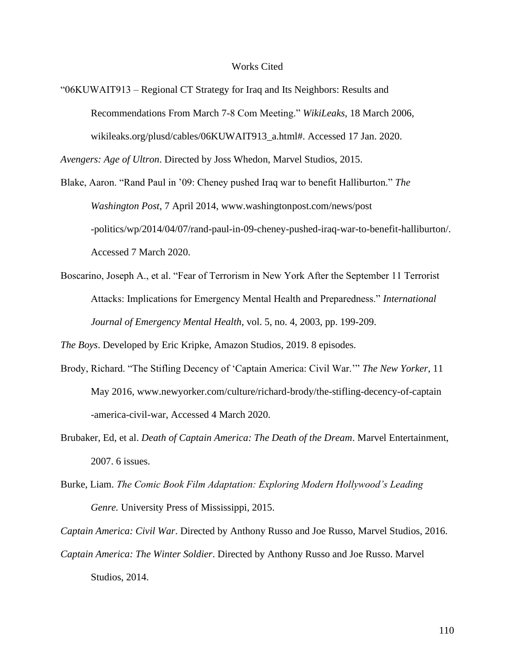## Works Cited

"06KUWAIT913 – Regional CT Strategy for Iraq and Its Neighbors: Results and Recommendations From March 7-8 Com Meeting." *WikiLeaks*, 18 March 2006, wikileaks.org/plusd/cables/06KUWAIT913\_a.html#. Accessed 17 Jan. 2020.

*Avengers: Age of Ultron*. Directed by Joss Whedon, Marvel Studios, 2015.

Blake, Aaron. "Rand Paul in '09: Cheney pushed Iraq war to benefit Halliburton." *The Washington Post*, 7 April 2014, www.washingtonpost.com/news/post -politics/wp/2014/04/07/rand-paul-in-09-cheney-pushed-iraq-war-to-benefit-halliburton/. Accessed 7 March 2020.

Boscarino, Joseph A., et al. "Fear of Terrorism in New York After the September 11 Terrorist Attacks: Implications for Emergency Mental Health and Preparedness." *International Journal of Emergency Mental Health*, vol. 5, no. 4, 2003, pp. 199-209.

*The Boys*. Developed by Eric Kripke, Amazon Studios, 2019. 8 episodes.

- Brody, Richard. "The Stifling Decency of 'Captain America: Civil War.'" *The New Yorker*, 11 May 2016, www.newyorker.com/culture/richard-brody/the-stifling-decency-of-captain -america-civil-war, Accessed 4 March 2020.
- Brubaker, Ed, et al. *Death of Captain America: The Death of the Dream*. Marvel Entertainment, 2007. 6 issues.
- Burke, Liam. *The Comic Book Film Adaptation: Exploring Modern Hollywood's Leading Genre.* University Press of Mississippi, 2015.

*Captain America: Civil War*. Directed by Anthony Russo and Joe Russo, Marvel Studios, 2016.

*Captain America: The Winter Soldier*. Directed by Anthony Russo and Joe Russo. Marvel Studios, 2014.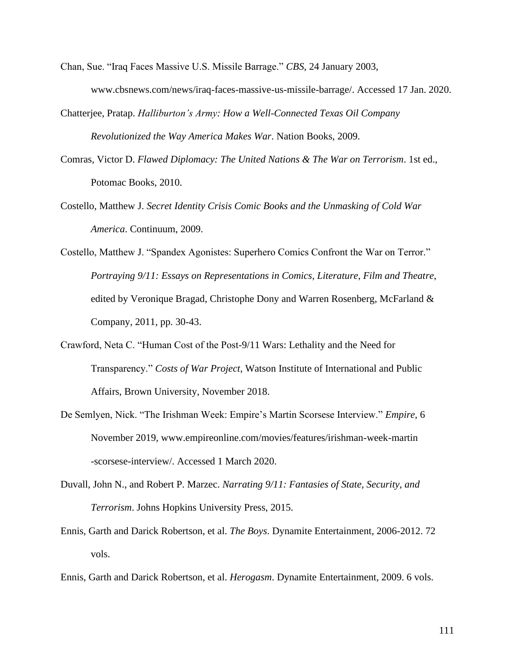- Chan, Sue. "Iraq Faces Massive U.S. Missile Barrage." *CBS*, 24 January 2003, www.cbsnews.com/news/iraq-faces-massive-us-missile-barrage/. Accessed 17 Jan. 2020.
- Chatterjee, Pratap. *Halliburton's Army: How a Well-Connected Texas Oil Company Revolutionized the Way America Makes War*. Nation Books, 2009.
- Comras, Victor D. *Flawed Diplomacy: The United Nations & The War on Terrorism*. 1st ed., Potomac Books, 2010.
- Costello, Matthew J. *Secret Identity Crisis Comic Books and the Unmasking of Cold War America*. Continuum, 2009.
- Costello, Matthew J. "Spandex Agonistes: Superhero Comics Confront the War on Terror." *Portraying 9/11: Essays on Representations in Comics, Literature, Film and Theatre*, edited by Veronique Bragad, Christophe Dony and Warren Rosenberg, McFarland & Company, 2011, pp. 30-43.
- Crawford, Neta C. "Human Cost of the Post-9/11 Wars: Lethality and the Need for Transparency." *Costs of War Project*, Watson Institute of International and Public Affairs, Brown University, November 2018.
- De Semlyen, Nick. "The Irishman Week: Empire's Martin Scorsese Interview." *Empire*, 6 November 2019, www.empireonline.com/movies/features/irishman-week-martin -scorsese-interview/. Accessed 1 March 2020.
- Duvall, John N., and Robert P. Marzec. *Narrating 9/11: Fantasies of State, Security, and Terrorism*. Johns Hopkins University Press, 2015.
- Ennis, Garth and Darick Robertson, et al. *The Boys*. Dynamite Entertainment, 2006-2012. 72 vols.
- Ennis, Garth and Darick Robertson, et al. *Herogasm*. Dynamite Entertainment, 2009. 6 vols.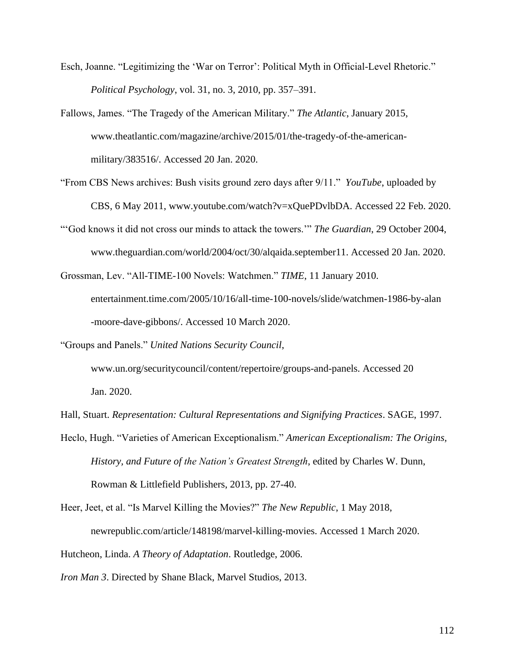- Esch, Joanne. "Legitimizing the 'War on Terror': Political Myth in Official-Level Rhetoric." *Political Psychology*, vol. 31, no. 3, 2010, pp. 357–391.
- Fallows, James. "The Tragedy of the American Military." *The Atlantic*, January 2015, www.theatlantic.com/magazine/archive/2015/01/the-tragedy-of-the-americanmilitary/383516/. Accessed 20 Jan. 2020.
- "From CBS News archives: Bush visits ground zero days after 9/11." *YouTube*, uploaded by CBS, 6 May 2011, www.youtube.com/watch?v=xQuePDvlbDA. Accessed 22 Feb. 2020.
- "'God knows it did not cross our minds to attack the towers.'" *The Guardian*, 29 October 2004, www.theguardian.com/world/2004/oct/30/alqaida.september11. Accessed 20 Jan. 2020.
- Grossman, Lev. "All-TIME-100 Novels: Watchmen." *TIME*, 11 January 2010. entertainment.time.com/2005/10/16/all-time-100-novels/slide/watchmen-1986-by-alan -moore-dave-gibbons/. Accessed 10 March 2020.

"Groups and Panels." *United Nations Security Council*, www.un.org/securitycouncil/content/repertoire/groups-and-panels. Accessed 20 Jan. 2020.

- Hall, Stuart. *Representation: Cultural Representations and Signifying Practices*. SAGE, 1997.
- Heclo, Hugh. "Varieties of American Exceptionalism." *American Exceptionalism: The Origins, History, and Future of the Nation's Greatest Strength*, edited by Charles W. Dunn, Rowman & Littlefield Publishers, 2013, pp. 27-40.

Heer, Jeet, et al. "Is Marvel Killing the Movies?" *The New Republic*, 1 May 2018, newrepublic.com/article/148198/marvel-killing-movies. Accessed 1 March 2020. Hutcheon, Linda. *A Theory of Adaptation*. Routledge, 2006.

*Iron Man 3*. Directed by Shane Black, Marvel Studios, 2013.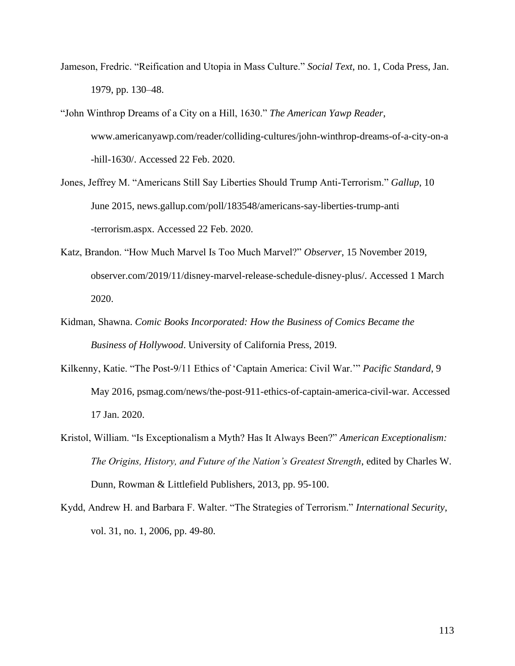- Jameson, Fredric. "Reification and Utopia in Mass Culture." *Social Text*, no. 1, Coda Press, Jan. 1979, pp. 130–48.
- "John Winthrop Dreams of a City on a Hill, 1630." *The American Yawp Reader*, www.americanyawp.com/reader/colliding-cultures/john-winthrop-dreams-of-a-city-on-a -hill-1630/. Accessed 22 Feb. 2020.
- Jones, Jeffrey M. "Americans Still Say Liberties Should Trump Anti-Terrorism." *Gallup*, 10 June 2015, news.gallup.com/poll/183548/americans-say-liberties-trump-anti -terrorism.aspx. Accessed 22 Feb. 2020.
- Katz, Brandon. "How Much Marvel Is Too Much Marvel?" *Observer*, 15 November 2019, observer.com/2019/11/disney-marvel-release-schedule-disney-plus/. Accessed 1 March 2020.
- Kidman, Shawna. *Comic Books Incorporated: How the Business of Comics Became the Business of Hollywood*. University of California Press, 2019.
- Kilkenny, Katie. "The Post-9/11 Ethics of 'Captain America: Civil War.'" *Pacific Standard*, 9 May 2016, psmag.com/news/the-post-911-ethics-of-captain-america-civil-war. Accessed 17 Jan. 2020.
- Kristol, William. "Is Exceptionalism a Myth? Has It Always Been?" *American Exceptionalism: The Origins, History, and Future of the Nation's Greatest Strength*, edited by Charles W. Dunn, Rowman & Littlefield Publishers, 2013, pp. 95-100.
- Kydd, Andrew H. and Barbara F. Walter. "The Strategies of Terrorism." *International Security*, vol. 31, no. 1, 2006, pp. 49-80.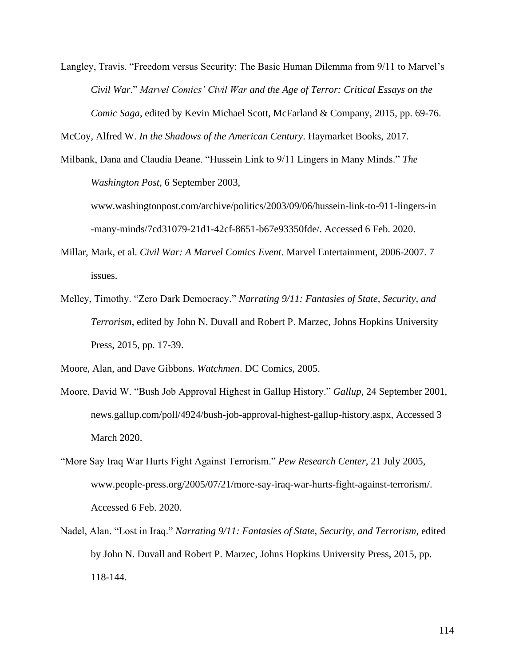Langley, Travis. "Freedom versus Security: The Basic Human Dilemma from 9/11 to Marvel's *Civil War*." *Marvel Comics' Civil War and the Age of Terror: Critical Essays on the Comic Saga*, edited by Kevin Michael Scott, McFarland & Company, 2015, pp. 69-76.

McCoy, Alfred W. *In the Shadows of the American Century*. Haymarket Books, 2017.

Milbank, Dana and Claudia Deane. "Hussein Link to 9/11 Lingers in Many Minds." *The Washington Post*, 6 September 2003,

www.washingtonpost.com/archive/politics/2003/09/06/hussein-link-to-911-lingers-in -many-minds/7cd31079-21d1-42cf-8651-b67e93350fde/. Accessed 6 Feb. 2020.

- Millar, Mark, et al. *Civil War: A Marvel Comics Event*. Marvel Entertainment, 2006-2007. 7 issues.
- Melley, Timothy. "Zero Dark Democracy." *Narrating 9/11: Fantasies of State, Security, and Terrorism*, edited by John N. Duvall and Robert P. Marzec, Johns Hopkins University Press, 2015, pp. 17-39.

Moore, Alan, and Dave Gibbons. *Watchmen*. DC Comics, 2005.

- Moore, David W. "Bush Job Approval Highest in Gallup History." *Gallup*, 24 September 2001, news.gallup.com/poll/4924/bush-job-approval-highest-gallup-history.aspx, Accessed 3 March 2020.
- "More Say Iraq War Hurts Fight Against Terrorism." *Pew Research Center*, 21 July 2005, www.people-press.org/2005/07/21/more-say-iraq-war-hurts-fight-against-terrorism/. Accessed 6 Feb. 2020.
- Nadel, Alan. "Lost in Iraq." *Narrating 9/11: Fantasies of State, Security, and Terrorism*, edited by John N. Duvall and Robert P. Marzec, Johns Hopkins University Press, 2015, pp. 118-144.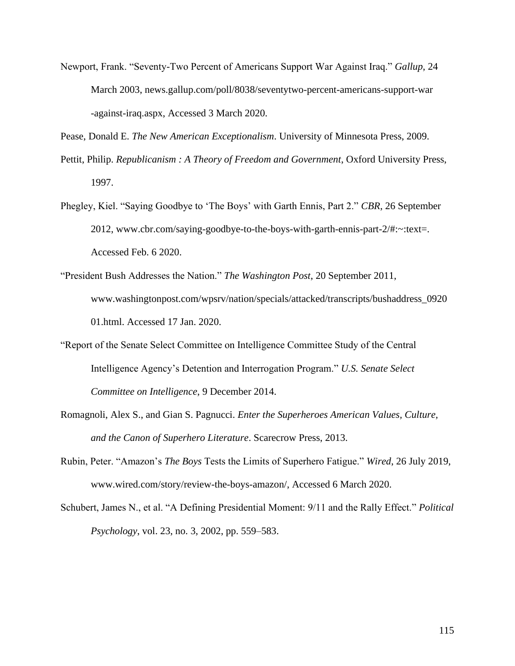Newport, Frank. "Seventy-Two Percent of Americans Support War Against Iraq." *Gallup*, 24 March 2003, news.gallup.com/poll/8038/seventytwo-percent-americans-support-war -against-iraq.aspx, Accessed 3 March 2020.

Pease, Donald E. *The New American Exceptionalism*. University of Minnesota Press, 2009.

- Pettit, Philip. *Republicanism : A Theory of Freedom and Government*, Oxford University Press, 1997.
- Phegley, Kiel. "Saying Goodbye to 'The Boys' with Garth Ennis, Part 2." *CBR*, 26 September 2012, www.cbr.com/saying-goodbye-to-the-boys-with-garth-ennis-part-2/#:~:text=. Accessed Feb. 6 2020.
- "President Bush Addresses the Nation." *The Washington Post*, 20 September 2011, www.washingtonpost.com/wpsrv/nation/specials/attacked/transcripts/bushaddress\_0920 01.html. Accessed 17 Jan. 2020.
- "Report of the Senate Select Committee on Intelligence Committee Study of the Central Intelligence Agency's Detention and Interrogation Program." *U.S. Senate Select Committee on Intelligence*, 9 December 2014.
- Romagnoli, Alex S., and Gian S. Pagnucci. *Enter the Superheroes American Values, Culture, and the Canon of Superhero Literature*. Scarecrow Press, 2013.
- Rubin, Peter. "Amazon's *The Boys* Tests the Limits of Superhero Fatigue." *Wired*, 26 July 2019, www.wired.com/story/review-the-boys-amazon/, Accessed 6 March 2020.
- Schubert, James N., et al. "A Defining Presidential Moment: 9/11 and the Rally Effect." *Political Psychology*, vol. 23, no. 3, 2002, pp. 559–583.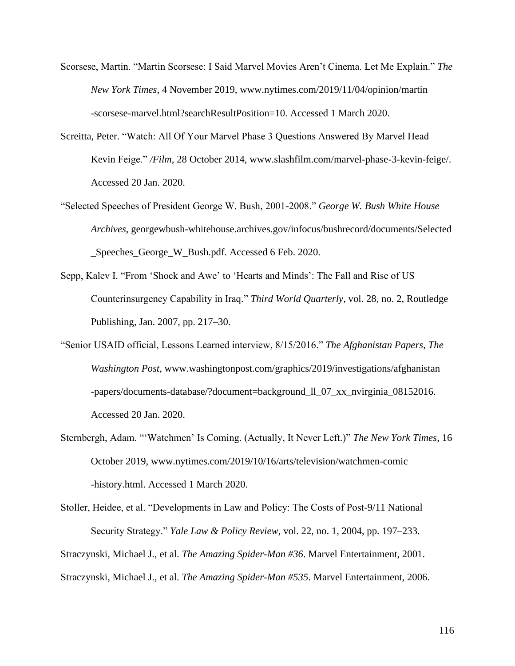- Scorsese, Martin. "Martin Scorsese: I Said Marvel Movies Aren't Cinema. Let Me Explain." *The New York Times*, 4 November 2019, www.nytimes.com/2019/11/04/opinion/martin -scorsese-marvel.html?searchResultPosition=10. Accessed 1 March 2020.
- Screitta, Peter. "Watch: All Of Your Marvel Phase 3 Questions Answered By Marvel Head Kevin Feige." */Film*, 28 October 2014, www.slashfilm.com/marvel-phase-3-kevin-feige/. Accessed 20 Jan. 2020.
- "Selected Speeches of President George W. Bush, 2001-2008." *George W. Bush White House Archives*, georgewbush-whitehouse.archives.gov/infocus/bushrecord/documents/Selected \_Speeches\_George\_W\_Bush.pdf. Accessed 6 Feb. 2020.
- Sepp, Kalev I. "From 'Shock and Awe' to 'Hearts and Minds': The Fall and Rise of US Counterinsurgency Capability in Iraq." *Third World Quarterly*, vol. 28, no. 2, Routledge Publishing, Jan. 2007, pp. 217–30.
- "Senior USAID official, Lessons Learned interview, 8/15/2016." *The Afghanistan Papers*, *The Washington Post*, www.washingtonpost.com/graphics/2019/investigations/afghanistan -papers/documents-database/?document=background\_ll\_07\_xx\_nvirginia\_08152016. Accessed 20 Jan. 2020.
- Sternbergh, Adam. "'Watchmen' Is Coming. (Actually, It Never Left.)" *The New York Times*, 16 October 2019, www.nytimes.com/2019/10/16/arts/television/watchmen-comic -history.html. Accessed 1 March 2020.

Stoller, Heidee, et al. "Developments in Law and Policy: The Costs of Post-9/11 National Security Strategy." *Yale Law & Policy Review*, vol. 22, no. 1, 2004, pp. 197–233. Straczynski, Michael J., et al. *The Amazing Spider-Man #36*. Marvel Entertainment, 2001. Straczynski, Michael J., et al. *The Amazing Spider-Man #535*. Marvel Entertainment, 2006.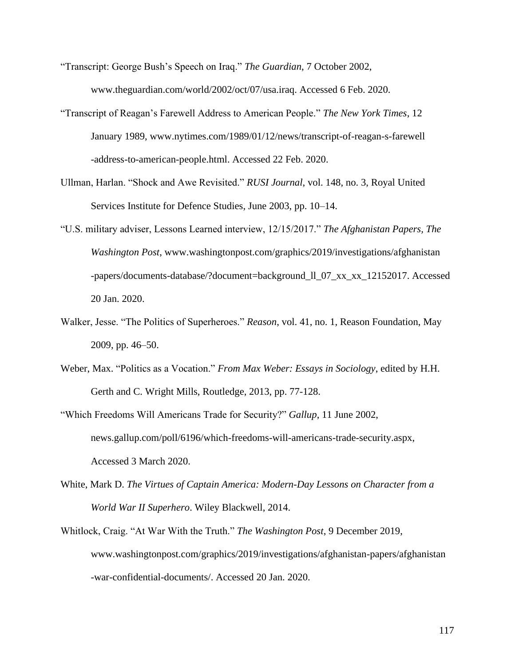- "Transcript: George Bush's Speech on Iraq." *The Guardian*, 7 October 2002, www.theguardian.com/world/2002/oct/07/usa.iraq. Accessed 6 Feb. 2020.
- "Transcript of Reagan's Farewell Address to American People." *The New York Times*, 12 January 1989, www.nytimes.com/1989/01/12/news/transcript-of-reagan-s-farewell -address-to-american-people.html. Accessed 22 Feb. 2020.
- Ullman, Harlan. "Shock and Awe Revisited." *RUSI Journal*, vol. 148, no. 3, Royal United Services Institute for Defence Studies, June 2003, pp. 10–14.
- "U.S. military adviser, Lessons Learned interview, 12/15/2017." *The Afghanistan Papers, The Washington Post*, www.washingtonpost.com/graphics/2019/investigations/afghanistan -papers/documents-database/?document=background\_ll\_07\_xx\_xx\_12152017. Accessed 20 Jan. 2020.
- Walker, Jesse. "The Politics of Superheroes." *Reason*, vol. 41, no. 1, Reason Foundation, May 2009, pp. 46–50.
- Weber, Max. "Politics as a Vocation." *From Max Weber: Essays in Sociology*, edited by H.H. Gerth and C. Wright Mills, Routledge, 2013, pp. 77-128.
- "Which Freedoms Will Americans Trade for Security?" *Gallup*, 11 June 2002, news.gallup.com/poll/6196/which-freedoms-will-americans-trade-security.aspx, Accessed 3 March 2020.
- White, Mark D. *The Virtues of Captain America: Modern-Day Lessons on Character from a World War II Superhero*. Wiley Blackwell, 2014.
- Whitlock, Craig. "At War With the Truth." *The Washington Post*, 9 December 2019, www.washingtonpost.com/graphics/2019/investigations/afghanistan-papers/afghanistan -war-confidential-documents/. Accessed 20 Jan. 2020.